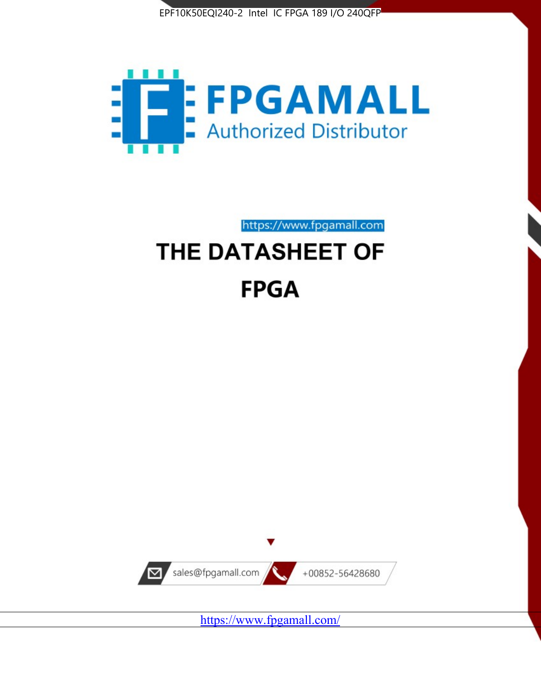



https://www.fpgamall.com

# THE DATASHEET OF **FPGA**



<https://www.fpgamall.com/>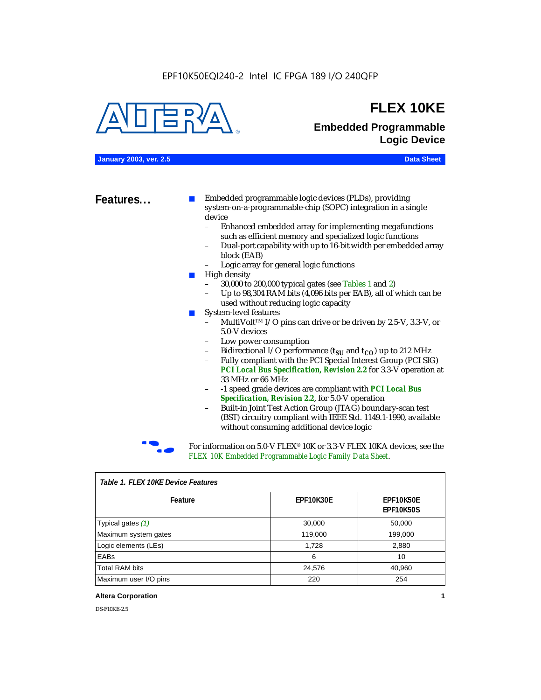

# **FLEX 10KE**

# **Embedded Programmable Logic Device**

**January 2003, ver. 2.5 Data Sheet**

**Features...** ■ Embedded programmable logic devices (PLDs), providing system-on-a-programmable-chip (SOPC) integration in a single device

- Enhanced embedded array for implementing megafunctions such as efficient memory and specialized logic functions
- Dual-port capability with up to 16-bit width per embedded array block (EAB)
- Logic array for general logic functions
- High density
	- 30,000 to 200,000 typical gates (see Tables 1 and 2)
	- Up to 98,304 RAM bits (4,096 bits per EAB), all of which can be used without reducing logic capacity
- System-level features
	- MultiVolt<sup>™</sup> I/O pins can drive or be driven by 2.5-V, 3.3-V, or 5.0-V devices
	- Low power consumption
	- Bidirectional I/O performance  $(t_{SI}$  and  $t_{CO}$ ) up to 212 MHz
	- Fully compliant with the PCI Special Interest Group (PCI SIG) *PCI Local Bus Specification, Revision 2.2* for 3.3-V operation at 33 MHz or 66 MHz
	- -1 speed grade devices are compliant with *PCI Local Bus Specification, Revision 2.2*, for 5.0-V operation
	- Built-in Joint Test Action Group (JTAG) boundary-scan test (BST) circuitry compliant with IEEE Std. 1149.1-1990, available without consuming additional device logic



For information on 5.0-V FLEX<sup>®</sup> 10K or 3.3-V FLEX 10KA devices, see the *FLEX 10K Embedded Programmable Logic Family Data Sheet*.

| iable 1.1 LLA TUNL DEVICET CAULES |           |                               |  |  |
|-----------------------------------|-----------|-------------------------------|--|--|
| Feature                           | EPF10K30E | EPF10K50E<br><b>EPF10K50S</b> |  |  |
| Typical gates (1)                 | 30,000    | 50,000                        |  |  |
| Maximum system gates              | 119,000   | 199,000                       |  |  |
| Logic elements (LEs)              | 1,728     | 2,880                         |  |  |
| EABs                              | 6         | 10                            |  |  |
| <b>Total RAM bits</b>             | 24,576    | 40,960                        |  |  |
| Maximum user I/O pins             | 220       | 254                           |  |  |

# *Table 1. FLEX 10KE Device Features*

#### **Altera Corporation 1**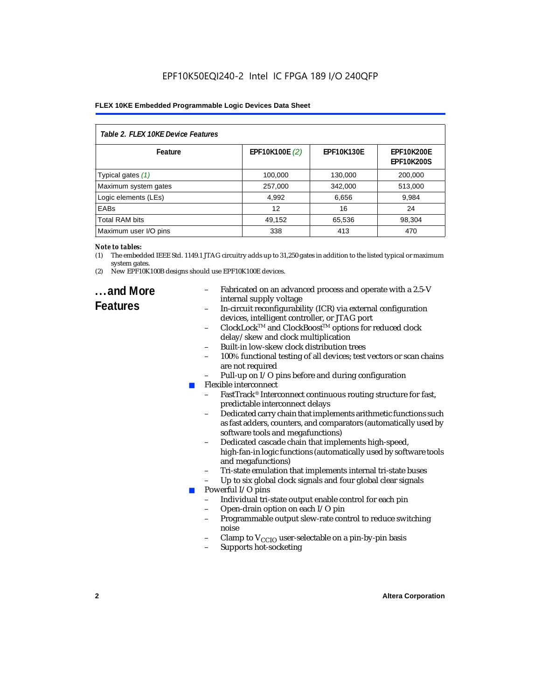# EPF10K50EQI240-2 Intel IC FPGA 189 I/O 240QFP

#### **FLEX 10KE Embedded Programmable Logic Devices Data Sheet**

| Table 2. FLEX 10KE Device Features |                |                   |                                        |  |
|------------------------------------|----------------|-------------------|----------------------------------------|--|
| Feature                            | EPF10K100E (2) | <b>EPF10K130E</b> | <b>EPF10K200E</b><br><b>EPF10K200S</b> |  |
| Typical gates (1)                  | 100,000        | 130,000           | 200.000                                |  |
| Maximum system gates               | 257,000        | 342,000           | 513,000                                |  |
| Logic elements (LEs)               | 4,992          | 6,656             | 9,984                                  |  |
| <b>EABs</b>                        | 12             | 16                | 24                                     |  |
| <b>Total RAM bits</b>              | 49,152         | 65,536            | 98,304                                 |  |
| Maximum user I/O pins              | 338            | 413               | 470                                    |  |

#### *Note to tables:*

- (1) The embedded IEEE Std. 1149.1 JTAG circuitry adds up to 31,250 gates in addition to the listed typical or maximum system gates.
- (2) New EPF10K100B designs should use EPF10K100E devices.

# **...and More**

- Fabricated on an advanced process and operate with a 2.5-V internal supply voltage
- In-circuit reconfigurability (ICR) via external configuration devices, intelligent controller, or JTAG port
- ClockLockTM and ClockBoostTM options for reduced clock delay/skew and clock multiplication
- Built-in low-skew clock distribution trees
- 100% functional testing of all devices; test vectors or scan chains are not required
- Pull-up on I/O pins before and during configuration
- Flexible interconnect
	- FastTrack<sup>®</sup> Interconnect continuous routing structure for fast, predictable interconnect delays
	- Dedicated carry chain that implements arithmetic functions such as fast adders, counters, and comparators (automatically used by software tools and megafunctions)
	- Dedicated cascade chain that implements high-speed, high-fan-in logic functions (automatically used by software tools and megafunctions)
	- Tri-state emulation that implements internal tri-state buses
	- Up to six global clock signals and four global clear signals
	- Powerful I/O pins
		- Individual tri-state output enable control for each pin
		- Open-drain option on each I/O pin
		- Programmable output slew-rate control to reduce switching noise
		- Clamp to  $V_{\text{CCIO}}$  user-selectable on a pin-by-pin basis
		- Supports hot-socketing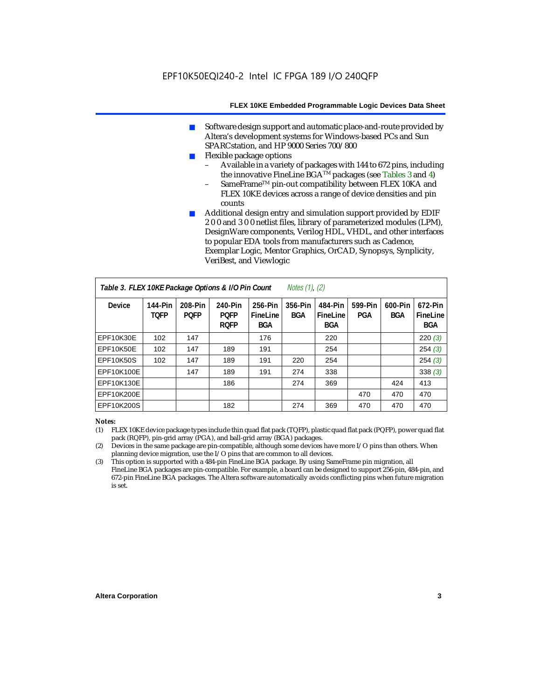- Software design support and automatic place-and-route provided by Altera's development systems for Windows-based PCs and Sun SPARCstation, and HP 9000 Series 700/800
- Flexible package options
	- Available in a variety of packages with 144 to 672 pins, including the innovative FineLine BGA<sup>TM</sup> packages (see Tables 3 and 4)
	- SameFrame™ pin-out compatibility between FLEX 10KA and FLEX 10KE devices across a range of device densities and pin counts
- Additional design entry and simulation support provided by EDIF 2 0 0 and 3 0 0 netlist files, library of parameterized modules (LPM), DesignWare components, Verilog HDL, VHDL, and other interfaces to popular EDA tools from manufacturers such as Cadence, Exemplar Logic, Mentor Graphics, OrCAD, Synopsys, Synplicity, VeriBest, and Viewlogic

| Table 3. FLEX 10KE Package Options & I/O Pin Count<br><i>Notes <math>(1)</math>, <math>(2)</math></i> |                        |                        |                                       |                                   |                |                                   |                |                       |                                   |
|-------------------------------------------------------------------------------------------------------|------------------------|------------------------|---------------------------------------|-----------------------------------|----------------|-----------------------------------|----------------|-----------------------|-----------------------------------|
| <b>Device</b>                                                                                         | 144-Pin<br><b>TOFP</b> | 208-Pin<br><b>POFP</b> | 240-Pin<br><b>POFP</b><br><b>ROFP</b> | 256-Pin<br>FineLine<br><b>BGA</b> | 356-Pin<br>BGA | 484-Pin<br>FineLine<br><b>BGA</b> | 599-Pin<br>PGA | 600-Pin<br><b>BGA</b> | 672-Pin<br>FineLine<br><b>BGA</b> |
| EPF10K30E                                                                                             | 102                    | 147                    |                                       | 176                               |                | 220                               |                |                       | 220(3)                            |
| EPF10K50E                                                                                             | 102                    | 147                    | 189                                   | 191                               |                | 254                               |                |                       | 254(3)                            |
| <b>EPF10K50S</b>                                                                                      | 102                    | 147                    | 189                                   | 191                               | 220            | 254                               |                |                       | 254(3)                            |
| EPF10K100E                                                                                            |                        | 147                    | 189                                   | 191                               | 274            | 338                               |                |                       | 338(3)                            |
| EPF10K130E                                                                                            |                        |                        | 186                                   |                                   | 274            | 369                               |                | 424                   | 413                               |
| EPF10K200E                                                                                            |                        |                        |                                       |                                   |                |                                   | 470            | 470                   | 470                               |
| EPF10K200S                                                                                            |                        |                        | 182                                   |                                   | 274            | 369                               | 470            | 470                   | 470                               |

#### *Notes:*

- (1) FLEX 10KE device package types include thin quad flat pack (TQFP), plastic quad flat pack (PQFP), power quad flat pack (RQFP), pin-grid array (PGA), and ball-grid array (BGA) packages.
- (2) Devices in the same package are pin-compatible, although some devices have more I/O pins than others. When planning device migration, use the I/O pins that are common to all devices.
- (3) This option is supported with a 484-pin FineLine BGA package. By using SameFrame pin migration, all FineLine BGA packages are pin-compatible. For example, a board can be designed to support 256-pin, 484-pin, and 672-pin FineLine BGA packages. The Altera software automatically avoids conflicting pins when future migration is set.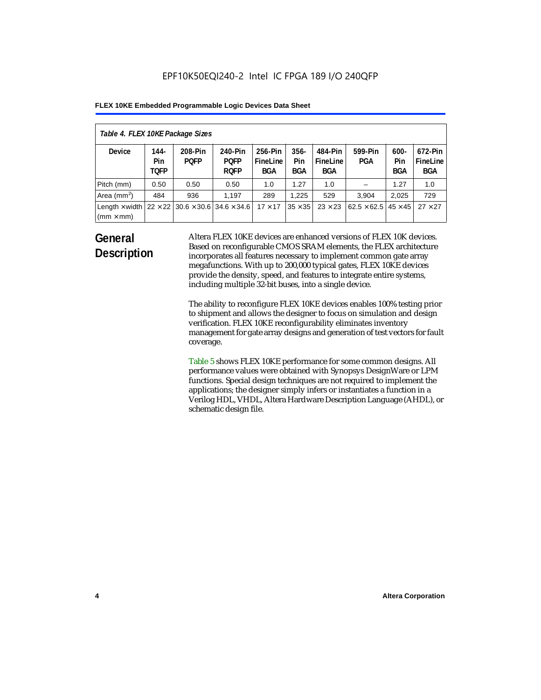| Table 4. FLEX 10KE Package Sizes          |                            |                                                      |                                       |                                   |                       |                            |                                     |                       |                                   |
|-------------------------------------------|----------------------------|------------------------------------------------------|---------------------------------------|-----------------------------------|-----------------------|----------------------------|-------------------------------------|-----------------------|-----------------------------------|
| <b>Device</b>                             | 144-<br>Pin<br><b>TOFP</b> | 208-Pin<br><b>POFP</b>                               | 240-Pin<br><b>POFP</b><br><b>ROFP</b> | 256-Pin<br>FineLine<br><b>BGA</b> | $356 -$<br>Pin<br>BGA | 484-Pin<br>FineLine<br>BGA | 599-Pin<br>PGA                      | $600 -$<br>Pin<br>BGA | 672-Pin<br>FineLine<br><b>BGA</b> |
| Pitch (mm)                                | 0.50                       | 0.50                                                 | 0.50                                  | 1.0                               | 1.27                  | 1.0                        |                                     | 1.27                  | 1.0                               |
| Area ( $mm2$ )                            | 484                        | 936                                                  | 1.197                                 | 289                               | 1.225                 | 529                        | 3.904                               | 2,025                 | 729                               |
| Length $\times$ width<br>$(mm \times mm)$ |                            | $22 \times 22$ 30.6 $\times$ 30.6 34.6 $\times$ 34.6 |                                       | $17 \times 17$                    | $35 \times 35$        | $23 \times 23$             | $62.5 \times 62.5$   45 $\times$ 45 |                       | $27 \times 27$                    |

# **General Description**

Altera FLEX 10KE devices are enhanced versions of FLEX 10K devices. Based on reconfigurable CMOS SRAM elements, the FLEX architecture incorporates all features necessary to implement common gate array megafunctions. With up to 200,000 typical gates, FLEX 10KE devices provide the density, speed, and features to integrate entire systems, including multiple 32-bit buses, into a single device.

The ability to reconfigure FLEX 10KE devices enables 100% testing prior to shipment and allows the designer to focus on simulation and design verification. FLEX 10KE reconfigurability eliminates inventory management for gate array designs and generation of test vectors for fault coverage.

Table 5 shows FLEX 10KE performance for some common designs. All performance values were obtained with Synopsys DesignWare or LPM functions. Special design techniques are not required to implement the applications; the designer simply infers or instantiates a function in a Verilog HDL, VHDL, Altera Hardware Description Language (AHDL), or schematic design file.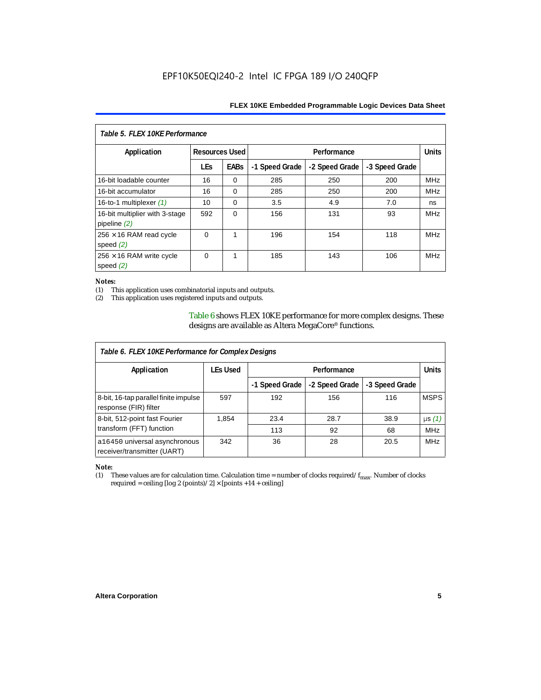| Table 5. FLEX 10KE Performance                   |                       |             |                |                |                |            |  |
|--------------------------------------------------|-----------------------|-------------|----------------|----------------|----------------|------------|--|
| Application                                      | <b>Resources Used</b> |             |                | Performance    |                |            |  |
|                                                  | <b>LEs</b>            | <b>EABs</b> | -1 Speed Grade | -2 Speed Grade | -3 Speed Grade |            |  |
| 16-bit loadable counter                          | 16                    | $\Omega$    | 285            | 250            | 200            | <b>MHz</b> |  |
| 16-bit accumulator                               | 16                    | $\Omega$    | 285            | 250            | 200            | <b>MHz</b> |  |
| 16-to-1 multiplexer $(1)$                        | 10                    | $\Omega$    | 3.5            | 4.9            | 7.0            | ns         |  |
| 16-bit multiplier with 3-stage<br>pipeline $(2)$ | 592                   | $\Omega$    | 156            | 131            | 93             | <b>MHz</b> |  |
| $256 \times 16$ RAM read cycle<br>speed $(2)$    | $\Omega$              | 1           | 196            | 154            | 118            | <b>MHz</b> |  |
| $256 \times 16$ RAM write cycle<br>speed $(2)$   | $\Omega$              | 1           | 185            | 143            | 106            | <b>MHz</b> |  |

#### *Notes:*

(1) This application uses combinatorial inputs and outputs.

This application uses registered inputs and outputs.

Table 6 shows FLEX 10KE performance for more complex designs. These designs are available as Altera MegaCore® functions.

| Table 6. FLEX 10KE Performance for Complex Designs             |          |                |                |                |              |
|----------------------------------------------------------------|----------|----------------|----------------|----------------|--------------|
| Application                                                    | LEs Used | Performance    |                |                | <b>Units</b> |
|                                                                |          | -1 Speed Grade | -2 Speed Grade | -3 Speed Grade |              |
| 8-bit, 16-tap parallel finite impulse<br>response (FIR) filter | 597      | 192            | 156            | 116            | <b>MSPS</b>  |
| 8-bit, 512-point fast Fourier                                  | 1,854    | 23.4           | 28.7           | 38.9           | $\mu s(1)$   |
| transform (FFT) function                                       |          | 113            | 92             | 68             | <b>MHz</b>   |
| a16450 universal asynchronous<br>receiver/transmitter (UART)   | 342      | 36             | 28             | 20.5           | <b>MHz</b>   |

# *Note:*<br>(1) 1

These values are for calculation time. Calculation time = number of clocks required/ $f_{max}$ . Number of clocks required = ceiling [log 2 (points)/2]  $\times$  [points +14 + ceiling]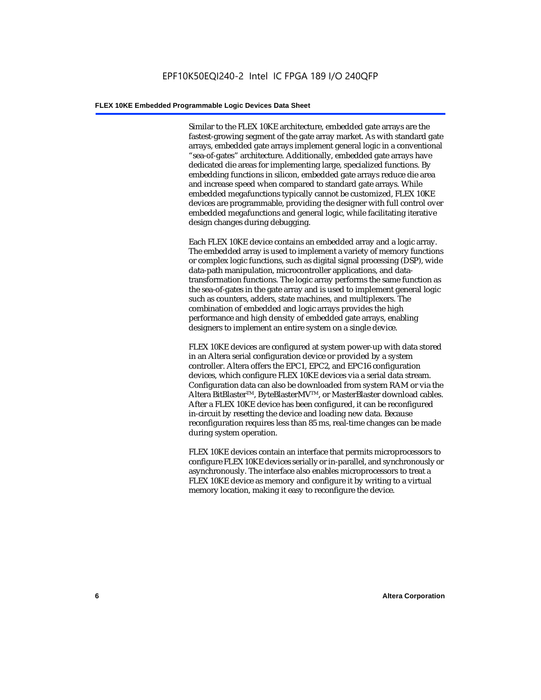Similar to the FLEX 10KE architecture, embedded gate arrays are the fastest-growing segment of the gate array market. As with standard gate arrays, embedded gate arrays implement general logic in a conventional "sea-of-gates" architecture. Additionally, embedded gate arrays have dedicated die areas for implementing large, specialized functions. By embedding functions in silicon, embedded gate arrays reduce die area and increase speed when compared to standard gate arrays. While embedded megafunctions typically cannot be customized, FLEX 10KE devices are programmable, providing the designer with full control over embedded megafunctions and general logic, while facilitating iterative design changes during debugging.

Each FLEX 10KE device contains an embedded array and a logic array. The embedded array is used to implement a variety of memory functions or complex logic functions, such as digital signal processing (DSP), wide data-path manipulation, microcontroller applications, and datatransformation functions. The logic array performs the same function as the sea-of-gates in the gate array and is used to implement general logic such as counters, adders, state machines, and multiplexers. The combination of embedded and logic arrays provides the high performance and high density of embedded gate arrays, enabling designers to implement an entire system on a single device.

FLEX 10KE devices are configured at system power-up with data stored in an Altera serial configuration device or provided by a system controller. Altera offers the EPC1, EPC2, and EPC16 configuration devices, which configure FLEX 10KE devices via a serial data stream. Configuration data can also be downloaded from system RAM or via the Altera BitBlaster™, ByteBlasterMV™, or MasterBlaster download cables. After a FLEX 10KE device has been configured, it can be reconfigured in-circuit by resetting the device and loading new data. Because reconfiguration requires less than 85 ms, real-time changes can be made during system operation.

FLEX 10KE devices contain an interface that permits microprocessors to configure FLEX 10KE devices serially or in-parallel, and synchronously or asynchronously. The interface also enables microprocessors to treat a FLEX 10KE device as memory and configure it by writing to a virtual memory location, making it easy to reconfigure the device.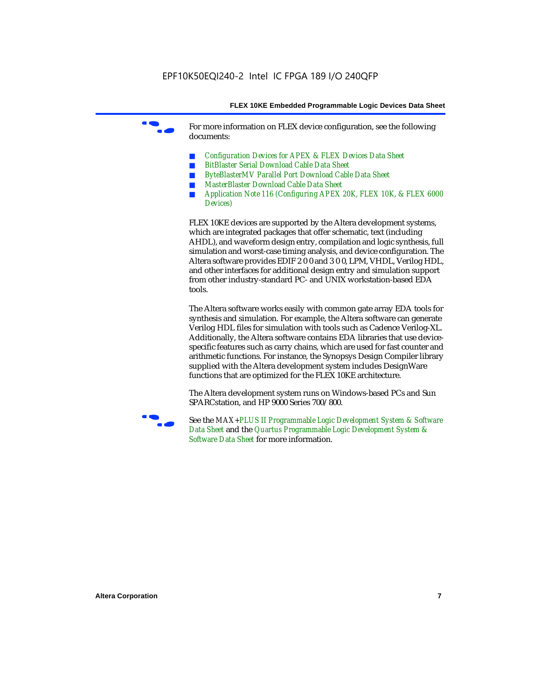For more information on FLEX device configuration, see the following documents:

- *Configuration Devices for APEX & FLEX Devices Data Sheet*
- *BitBlaster Serial Download Cable Data Sheet*
- *ByteBlasterMV Parallel Port Download Cable Data Sheet*
- *MasterBlaster Download Cable Data Sheet*
- *Application Note 116 (Configuring APEX 20K, FLEX 10K, & FLEX 6000 Devices)*

FLEX 10KE devices are supported by the Altera development systems, which are integrated packages that offer schematic, text (including AHDL), and waveform design entry, compilation and logic synthesis, full simulation and worst-case timing analysis, and device configuration. The Altera software provides EDIF 2 0 0 and 3 0 0, LPM, VHDL, Verilog HDL, and other interfaces for additional design entry and simulation support from other industry-standard PC- and UNIX workstation-based EDA tools.

The Altera software works easily with common gate array EDA tools for synthesis and simulation. For example, the Altera software can generate Verilog HDL files for simulation with tools such as Cadence Verilog-XL. Additionally, the Altera software contains EDA libraries that use devicespecific features such as carry chains, which are used for fast counter and arithmetic functions. For instance, the Synopsys Design Compiler library supplied with the Altera development system includes DesignWare functions that are optimized for the FLEX 10KE architecture.

The Altera development system runs on Windows-based PCs and Sun SPARCstation, and HP 9000 Series 700/800.



See the *MAX+PLUS II Programmable Logic Development System & Software Data Sheet* and the *Quartus Programmable Logic Development System & Software Data Sheet* for more information.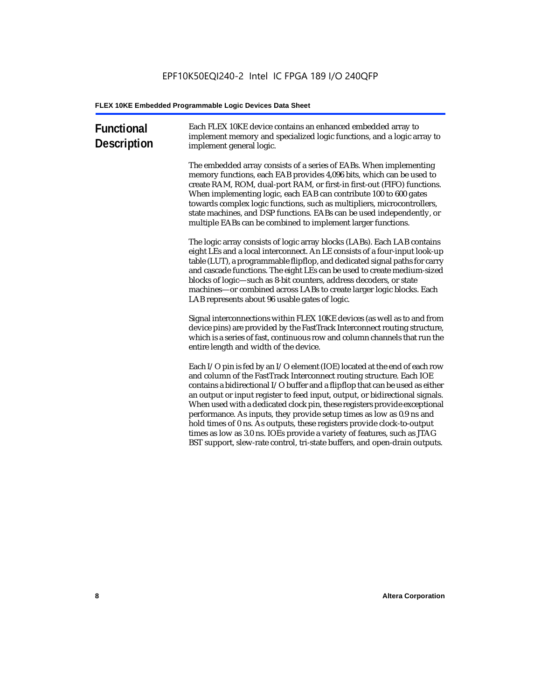| <b>Functional</b><br><b>Description</b> | Each FLEX 10KE device contains an enhanced embedded array to<br>implement memory and specialized logic functions, and a logic array to<br>implement general logic.                                                                                                                                                                                                                                                                                                                                                                                                                                                                                                                                             |
|-----------------------------------------|----------------------------------------------------------------------------------------------------------------------------------------------------------------------------------------------------------------------------------------------------------------------------------------------------------------------------------------------------------------------------------------------------------------------------------------------------------------------------------------------------------------------------------------------------------------------------------------------------------------------------------------------------------------------------------------------------------------|
|                                         | The embedded array consists of a series of EABs. When implementing<br>memory functions, each EAB provides 4,096 bits, which can be used to<br>create RAM, ROM, dual-port RAM, or first-in first-out (FIFO) functions.<br>When implementing logic, each EAB can contribute 100 to 600 gates<br>towards complex logic functions, such as multipliers, microcontrollers,<br>state machines, and DSP functions. EABs can be used independently, or<br>multiple EABs can be combined to implement larger functions.                                                                                                                                                                                                 |
|                                         | The logic array consists of logic array blocks (LABs). Each LAB contains<br>eight LEs and a local interconnect. An LE consists of a four-input look-up<br>table (LUT), a programmable flipflop, and dedicated signal paths for carry<br>and cascade functions. The eight LEs can be used to create medium-sized<br>blocks of logic-such as 8-bit counters, address decoders, or state<br>machines-or combined across LABs to create larger logic blocks. Each<br>LAB represents about 96 usable gates of logic.                                                                                                                                                                                                |
|                                         | Signal interconnections within FLEX 10KE devices (as well as to and from<br>device pins) are provided by the FastTrack Interconnect routing structure,<br>which is a series of fast, continuous row and column channels that run the<br>entire length and width of the device.                                                                                                                                                                                                                                                                                                                                                                                                                                 |
|                                         | Each I/O pin is fed by an I/O element (IOE) located at the end of each row<br>and column of the FastTrack Interconnect routing structure. Each IOE<br>contains a bidirectional I/O buffer and a flipflop that can be used as either<br>an output or input register to feed input, output, or bidirectional signals.<br>When used with a dedicated clock pin, these registers provide exceptional<br>performance. As inputs, they provide setup times as low as 0.9 ns and<br>hold times of 0 ns. As outputs, these registers provide clock-to-output<br>times as low as 3.0 ns. IOEs provide a variety of features, such as JTAG<br>BST support, slew-rate control, tri-state buffers, and open-drain outputs. |
|                                         |                                                                                                                                                                                                                                                                                                                                                                                                                                                                                                                                                                                                                                                                                                                |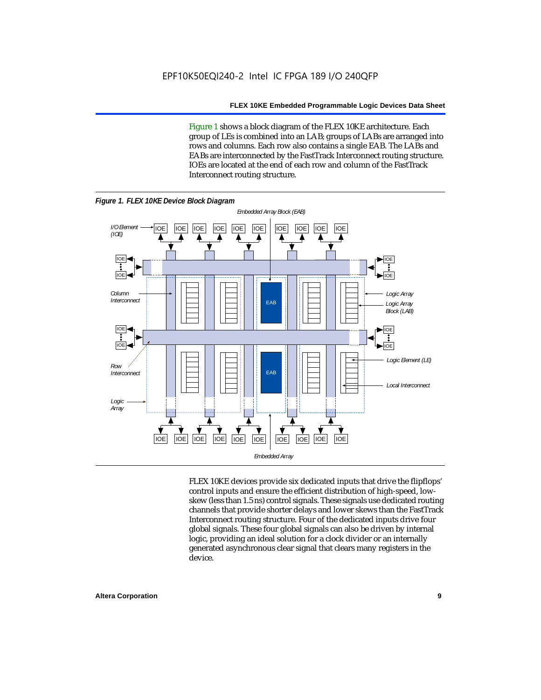Figure 1 shows a block diagram of the FLEX 10KE architecture. Each group of LEs is combined into an LAB; groups of LABs are arranged into rows and columns. Each row also contains a single EAB. The LABs and EABs are interconnected by the FastTrack Interconnect routing structure. IOEs are located at the end of each row and column of the FastTrack Interconnect routing structure.



FLEX 10KE devices provide six dedicated inputs that drive the flipflops' control inputs and ensure the efficient distribution of high-speed, lowskew (less than 1.5 ns) control signals. These signals use dedicated routing channels that provide shorter delays and lower skews than the FastTrack Interconnect routing structure. Four of the dedicated inputs drive four global signals. These four global signals can also be driven by internal logic, providing an ideal solution for a clock divider or an internally generated asynchronous clear signal that clears many registers in the device.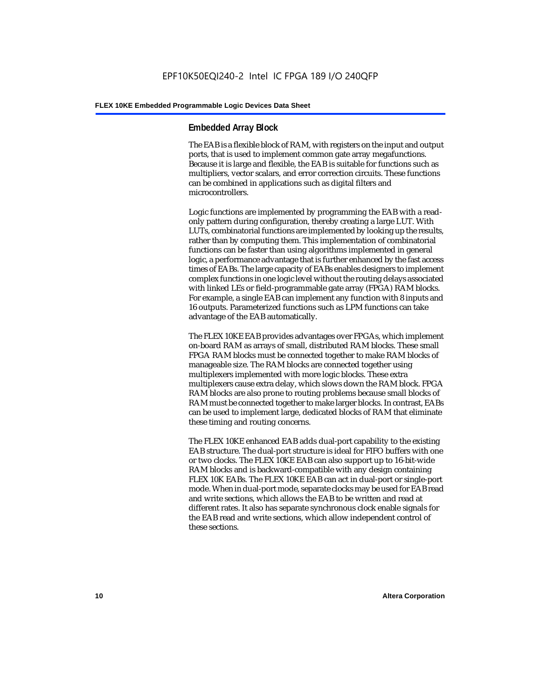# **Embedded Array Block**

The EAB is a flexible block of RAM, with registers on the input and output ports, that is used to implement common gate array megafunctions. Because it is large and flexible, the EAB is suitable for functions such as multipliers, vector scalars, and error correction circuits. These functions can be combined in applications such as digital filters and microcontrollers.

Logic functions are implemented by programming the EAB with a readonly pattern during configuration, thereby creating a large LUT. With LUTs, combinatorial functions are implemented by looking up the results, rather than by computing them. This implementation of combinatorial functions can be faster than using algorithms implemented in general logic, a performance advantage that is further enhanced by the fast access times of EABs. The large capacity of EABs enables designers to implement complex functions in one logic level without the routing delays associated with linked LEs or field-programmable gate array (FPGA) RAM blocks. For example, a single EAB can implement any function with 8 inputs and 16 outputs. Parameterized functions such as LPM functions can take advantage of the EAB automatically.

The FLEX 10KE EAB provides advantages over FPGAs, which implement on-board RAM as arrays of small, distributed RAM blocks. These small FPGA RAM blocks must be connected together to make RAM blocks of manageable size. The RAM blocks are connected together using multiplexers implemented with more logic blocks. These extra multiplexers cause extra delay, which slows down the RAM block. FPGA RAM blocks are also prone to routing problems because small blocks of RAM must be connected together to make larger blocks. In contrast, EABs can be used to implement large, dedicated blocks of RAM that eliminate these timing and routing concerns.

The FLEX 10KE enhanced EAB adds dual-port capability to the existing EAB structure. The dual-port structure is ideal for FIFO buffers with one or two clocks. The FLEX 10KE EAB can also support up to 16-bit-wide RAM blocks and is backward-compatible with any design containing FLEX 10K EABs. The FLEX 10KE EAB can act in dual-port or single-port mode. When in dual-port mode, separate clocks may be used for EAB read and write sections, which allows the EAB to be written and read at different rates. It also has separate synchronous clock enable signals for the EAB read and write sections, which allow independent control of these sections.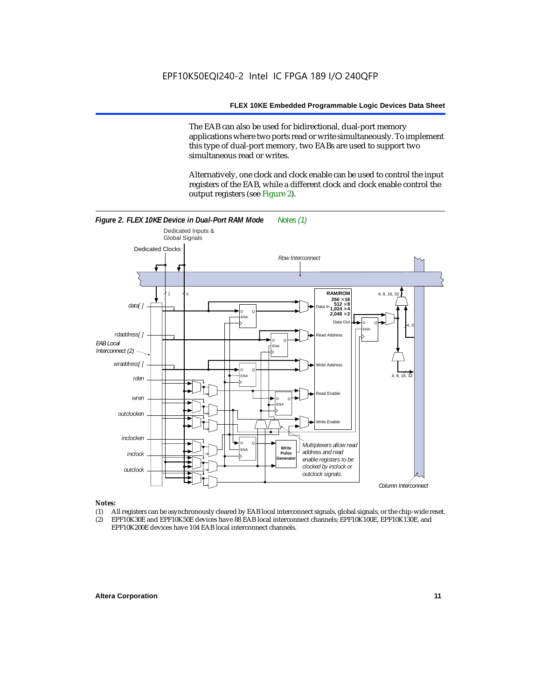The EAB can also be used for bidirectional, dual-port memory applications where two ports read or write simultaneously. To implement this type of dual-port memory, two EABs are used to support two simultaneous read or writes.

Alternatively, one clock and clock enable can be used to control the input registers of the EAB, while a different clock and clock enable control the output registers (see Figure 2).



#### *Notes:*

- (1) All registers can be asynchronously cleared by EAB local interconnect signals, global signals, or the chip-wide reset.
- (2) EPF10K30E and EPF10K50E devices have 88 EAB local interconnect channels; EPF10K100E, EPF10K130E, and EPF10K200E devices have 104 EAB local interconnect channels.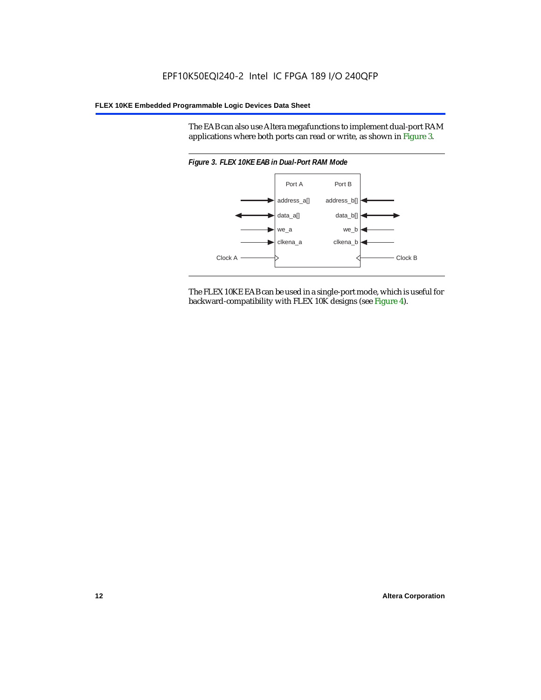The EAB can also use Altera megafunctions to implement dual-port RAM applications where both ports can read or write, as shown in Figure 3.



The FLEX 10KE EAB can be used in a single-port mode, which is useful for backward-compatibility with FLEX 10K designs (see Figure 4).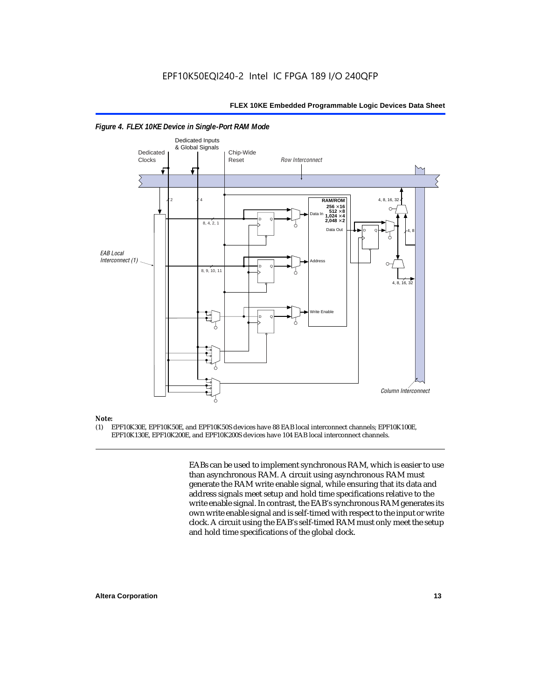

#### *Figure 4. FLEX 10KE Device in Single-Port RAM Mode*

# *Note:*<br>(1) **F**

(1) EPF10K30E, EPF10K50E, and EPF10K50S devices have 88 EAB local interconnect channels; EPF10K100E, EPF10K130E, EPF10K200E, and EPF10K200S devices have 104 EAB local interconnect channels.

> EABs can be used to implement synchronous RAM, which is easier to use than asynchronous RAM. A circuit using asynchronous RAM must generate the RAM write enable signal, while ensuring that its data and address signals meet setup and hold time specifications relative to the write enable signal. In contrast, the EAB's synchronous RAM generates its own write enable signal and is self-timed with respect to the input or write clock. A circuit using the EAB's self-timed RAM must only meet the setup and hold time specifications of the global clock.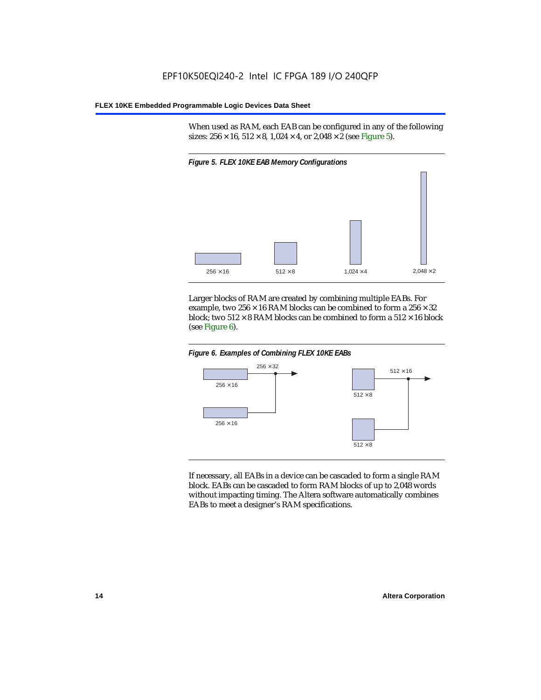When used as RAM, each EAB can be configured in any of the following sizes:  $256 \times 16$ ,  $512 \times 8$ ,  $1,024 \times 4$ , or  $2,048 \times 2$  (see Figure 5).



Larger blocks of RAM are created by combining multiple EABs. For example, two  $256 \times 16$  RAM blocks can be combined to form a  $256 \times 32$ block; two  $512 \times 8$  RAM blocks can be combined to form a  $512 \times 16$  block (see Figure 6).





If necessary, all EABs in a device can be cascaded to form a single RAM block. EABs can be cascaded to form RAM blocks of up to 2,048 words without impacting timing. The Altera software automatically combines EABs to meet a designer's RAM specifications.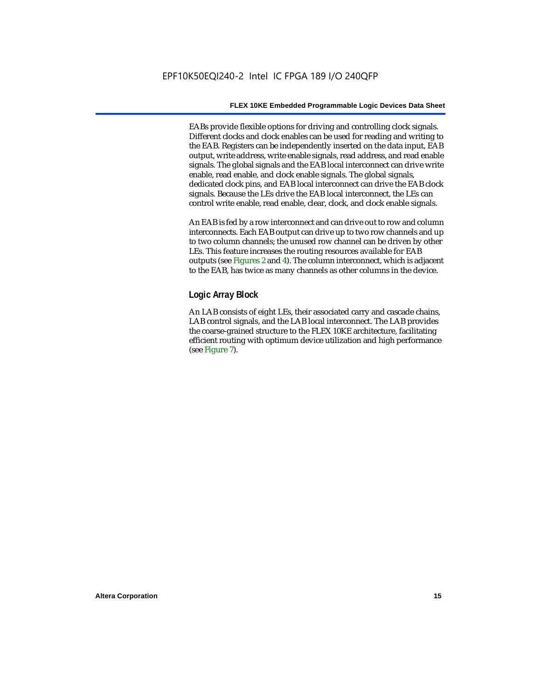EABs provide flexible options for driving and controlling clock signals. Different clocks and clock enables can be used for reading and writing to the EAB. Registers can be independently inserted on the data input, EAB output, write address, write enable signals, read address, and read enable signals. The global signals and the EAB local interconnect can drive write enable, read enable, and clock enable signals. The global signals, dedicated clock pins, and EAB local interconnect can drive the EAB clock signals. Because the LEs drive the EAB local interconnect, the LEs can control write enable, read enable, clear, clock, and clock enable signals.

An EAB is fed by a row interconnect and can drive out to row and column interconnects. Each EAB output can drive up to two row channels and up to two column channels; the unused row channel can be driven by other LEs. This feature increases the routing resources available for EAB outputs (see Figures 2 and 4). The column interconnect, which is adjacent to the EAB, has twice as many channels as other columns in the device.

# **Logic Array Block**

An LAB consists of eight LEs, their associated carry and cascade chains, LAB control signals, and the LAB local interconnect. The LAB provides the coarse-grained structure to the FLEX 10KE architecture, facilitating efficient routing with optimum device utilization and high performance (see Figure 7).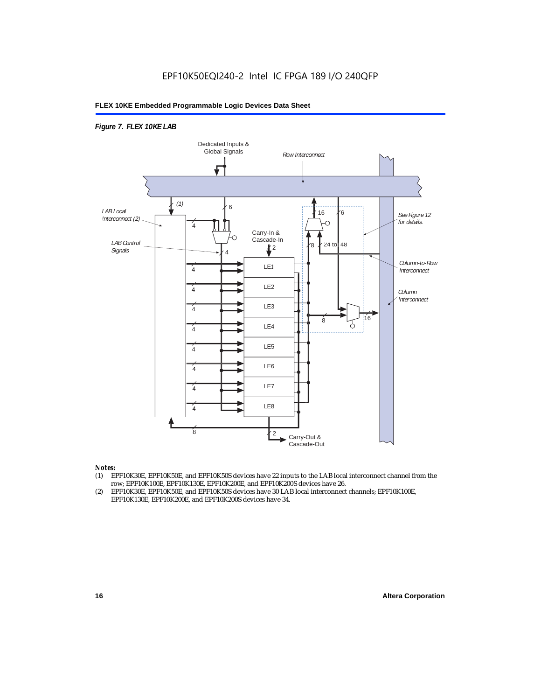# *Figure 7. FLEX 10KE LAB*



#### *Notes:*

- (1) EPF10K30E, EPF10K50E, and EPF10K50S devices have 22 inputs to the LAB local interconnect channel from the row; EPF10K100E, EPF10K130E, EPF10K200E, and EPF10K200S devices have 26.
- (2) EPF10K30E, EPF10K50E, and EPF10K50S devices have 30 LAB local interconnect channels; EPF10K100E, EPF10K130E, EPF10K200E, and EPF10K200S devices have 34.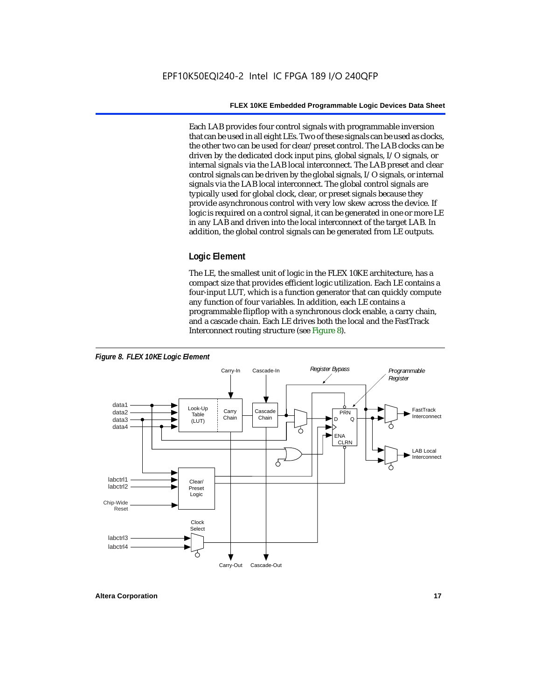Each LAB provides four control signals with programmable inversion that can be used in all eight LEs. Two of these signals can be used as clocks, the other two can be used for clear/preset control. The LAB clocks can be driven by the dedicated clock input pins, global signals, I/O signals, or internal signals via the LAB local interconnect. The LAB preset and clear control signals can be driven by the global signals, I/O signals, or internal signals via the LAB local interconnect. The global control signals are typically used for global clock, clear, or preset signals because they provide asynchronous control with very low skew across the device. If logic is required on a control signal, it can be generated in one or more LE in any LAB and driven into the local interconnect of the target LAB. In addition, the global control signals can be generated from LE outputs.

# **Logic Element**

The LE, the smallest unit of logic in the FLEX 10KE architecture, has a compact size that provides efficient logic utilization. Each LE contains a four-input LUT, which is a function generator that can quickly compute any function of four variables. In addition, each LE contains a programmable flipflop with a synchronous clock enable, a carry chain, and a cascade chain. Each LE drives both the local and the FastTrack Interconnect routing structure (see Figure 8).

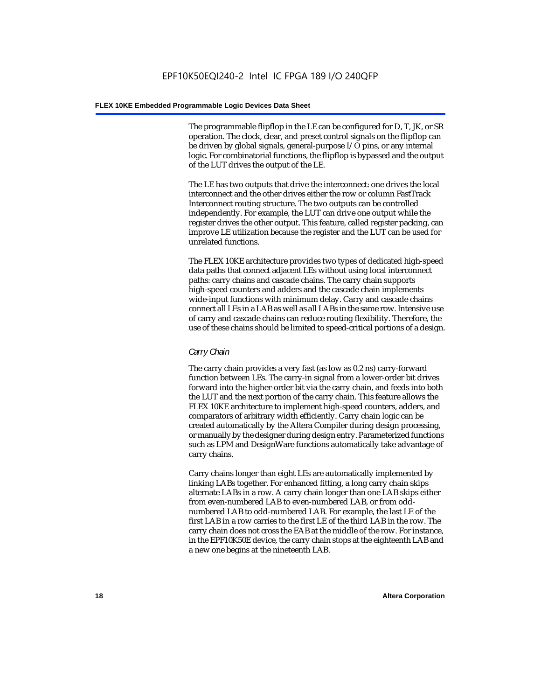The programmable flipflop in the LE can be configured for D, T, JK, or SR operation. The clock, clear, and preset control signals on the flipflop can be driven by global signals, general-purpose I/O pins, or any internal logic. For combinatorial functions, the flipflop is bypassed and the output of the LUT drives the output of the LE.

The LE has two outputs that drive the interconnect: one drives the local interconnect and the other drives either the row or column FastTrack Interconnect routing structure. The two outputs can be controlled independently. For example, the LUT can drive one output while the register drives the other output. This feature, called register packing, can improve LE utilization because the register and the LUT can be used for unrelated functions.

The FLEX 10KE architecture provides two types of dedicated high-speed data paths that connect adjacent LEs without using local interconnect paths: carry chains and cascade chains. The carry chain supports high-speed counters and adders and the cascade chain implements wide-input functions with minimum delay. Carry and cascade chains connect all LEs in a LAB as well as all LABs in the same row. Intensive use of carry and cascade chains can reduce routing flexibility. Therefore, the use of these chains should be limited to speed-critical portions of a design.

# *Carry Chain*

The carry chain provides a very fast (as low as 0.2 ns) carry-forward function between LEs. The carry-in signal from a lower-order bit drives forward into the higher-order bit via the carry chain, and feeds into both the LUT and the next portion of the carry chain. This feature allows the FLEX 10KE architecture to implement high-speed counters, adders, and comparators of arbitrary width efficiently. Carry chain logic can be created automatically by the Altera Compiler during design processing, or manually by the designer during design entry. Parameterized functions such as LPM and DesignWare functions automatically take advantage of carry chains.

Carry chains longer than eight LEs are automatically implemented by linking LABs together. For enhanced fitting, a long carry chain skips alternate LABs in a row. A carry chain longer than one LAB skips either from even-numbered LAB to even-numbered LAB, or from oddnumbered LAB to odd-numbered LAB. For example, the last LE of the first LAB in a row carries to the first LE of the third LAB in the row. The carry chain does not cross the EAB at the middle of the row. For instance, in the EPF10K50E device, the carry chain stops at the eighteenth LAB and a new one begins at the nineteenth LAB.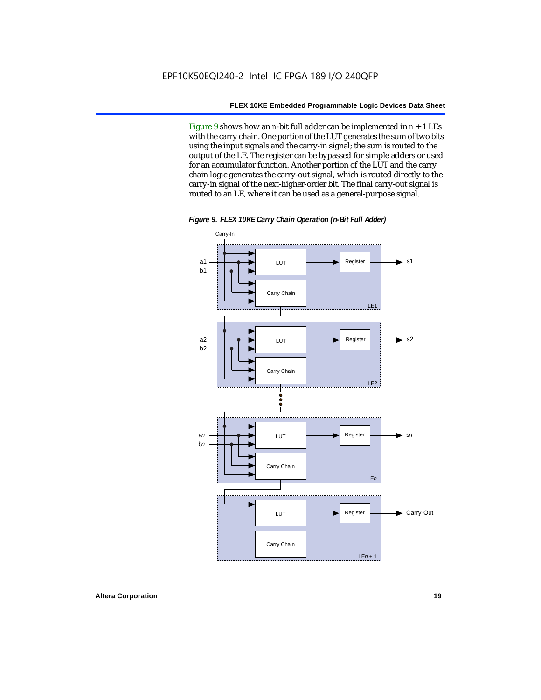Figure 9 shows how an *n*-bit full adder can be implemented in *n* + 1 LEs with the carry chain. One portion of the LUT generates the sum of two bits using the input signals and the carry-in signal; the sum is routed to the output of the LE. The register can be bypassed for simple adders or used for an accumulator function. Another portion of the LUT and the carry chain logic generates the carry-out signal, which is routed directly to the carry-in signal of the next-higher-order bit. The final carry-out signal is routed to an LE, where it can be used as a general-purpose signal.



*Figure 9. FLEX 10KE Carry Chain Operation (n-Bit Full Adder)*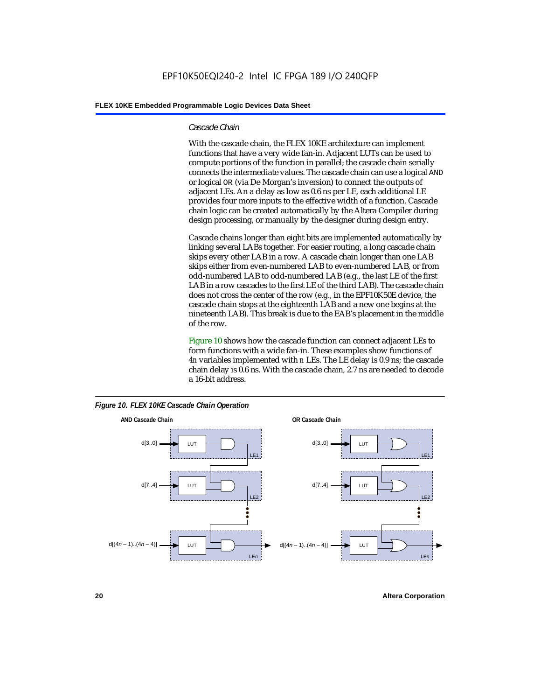#### *Cascade Chain*

With the cascade chain, the FLEX 10KE architecture can implement functions that have a very wide fan-in. Adjacent LUTs can be used to compute portions of the function in parallel; the cascade chain serially connects the intermediate values. The cascade chain can use a logical AND or logical OR (via De Morgan's inversion) to connect the outputs of adjacent LEs. An a delay as low as 0.6 ns per LE, each additional LE provides four more inputs to the effective width of a function. Cascade chain logic can be created automatically by the Altera Compiler during design processing, or manually by the designer during design entry.

Cascade chains longer than eight bits are implemented automatically by linking several LABs together. For easier routing, a long cascade chain skips every other LAB in a row. A cascade chain longer than one LAB skips either from even-numbered LAB to even-numbered LAB, or from odd-numbered LAB to odd-numbered LAB (e.g., the last LE of the first LAB in a row cascades to the first LE of the third LAB). The cascade chain does not cross the center of the row (e.g., in the EPF10K50E device, the cascade chain stops at the eighteenth LAB and a new one begins at the nineteenth LAB). This break is due to the EAB's placement in the middle of the row.

Figure 10 shows how the cascade function can connect adjacent LEs to form functions with a wide fan-in. These examples show functions of 4*n* variables implemented with *n* LEs. The LE delay is 0.9 ns; the cascade chain delay is 0.6 ns. With the cascade chain, 2.7 ns are needed to decode a 16-bit address.



*Figure 10. FLEX 10KE Cascade Chain Operation*

**20 Altera Corporation**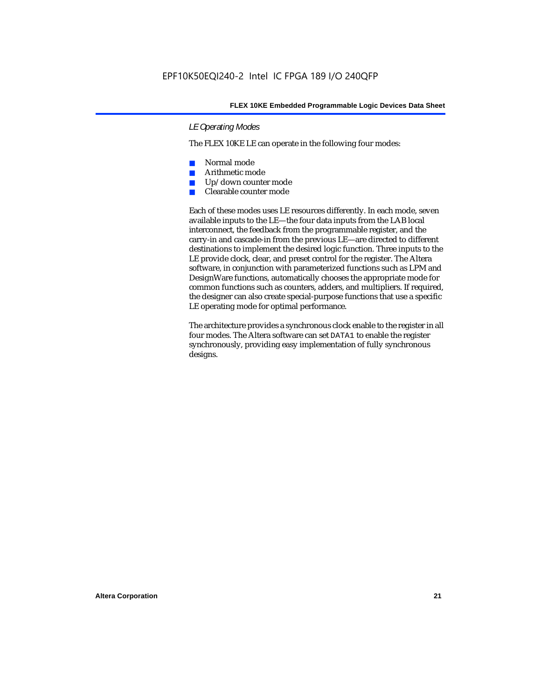# *LE Operating Modes*

The FLEX 10KE LE can operate in the following four modes:

- Normal mode
- Arithmetic mode
- Up/down counter mode
- Clearable counter mode

Each of these modes uses LE resources differently. In each mode, seven available inputs to the LE—the four data inputs from the LAB local interconnect, the feedback from the programmable register, and the carry-in and cascade-in from the previous LE—are directed to different destinations to implement the desired logic function. Three inputs to the LE provide clock, clear, and preset control for the register. The Altera software, in conjunction with parameterized functions such as LPM and DesignWare functions, automatically chooses the appropriate mode for common functions such as counters, adders, and multipliers. If required, the designer can also create special-purpose functions that use a specific LE operating mode for optimal performance.

The architecture provides a synchronous clock enable to the register in all four modes. The Altera software can set DATA1 to enable the register synchronously, providing easy implementation of fully synchronous designs.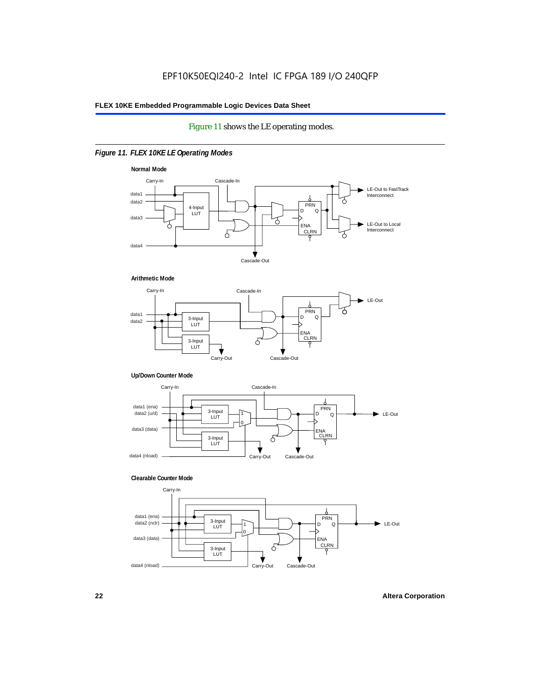# Figure 11 shows the LE operating modes.

# *Figure 11. FLEX 10KE LE Operating Modes*









#### **Clearable Counter Mode**

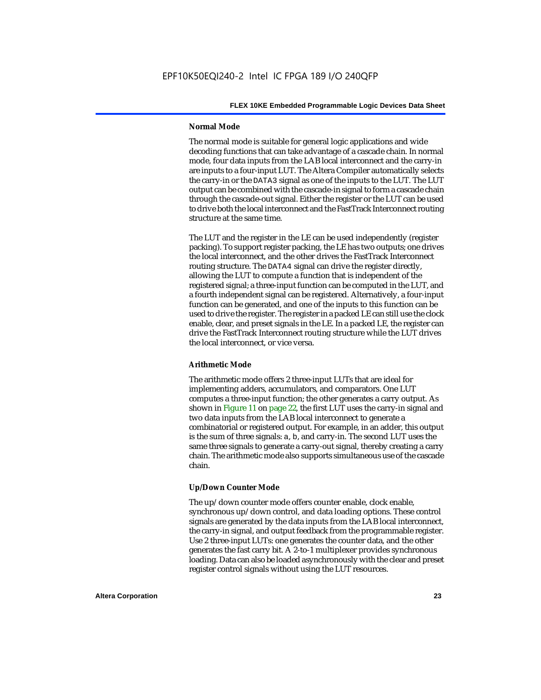#### **Normal Mode**

The normal mode is suitable for general logic applications and wide decoding functions that can take advantage of a cascade chain. In normal mode, four data inputs from the LAB local interconnect and the carry-in are inputs to a four-input LUT. The Altera Compiler automatically selects the carry-in or the DATA3 signal as one of the inputs to the LUT. The LUT output can be combined with the cascade-in signal to form a cascade chain through the cascade-out signal. Either the register or the LUT can be used to drive both the local interconnect and the FastTrack Interconnect routing structure at the same time.

The LUT and the register in the LE can be used independently (register packing). To support register packing, the LE has two outputs; one drives the local interconnect, and the other drives the FastTrack Interconnect routing structure. The DATA4 signal can drive the register directly, allowing the LUT to compute a function that is independent of the registered signal; a three-input function can be computed in the LUT, and a fourth independent signal can be registered. Alternatively, a four-input function can be generated, and one of the inputs to this function can be used to drive the register. The register in a packed LE can still use the clock enable, clear, and preset signals in the LE. In a packed LE, the register can drive the FastTrack Interconnect routing structure while the LUT drives the local interconnect, or vice versa.

#### **Arithmetic Mode**

The arithmetic mode offers 2 three-input LUTs that are ideal for implementing adders, accumulators, and comparators. One LUT computes a three-input function; the other generates a carry output. As shown in Figure 11 on page 22, the first LUT uses the carry-in signal and two data inputs from the LAB local interconnect to generate a combinatorial or registered output. For example, in an adder, this output is the sum of three signals: a, b, and carry-in. The second LUT uses the same three signals to generate a carry-out signal, thereby creating a carry chain. The arithmetic mode also supports simultaneous use of the cascade chain.

# **Up/Down Counter Mode**

The up/down counter mode offers counter enable, clock enable, synchronous up/down control, and data loading options. These control signals are generated by the data inputs from the LAB local interconnect, the carry-in signal, and output feedback from the programmable register. Use 2 three-input LUTs: one generates the counter data, and the other generates the fast carry bit. A 2-to-1 multiplexer provides synchronous loading. Data can also be loaded asynchronously with the clear and preset register control signals without using the LUT resources.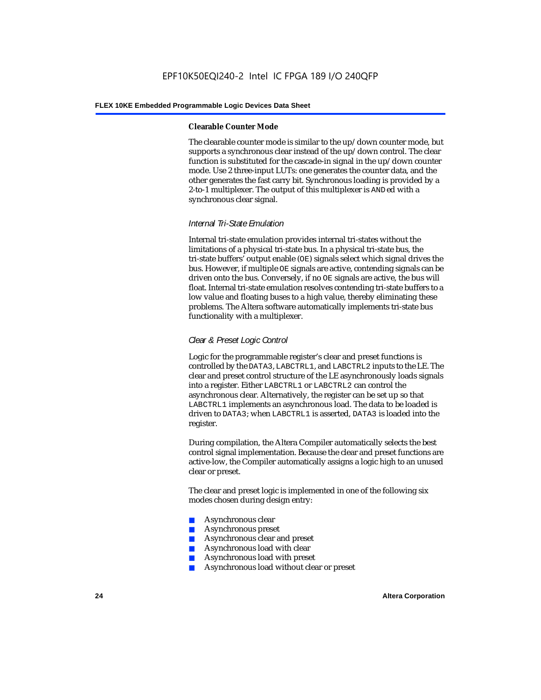#### **Clearable Counter Mode**

The clearable counter mode is similar to the up/down counter mode, but supports a synchronous clear instead of the up/down control. The clear function is substituted for the cascade-in signal in the up/down counter mode. Use 2 three-input LUTs: one generates the counter data, and the other generates the fast carry bit. Synchronous loading is provided by a 2-to-1 multiplexer. The output of this multiplexer is ANDed with a synchronous clear signal.

# *Internal Tri-State Emulation*

Internal tri-state emulation provides internal tri-states without the limitations of a physical tri-state bus. In a physical tri-state bus, the tri-state buffers' output enable (OE) signals select which signal drives the bus. However, if multiple OE signals are active, contending signals can be driven onto the bus. Conversely, if no OE signals are active, the bus will float. Internal tri-state emulation resolves contending tri-state buffers to a low value and floating buses to a high value, thereby eliminating these problems. The Altera software automatically implements tri-state bus functionality with a multiplexer.

# *Clear & Preset Logic Control*

Logic for the programmable register's clear and preset functions is controlled by the DATA3, LABCTRL1, and LABCTRL2 inputs to the LE. The clear and preset control structure of the LE asynchronously loads signals into a register. Either LABCTRL1 or LABCTRL2 can control the asynchronous clear. Alternatively, the register can be set up so that LABCTRL1 implements an asynchronous load. The data to be loaded is driven to DATA3; when LABCTRL1 is asserted, DATA3 is loaded into the register.

During compilation, the Altera Compiler automatically selects the best control signal implementation. Because the clear and preset functions are active-low, the Compiler automatically assigns a logic high to an unused clear or preset.

The clear and preset logic is implemented in one of the following six modes chosen during design entry:

- Asynchronous clear
- Asynchronous preset
- Asynchronous clear and preset
- Asynchronous load with clear
- Asynchronous load with preset
- Asynchronous load without clear or preset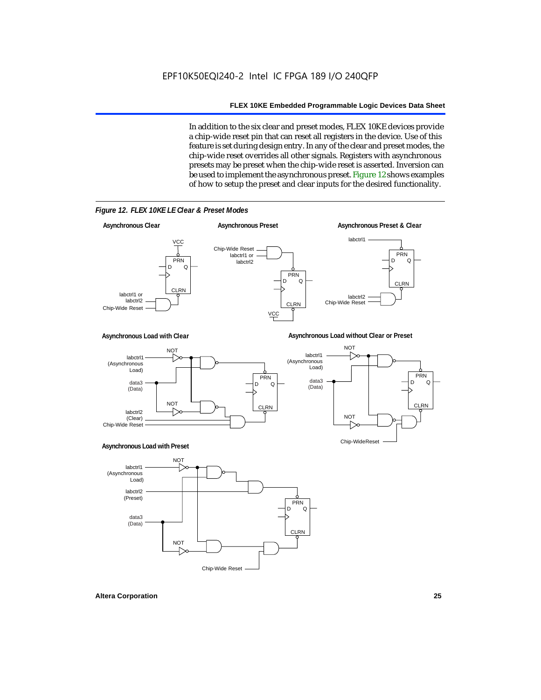In addition to the six clear and preset modes, FLEX 10KE devices provide a chip-wide reset pin that can reset all registers in the device. Use of this feature is set during design entry. In any of the clear and preset modes, the chip-wide reset overrides all other signals. Registers with asynchronous presets may be preset when the chip-wide reset is asserted. Inversion can be used to implement the asynchronous preset. Figure 12 shows examples of how to setup the preset and clear inputs for the desired functionality.



*Figure 12. FLEX 10KE LE Clear & Preset Modes*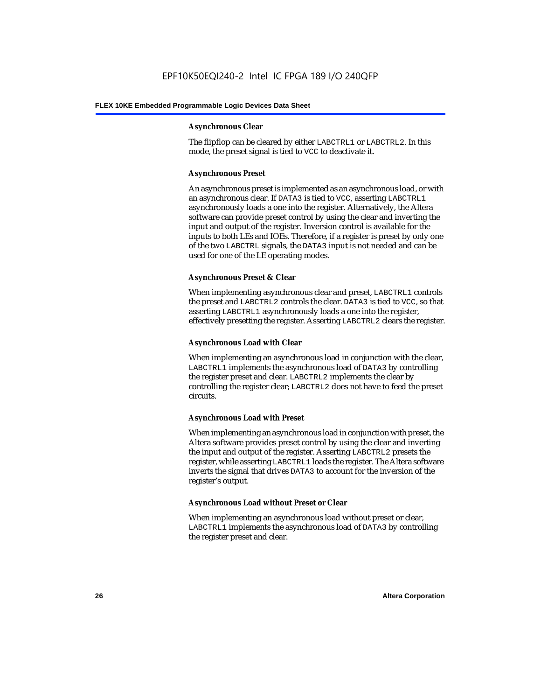#### **Asynchronous Clear**

The flipflop can be cleared by either LABCTRL1 or LABCTRL2. In this mode, the preset signal is tied to VCC to deactivate it.

## **Asynchronous Preset**

An asynchronous preset is implemented as an asynchronous load, or with an asynchronous clear. If DATA3 is tied to VCC, asserting LABCTRL1 asynchronously loads a one into the register. Alternatively, the Altera software can provide preset control by using the clear and inverting the input and output of the register. Inversion control is available for the inputs to both LEs and IOEs. Therefore, if a register is preset by only one of the two LABCTRL signals, the DATA3 input is not needed and can be used for one of the LE operating modes.

# **Asynchronous Preset & Clear**

When implementing asynchronous clear and preset, LABCTRL1 controls the preset and LABCTRL2 controls the clear. DATA3 is tied to VCC, so that asserting LABCTRL1 asynchronously loads a one into the register, effectively presetting the register. Asserting LABCTRL2 clears the register.

## **Asynchronous Load with Clear**

When implementing an asynchronous load in conjunction with the clear, LABCTRL1 implements the asynchronous load of DATA3 by controlling the register preset and clear. LABCTRL2 implements the clear by controlling the register clear; LABCTRL2 does not have to feed the preset circuits.

# **Asynchronous Load with Preset**

When implementing an asynchronous load in conjunction with preset, the Altera software provides preset control by using the clear and inverting the input and output of the register. Asserting LABCTRL2 presets the register, while asserting LABCTRL1 loads the register. The Altera software inverts the signal that drives DATA3 to account for the inversion of the register's output.

#### **Asynchronous Load without Preset or Clear**

When implementing an asynchronous load without preset or clear, LABCTRL1 implements the asynchronous load of DATA3 by controlling the register preset and clear.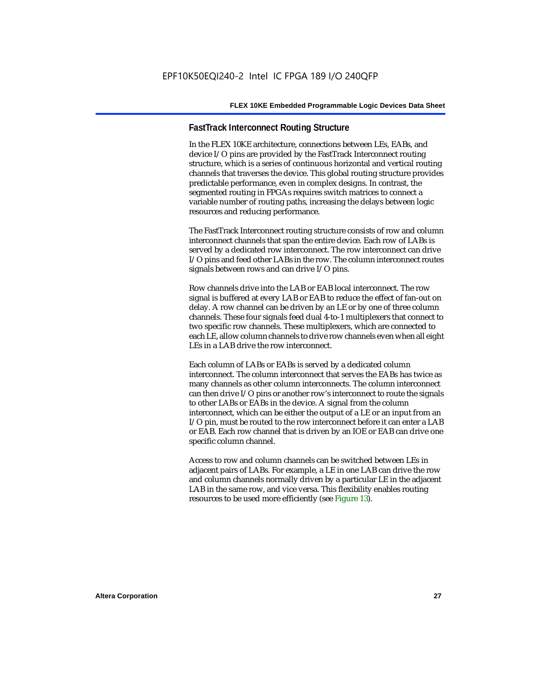# **FastTrack Interconnect Routing Structure**

In the FLEX 10KE architecture, connections between LEs, EABs, and device I/O pins are provided by the FastTrack Interconnect routing structure, which is a series of continuous horizontal and vertical routing channels that traverses the device. This global routing structure provides predictable performance, even in complex designs. In contrast, the segmented routing in FPGAs requires switch matrices to connect a variable number of routing paths, increasing the delays between logic resources and reducing performance.

The FastTrack Interconnect routing structure consists of row and column interconnect channels that span the entire device. Each row of LABs is served by a dedicated row interconnect. The row interconnect can drive I/O pins and feed other LABs in the row. The column interconnect routes signals between rows and can drive I/O pins.

Row channels drive into the LAB or EAB local interconnect. The row signal is buffered at every LAB or EAB to reduce the effect of fan-out on delay. A row channel can be driven by an LE or by one of three column channels. These four signals feed dual 4-to-1 multiplexers that connect to two specific row channels. These multiplexers, which are connected to each LE, allow column channels to drive row channels even when all eight LEs in a LAB drive the row interconnect.

Each column of LABs or EABs is served by a dedicated column interconnect. The column interconnect that serves the EABs has twice as many channels as other column interconnects. The column interconnect can then drive I/O pins or another row's interconnect to route the signals to other LABs or EABs in the device. A signal from the column interconnect, which can be either the output of a LE or an input from an I/O pin, must be routed to the row interconnect before it can enter a LAB or EAB. Each row channel that is driven by an IOE or EAB can drive one specific column channel.

Access to row and column channels can be switched between LEs in adjacent pairs of LABs. For example, a LE in one LAB can drive the row and column channels normally driven by a particular LE in the adjacent LAB in the same row, and vice versa. This flexibility enables routing resources to be used more efficiently (see Figure 13).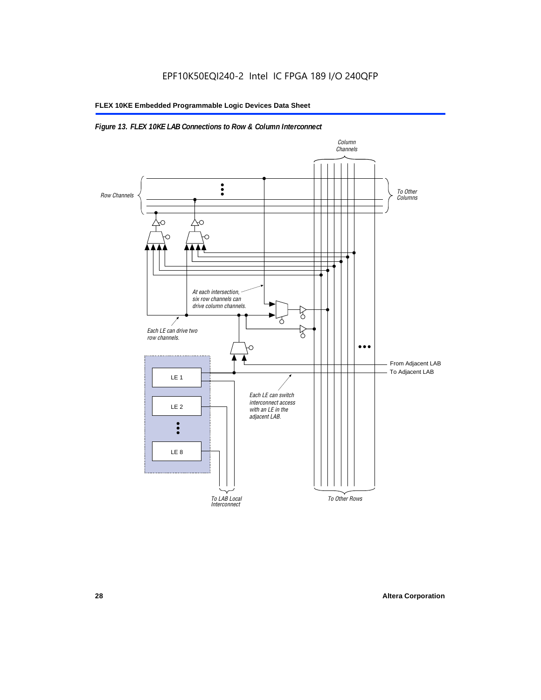# *Figure 13. FLEX 10KE LAB Connections to Row & Column Interconnect*

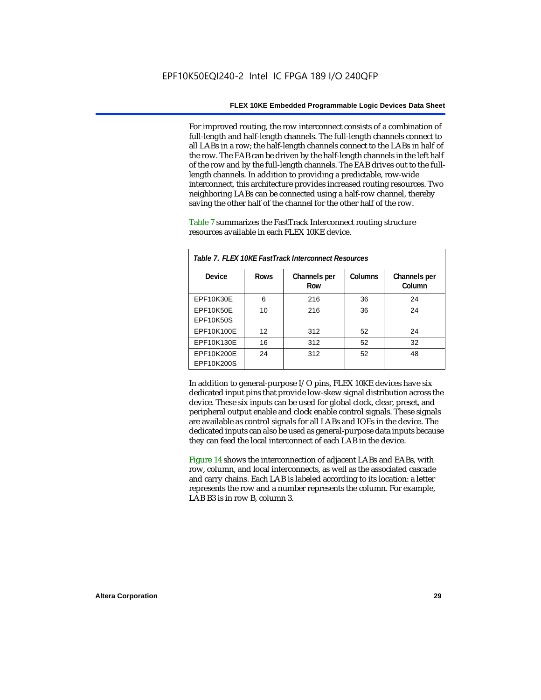For improved routing, the row interconnect consists of a combination of full-length and half-length channels. The full-length channels connect to all LABs in a row; the half-length channels connect to the LABs in half of the row. The EAB can be driven by the half-length channels in the left half of the row and by the full-length channels. The EAB drives out to the fulllength channels. In addition to providing a predictable, row-wide interconnect, this architecture provides increased routing resources. Two neighboring LABs can be connected using a half-row channel, thereby saving the other half of the channel for the other half of the row.

Table 7 summarizes the FastTrack Interconnect routing structure resources available in each FLEX 10KE device.

| Table 7. FLEX 10KE FastTrack Interconnect Resources |             |                     |         |                        |
|-----------------------------------------------------|-------------|---------------------|---------|------------------------|
| Device                                              | <b>Rows</b> | Channels per<br>Row | Columns | Channels per<br>Column |
| <b>EPF10K30E</b>                                    | 6           | 216                 | 36      | 24                     |
| EPF10K50E<br>EPF10K50S                              | 10          | 216                 | 36      | 24                     |
| EPF10K100E                                          | 12          | 312                 | 52      | 24                     |
| EPF10K130E                                          | 16          | 312                 | 52      | 32                     |
| EPF10K200E<br>EPF10K200S                            | 24          | 312                 | 52      | 48                     |

In addition to general-purpose I/O pins, FLEX 10KE devices have six dedicated input pins that provide low-skew signal distribution across the device. These six inputs can be used for global clock, clear, preset, and peripheral output enable and clock enable control signals. These signals are available as control signals for all LABs and IOEs in the device. The dedicated inputs can also be used as general-purpose data inputs because they can feed the local interconnect of each LAB in the device.

Figure 14 shows the interconnection of adjacent LABs and EABs, with row, column, and local interconnects, as well as the associated cascade and carry chains. Each LAB is labeled according to its location: a letter represents the row and a number represents the column. For example, LAB B3 is in row B, column 3.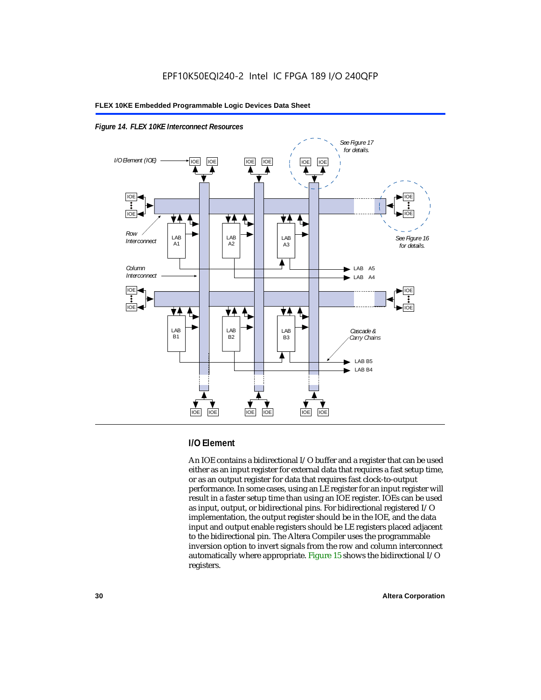



# **I/O Element**

An IOE contains a bidirectional I/O buffer and a register that can be used either as an input register for external data that requires a fast setup time, or as an output register for data that requires fast clock-to-output performance. In some cases, using an LE register for an input register will result in a faster setup time than using an IOE register. IOEs can be used as input, output, or bidirectional pins. For bidirectional registered I/O implementation, the output register should be in the IOE, and the data input and output enable registers should be LE registers placed adjacent to the bidirectional pin. The Altera Compiler uses the programmable inversion option to invert signals from the row and column interconnect automatically where appropriate. Figure 15 shows the bidirectional I/O registers.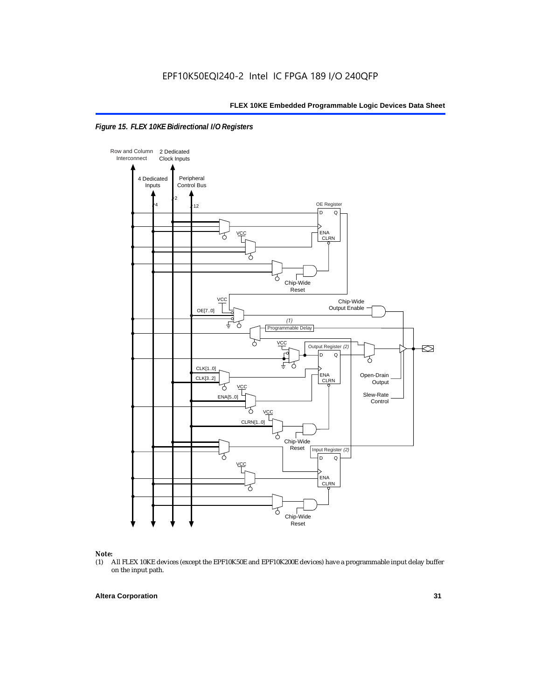



# *Note:*<br>(1) *A*

(1) All FLEX 10KE devices (except the EPF10K50E and EPF10K200E devices) have a programmable input delay buffer on the input path.

## **Altera Corporation 31**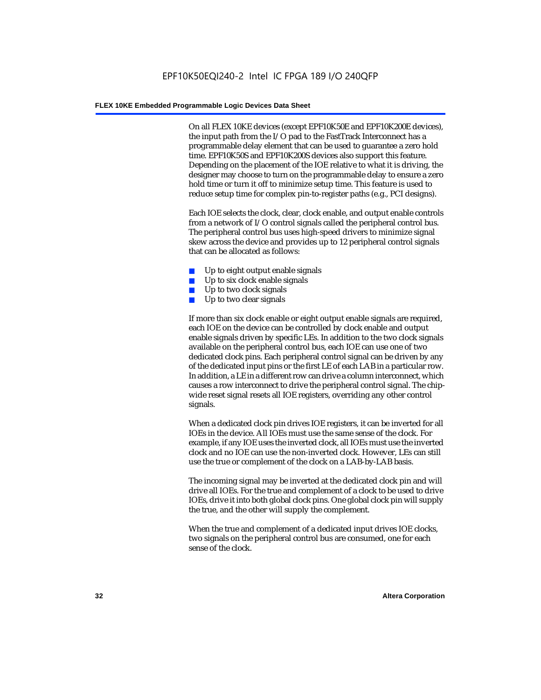On all FLEX 10KE devices (except EPF10K50E and EPF10K200E devices), the input path from the I/O pad to the FastTrack Interconnect has a programmable delay element that can be used to guarantee a zero hold time. EPF10K50S and EPF10K200S devices also support this feature. Depending on the placement of the IOE relative to what it is driving, the designer may choose to turn on the programmable delay to ensure a zero hold time or turn it off to minimize setup time. This feature is used to reduce setup time for complex pin-to-register paths (e.g., PCI designs).

Each IOE selects the clock, clear, clock enable, and output enable controls from a network of I/O control signals called the peripheral control bus. The peripheral control bus uses high-speed drivers to minimize signal skew across the device and provides up to 12 peripheral control signals that can be allocated as follows:

- Up to eight output enable signals
- Up to six clock enable signals
- Up to two clock signals
- Up to two clear signals

If more than six clock enable or eight output enable signals are required, each IOE on the device can be controlled by clock enable and output enable signals driven by specific LEs. In addition to the two clock signals available on the peripheral control bus, each IOE can use one of two dedicated clock pins. Each peripheral control signal can be driven by any of the dedicated input pins or the first LE of each LAB in a particular row. In addition, a LE in a different row can drive a column interconnect, which causes a row interconnect to drive the peripheral control signal. The chipwide reset signal resets all IOE registers, overriding any other control signals.

When a dedicated clock pin drives IOE registers, it can be inverted for all IOEs in the device. All IOEs must use the same sense of the clock. For example, if any IOE uses the inverted clock, all IOEs must use the inverted clock and no IOE can use the non-inverted clock. However, LEs can still use the true or complement of the clock on a LAB-by-LAB basis.

The incoming signal may be inverted at the dedicated clock pin and will drive all IOEs. For the true and complement of a clock to be used to drive IOEs, drive it into both global clock pins. One global clock pin will supply the true, and the other will supply the complement.

When the true and complement of a dedicated input drives IOE clocks, two signals on the peripheral control bus are consumed, one for each sense of the clock.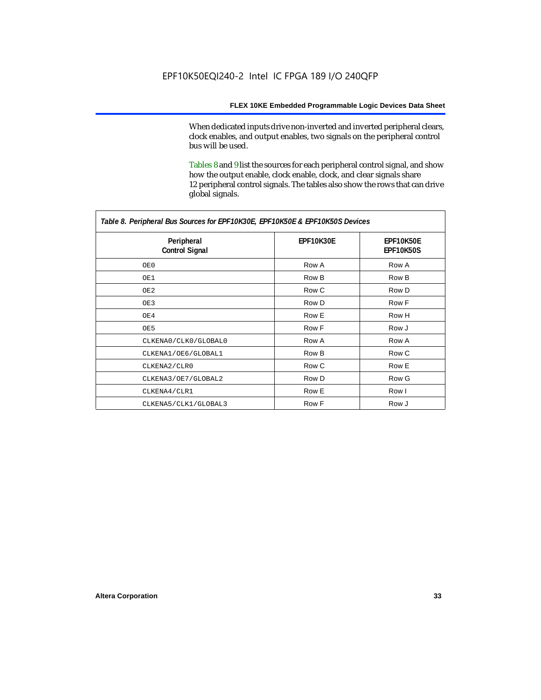When dedicated inputs drive non-inverted and inverted peripheral clears, clock enables, and output enables, two signals on the peripheral control bus will be used.

Tables 8 and 9 list the sources for each peripheral control signal, and show how the output enable, clock enable, clock, and clear signals share 12 peripheral control signals. The tables also show the rows that can drive global signals.

| Table 8. Peripheral Bus Sources for EPF10K30E, EPF10K50E & EPF10K50S Devices |                  |                               |  |  |
|------------------------------------------------------------------------------|------------------|-------------------------------|--|--|
| Peripheral<br><b>Control Signal</b>                                          | <b>EPF10K30E</b> | EPF10K50E<br><b>EPF10K50S</b> |  |  |
| OE0                                                                          | Row A            | Row A                         |  |  |
| OE1                                                                          | Row B            | Row B                         |  |  |
| OE2                                                                          | Row C            | Row D                         |  |  |
| OE3                                                                          | Row D            | Row F                         |  |  |
| OE4                                                                          | Row E            | Row H                         |  |  |
| OE5                                                                          | Row F            | Row J                         |  |  |
| CLKENA0/CLK0/GLOBAL0                                                         | Row A            | Row A                         |  |  |
| CLKENA1/OE6/GLOBAL1                                                          | Row B            | Row C                         |  |  |
| CLKENA2/CLR0                                                                 | Row C            | Row E                         |  |  |
| CLKENA3/OE7/GLOBAL2                                                          | Row D            | Row G                         |  |  |
| CLKENA4/CLR1                                                                 | Row E            | Row I                         |  |  |
| CLKENA5/CLK1/GLOBAL3                                                         | Row F            | Row J                         |  |  |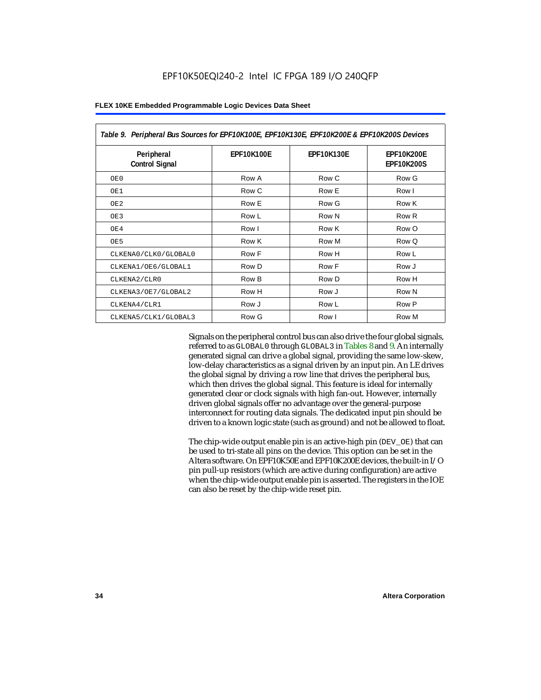| Table 9. Peripheral Bus Sources for EPF10K100E, EPF10K130E, EPF10K200E & EPF10K200S Devices |                   |                   |                                        |  |
|---------------------------------------------------------------------------------------------|-------------------|-------------------|----------------------------------------|--|
| Peripheral<br><b>Control Signal</b>                                                         | <b>EPF10K100E</b> | <b>EPF10K130E</b> | <b>EPF10K200E</b><br><b>EPF10K200S</b> |  |
| OE0                                                                                         | Row A             | Row C             | Row G                                  |  |
| OE1                                                                                         | Row C             | Row E             | Row I                                  |  |
| OE <sub>2</sub>                                                                             | Row E             | Row G             | Row K                                  |  |
| OE3                                                                                         | Row L             | Row N             | Row <sub>R</sub>                       |  |
| OE4                                                                                         | Row I             | Row K             | Row O                                  |  |
| OE5                                                                                         | Row K             | Row M             | Row Q                                  |  |
| CLKENA0/CLK0/GLOBAL0                                                                        | Row F             | Row H             | Row L                                  |  |
| CLKENA1/OE6/GLOBAL1                                                                         | Row D             | Row F             | Row J                                  |  |
| CLKENA2/CLR0                                                                                | Row B             | Row D             | Row H                                  |  |
| CLKENA3/OE7/GLOBAL2                                                                         | Row H             | Row J             | Row N                                  |  |
| CLKENA4/CLR1                                                                                | Row J             | Row L             | Row P                                  |  |
| CLKENA5/CLK1/GLOBAL3                                                                        | Row G             | Row I             | Row M                                  |  |

Signals on the peripheral control bus can also drive the four global signals, referred to as GLOBAL0 through GLOBAL3 in Tables 8 and 9. An internally generated signal can drive a global signal, providing the same low-skew, low-delay characteristics as a signal driven by an input pin. An LE drives the global signal by driving a row line that drives the peripheral bus, which then drives the global signal. This feature is ideal for internally generated clear or clock signals with high fan-out. However, internally driven global signals offer no advantage over the general-purpose interconnect for routing data signals. The dedicated input pin should be driven to a known logic state (such as ground) and not be allowed to float.

The chip-wide output enable pin is an active-high pin (DEV\_OE) that can be used to tri-state all pins on the device. This option can be set in the Altera software. On EPF10K50E and EPF10K200E devices, the built-in I/O pin pull-up resistors (which are active during configuration) are active when the chip-wide output enable pin is asserted. The registers in the IOE can also be reset by the chip-wide reset pin.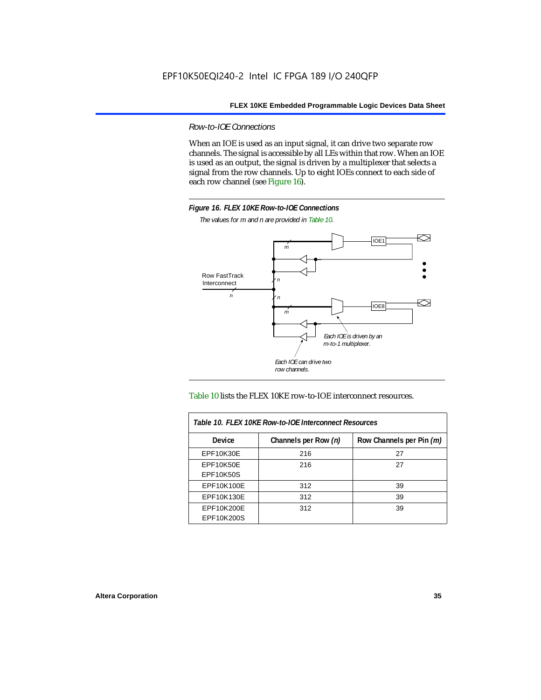*Row-to-IOE Connections*

When an IOE is used as an input signal, it can drive two separate row channels. The signal is accessible by all LEs within that row. When an IOE is used as an output, the signal is driven by a multiplexer that selects a signal from the row channels. Up to eight IOEs connect to each side of each row channel (see Figure 16).



*The values for m and n are provided in Table 10.*





| Table 10. FLEX 10KE Row-to-IOE Interconnect Resources |                      |                          |  |  |  |
|-------------------------------------------------------|----------------------|--------------------------|--|--|--|
| <b>Device</b>                                         | Channels per Row (n) | Row Channels per Pin (m) |  |  |  |
| <b>EPF10K30E</b>                                      | 216                  | 27                       |  |  |  |
| <b>EPF10K50E</b>                                      | 216                  | 27                       |  |  |  |
| <b>EPF10K50S</b>                                      |                      |                          |  |  |  |
| EPF10K100E                                            | 312                  | 39                       |  |  |  |
| EPF10K130E                                            | 312                  | 39                       |  |  |  |
| EPF10K200E<br>EPF10K200S                              | 312                  | 39                       |  |  |  |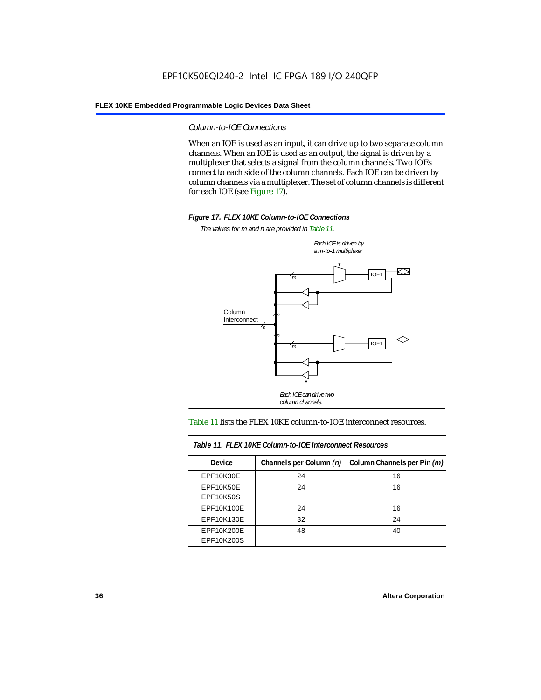*Column-to-IOE Connections*

When an IOE is used as an input, it can drive up to two separate column channels. When an IOE is used as an output, the signal is driven by a multiplexer that selects a signal from the column channels. Two IOEs connect to each side of the column channels. Each IOE can be driven by column channels via a multiplexer. The set of column channels is different for each IOE (see Figure 17).



*The values for m and n are provided in Table 11.*



### Table 11 lists the FLEX 10KE column-to-IOE interconnect resources.

| Table 11. FLEX 10KE Column-to-IOE Interconnect Resources                |    |    |  |  |  |
|-------------------------------------------------------------------------|----|----|--|--|--|
| Column Channels per Pin (m)<br>Channels per Column (n)<br><b>Device</b> |    |    |  |  |  |
| EPF10K30E                                                               | 24 | 16 |  |  |  |
| <b>EPF10K50E</b><br><b>EPF10K50S</b>                                    | 24 | 16 |  |  |  |
| EPF10K100E                                                              | 24 | 16 |  |  |  |
| EPF10K130E                                                              | 32 | 24 |  |  |  |
| EPF10K200E<br>EPF10K200S                                                | 48 | 40 |  |  |  |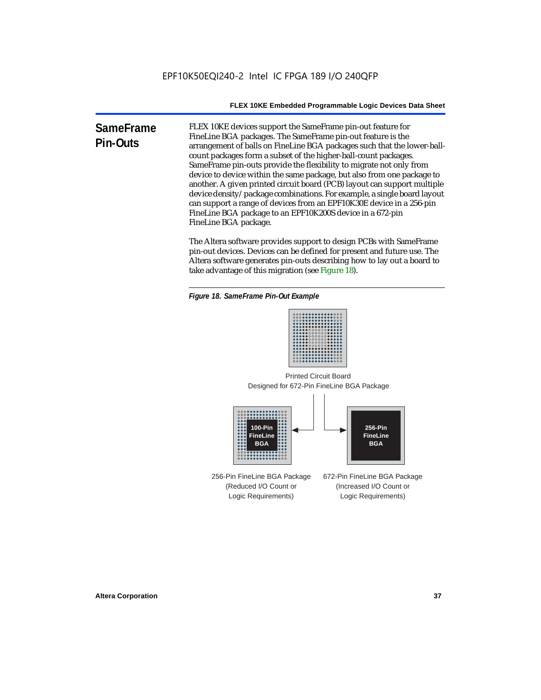**SameFrame Pin-Outs** FLEX 10KE devices support the SameFrame pin-out feature for FineLine BGA packages. The SameFrame pin-out feature is the arrangement of balls on FineLine BGA packages such that the lower-ballcount packages form a subset of the higher-ball-count packages. SameFrame pin-outs provide the flexibility to migrate not only from device to device within the same package, but also from one package to another. A given printed circuit board (PCB) layout can support multiple device density/package combinations. For example, a single board layout can support a range of devices from an EPF10K30E device in a 256-pin FineLine BGA package to an EPF10K200S device in a 672-pin FineLine BGA package.

> The Altera software provides support to design PCBs with SameFrame pin-out devices. Devices can be defined for present and future use. The Altera software generates pin-outs describing how to lay out a board to take advantage of this migration (see Figure 18).





Designed for 672-Pin FineLine BGA Package Printed Circuit Board



256-Pin FineLine BGA Package (Reduced I/O Count or Logic Requirements) 672-Pin FineLine BGA Package (Increased I/O Count or Logic Requirements)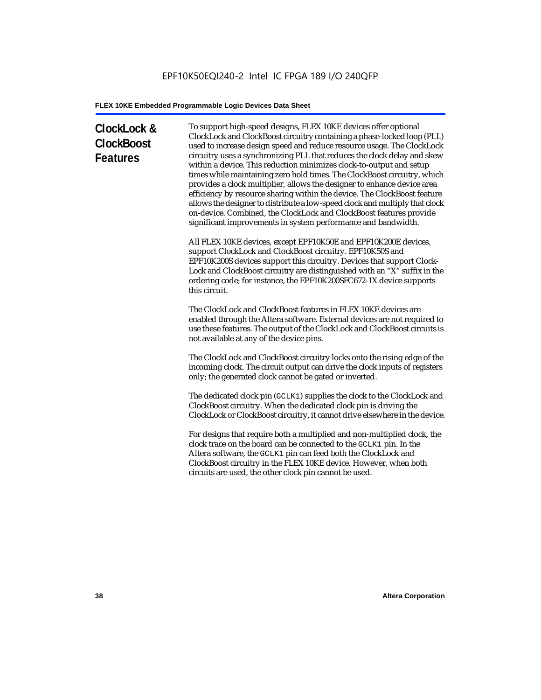# **ClockLock & ClockBoost Features**

To support high-speed designs, FLEX 10KE devices offer optional ClockLock and ClockBoost circuitry containing a phase-locked loop (PLL) used to increase design speed and reduce resource usage. The ClockLock circuitry uses a synchronizing PLL that reduces the clock delay and skew within a device. This reduction minimizes clock-to-output and setup times while maintaining zero hold times. The ClockBoost circuitry, which provides a clock multiplier, allows the designer to enhance device area efficiency by resource sharing within the device. The ClockBoost feature allows the designer to distribute a low-speed clock and multiply that clock on-device. Combined, the ClockLock and ClockBoost features provide significant improvements in system performance and bandwidth.

All FLEX 10KE devices, except EPF10K50E and EPF10K200E devices, support ClockLock and ClockBoost circuitry. EPF10K50S and EPF10K200S devices support this circuitry. Devices that support Clock-Lock and ClockBoost circuitry are distinguished with an "X" suffix in the ordering code; for instance, the EPF10K200SFC672-1X device supports this circuit.

The ClockLock and ClockBoost features in FLEX 10KE devices are enabled through the Altera software. External devices are not required to use these features. The output of the ClockLock and ClockBoost circuits is not available at any of the device pins.

The ClockLock and ClockBoost circuitry locks onto the rising edge of the incoming clock. The circuit output can drive the clock inputs of registers only; the generated clock cannot be gated or inverted.

The dedicated clock pin (GCLK1) supplies the clock to the ClockLock and ClockBoost circuitry. When the dedicated clock pin is driving the ClockLock or ClockBoost circuitry, it cannot drive elsewhere in the device.

For designs that require both a multiplied and non-multiplied clock, the clock trace on the board can be connected to the GCLK1 pin. In the Altera software, the GCLK1 pin can feed both the ClockLock and ClockBoost circuitry in the FLEX 10KE device. However, when both circuits are used, the other clock pin cannot be used.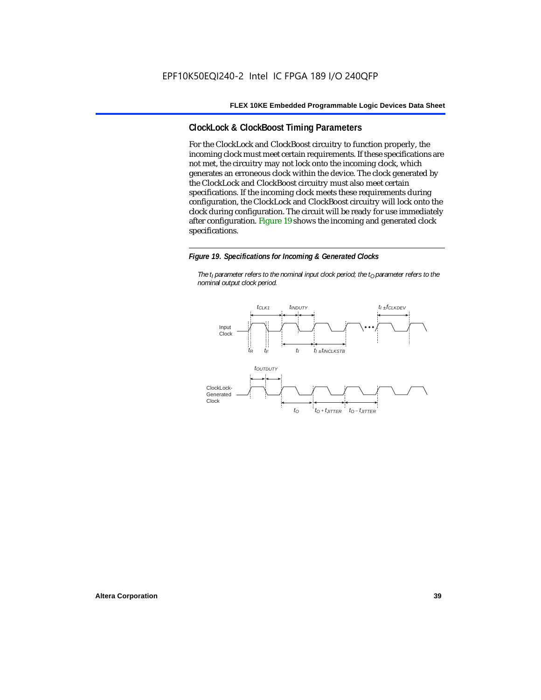# **ClockLock & ClockBoost Timing Parameters**

For the ClockLock and ClockBoost circuitry to function properly, the incoming clock must meet certain requirements. If these specifications are not met, the circuitry may not lock onto the incoming clock, which generates an erroneous clock within the device. The clock generated by the ClockLock and ClockBoost circuitry must also meet certain specifications. If the incoming clock meets these requirements during configuration, the ClockLock and ClockBoost circuitry will lock onto the clock during configuration. The circuit will be ready for use immediately after configuration. Figure 19 shows the incoming and generated clock specifications.

#### *Figure 19. Specifications for Incoming & Generated Clocks*

*The t<sub>I</sub> parameter refers to the nominal input clock period; the t<sub>0</sub> parameter refers to the nominal output clock period.*

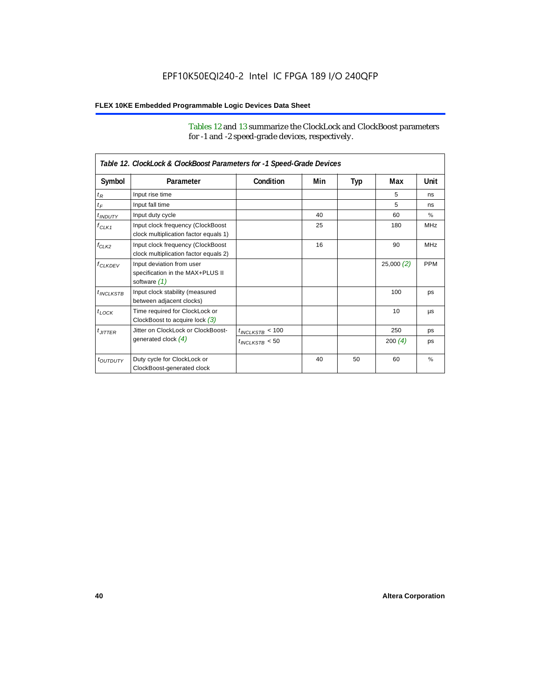# **FLEX 10KE Embedded Programmable Logic Devices Data Sheet**

Tables 12 and 13 summarize the ClockLock and ClockBoost parameters for -1 and -2 speed-grade devices, respectively.

| Table 12. ClockLock & ClockBoost Parameters for -1 Speed-Grade Devices |                                                                               |                      |     |     |           |               |
|------------------------------------------------------------------------|-------------------------------------------------------------------------------|----------------------|-----|-----|-----------|---------------|
| Symbol                                                                 | Parameter                                                                     | Condition            | Min | Typ | Max       | Unit          |
| $t_R$                                                                  | Input rise time                                                               |                      |     |     | 5         | ns            |
| $t_F$                                                                  | Input fall time                                                               |                      |     |     | 5         | ns            |
| $t$ <sub>INDUTY</sub>                                                  | Input duty cycle                                                              |                      | 40  |     | 60        | $\%$          |
| $f_{CLK1}$                                                             | Input clock frequency (ClockBoost<br>clock multiplication factor equals 1)    |                      | 25  |     | 180       | <b>MHz</b>    |
| $f_{CLK2}$                                                             | Input clock frequency (ClockBoost<br>clock multiplication factor equals 2)    |                      | 16  |     | 90        | <b>MHz</b>    |
| $f_{CLKDFV}$                                                           | Input deviation from user<br>specification in the MAX+PLUS II<br>software (1) |                      |     |     | 25,000(2) | <b>PPM</b>    |
| $t_{INCLKSTB}$                                                         | Input clock stability (measured<br>between adjacent clocks)                   |                      |     |     | 100       | ps            |
| $t_{LOCK}$                                                             | Time required for ClockLock or<br>ClockBoost to acquire lock $(3)$            |                      |     |     | 10        | <b>US</b>     |
| $t_{JITTER}$                                                           | Jitter on ClockLock or ClockBoost-                                            | $t_{INCLKSTB} < 100$ |     |     | 250       | ps            |
|                                                                        | generated clock $(4)$                                                         | $t_{INCLKSTB}$ < 50  |     |     | 200(4)    | ps            |
| <i>toutbuty</i>                                                        | Duty cycle for ClockLock or<br>ClockBoost-generated clock                     |                      | 40  | 50  | 60        | $\frac{9}{6}$ |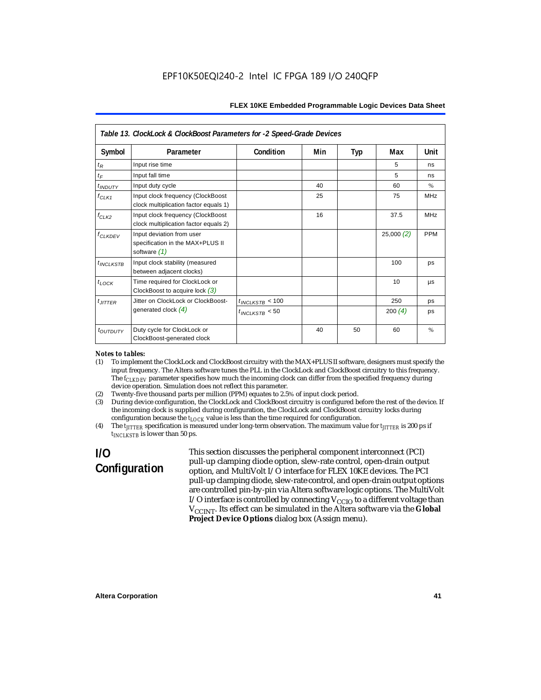| Table 13. ClockLock & ClockBoost Parameters for -2 Speed-Grade Devices |                                                                                 |                      |     |     |           |               |  |
|------------------------------------------------------------------------|---------------------------------------------------------------------------------|----------------------|-----|-----|-----------|---------------|--|
| Symbol                                                                 | Parameter                                                                       | Condition            | Min | Typ | Max       | Unit          |  |
| $t_{R}$                                                                | Input rise time                                                                 |                      |     |     | 5         | ns            |  |
| $t_F$                                                                  | Input fall time                                                                 |                      |     |     | 5         | ns            |  |
| $t$ <sub>INDUTY</sub>                                                  | Input duty cycle                                                                |                      | 40  |     | 60        | $\frac{0}{0}$ |  |
| $f_{CLK1}$                                                             | Input clock frequency (ClockBoost<br>clock multiplication factor equals 1)      |                      | 25  |     | 75        | <b>MHz</b>    |  |
| $f_{CLK2}$                                                             | Input clock frequency (ClockBoost<br>clock multiplication factor equals 2)      |                      | 16  |     | 37.5      | <b>MHz</b>    |  |
| <b>f<sub>CLKDEV</sub></b>                                              | Input deviation from user<br>specification in the MAX+PLUS II<br>software $(1)$ |                      |     |     | 25,000(2) | <b>PPM</b>    |  |
| $t_{INCLKSTB}$                                                         | Input clock stability (measured<br>between adjacent clocks)                     |                      |     |     | 100       | ps            |  |
| $t_{LOCK}$                                                             | Time required for ClockLock or<br>ClockBoost to acquire lock $(3)$              |                      |     |     | 10        | μs            |  |
| $t_{JITTER}$                                                           | Jitter on ClockLock or ClockBoost-                                              | $t_{INCLKSTB}$ < 100 |     |     | 250       | ps            |  |
|                                                                        | generated clock $(4)$                                                           | $t_{INCLKSTB}$ < 50  |     |     | 200 $(4)$ | ps            |  |
| t <sub>OUTDUTY</sub>                                                   | Duty cycle for ClockLock or<br>ClockBoost-generated clock                       |                      | 40  | 50  | 60        | $\%$          |  |

#### *Notes to tables:*

- (1) To implement the ClockLock and ClockBoost circuitry with the MAX+PLUS II software, designers must specify the input frequency. The Altera software tunes the PLL in the ClockLock and ClockBoost circuitry to this frequency. The *f<sub>CLKDEV</sub>* parameter specifies how much the incoming clock can differ from the specified frequency during device operation. Simulation does not reflect this parameter.
- (2) Twenty-five thousand parts per million (PPM) equates to 2.5% of input clock period.<br>(3) During device configuration, the ClockLock and ClockBoost circuitry is configured b
- (3) During device configuration, the ClockLock and ClockBoost circuitry is configured before the rest of the device. If the incoming clock is supplied during configuration, the ClockLock and ClockBoost circuitry locks during configuration because the  $t_{LOCK}$  value is less than the time required for configuration.
- (4) The *tJITTER* specification is measured under long-term observation. The maximum value for *tJITTER* is 200 ps if  $t_{INCI KSTB}$  is lower than 50 ps.

# **I/O Configuration**

This section discusses the peripheral component interconnect (PCI) pull-up clamping diode option, slew-rate control, open-drain output option, and MultiVolt I/O interface for FLEX 10KE devices. The PCI pull-up clamping diode, slew-rate control, and open-drain output options are controlled pin-by-pin via Altera software logic options. The MultiVolt I/O interface is controlled by connecting  $V_{CCIO}$  to a different voltage than V<sub>CCINT</sub>. Its effect can be simulated in the Altera software via the Global **Project Device Options** dialog box (Assign menu).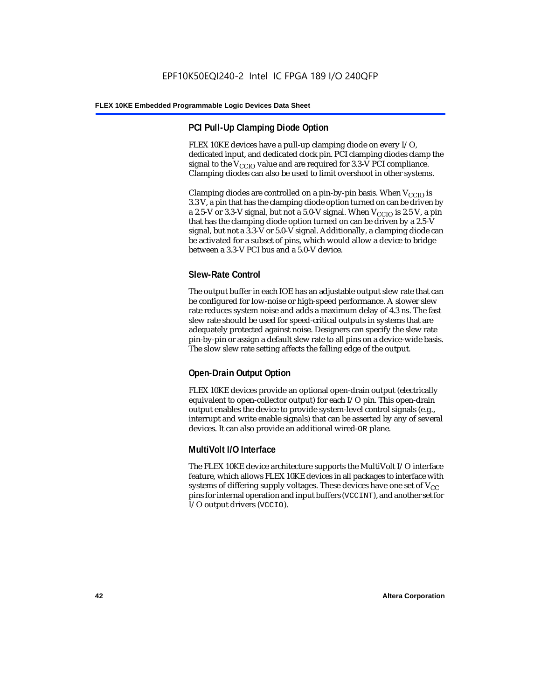# **PCI Pull-Up Clamping Diode Option**

FLEX 10KE devices have a pull-up clamping diode on every I/O, dedicated input, and dedicated clock pin. PCI clamping diodes clamp the signal to the  $V_{\text{CCIO}}$  value and are required for 3.3-V PCI compliance. Clamping diodes can also be used to limit overshoot in other systems.

Clamping diodes are controlled on a pin-by-pin basis. When  $V_{CCIO}$  is 3.3 V, a pin that has the clamping diode option turned on can be driven by a 2.5-V or 3.3-V signal, but not a 5.0-V signal. When  $V_{CCIO}$  is 2.5 V, a pin that has the clamping diode option turned on can be driven by a 2.5-V signal, but not a 3.3-V or 5.0-V signal. Additionally, a clamping diode can be activated for a subset of pins, which would allow a device to bridge between a 3.3-V PCI bus and a 5.0-V device.

# **Slew-Rate Control**

The output buffer in each IOE has an adjustable output slew rate that can be configured for low-noise or high-speed performance. A slower slew rate reduces system noise and adds a maximum delay of 4.3 ns. The fast slew rate should be used for speed-critical outputs in systems that are adequately protected against noise. Designers can specify the slew rate pin-by-pin or assign a default slew rate to all pins on a device-wide basis. The slow slew rate setting affects the falling edge of the output.

# **Open-Drain Output Option**

FLEX 10KE devices provide an optional open-drain output (electrically equivalent to open-collector output) for each I/O pin. This open-drain output enables the device to provide system-level control signals (e.g., interrupt and write enable signals) that can be asserted by any of several devices. It can also provide an additional wired-OR plane.

# **MultiVolt I/O Interface**

The FLEX 10KE device architecture supports the MultiVolt I/O interface feature, which allows FLEX 10KE devices in all packages to interface with systems of differing supply voltages. These devices have one set of  $V_{CC}$ pins for internal operation and input buffers (VCCINT), and another set for I/O output drivers (VCCIO).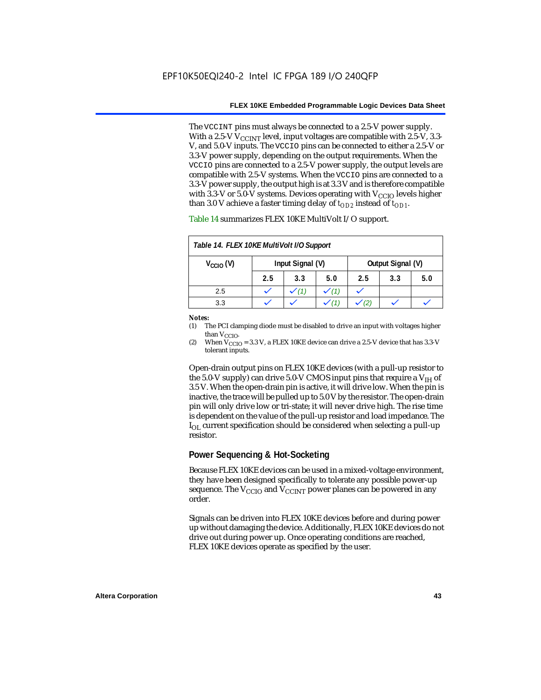The VCCINT pins must always be connected to a 2.5-V power supply. With a 2.5-V  $V_{CCMT}$  level, input voltages are compatible with 2.5-V, 3.3-V, and 5.0-V inputs. The VCCIO pins can be connected to either a 2.5-V or 3.3-V power supply, depending on the output requirements. When the VCCIO pins are connected to a 2.5-V power supply, the output levels are compatible with 2.5-V systems. When the VCCIO pins are connected to a 3.3-V power supply, the output high is at 3.3 V and is therefore compatible with 3.3-V or 5.0-V systems. Devices operating with  $V_{CCIO}$  levels higher than 3.0 V achieve a faster timing delay of  $t_{OD2}$  instead of  $t_{OD1}$ .

| Table 14. FLEX 10KE MultiVolt I/O Support |                                       |     |     |     |     |     |
|-------------------------------------------|---------------------------------------|-----|-----|-----|-----|-----|
| $V_{\text{CCIO}}(V)$                      | Input Signal (V)<br>Output Signal (V) |     |     |     |     |     |
|                                           | 2.5                                   | 3.3 | 5.0 | 2.5 | 3.3 | 5.0 |
| 2.5                                       |                                       |     |     |     |     |     |
| 3.3                                       |                                       |     |     |     |     |     |

Table 14 summarizes FLEX 10KE MultiVolt I/O support.

#### *Notes:*

(1) The PCI clamping diode must be disabled to drive an input with voltages higher than  $V_{CCIO}$ .

(2) When  $V_{\text{CCIO}} = 3.3$  V, a FLEX 10KE device can drive a 2.5-V device that has 3.3-V tolerant inputs.

Open-drain output pins on FLEX 10KE devices (with a pull-up resistor to the 5.0-V supply) can drive 5.0-V CMOS input pins that require a  $V_{\text{H}}$  of 3.5 V. When the open-drain pin is active, it will drive low. When the pin is inactive, the trace will be pulled up to 5.0 V by the resistor. The open-drain pin will only drive low or tri-state; it will never drive high. The rise time is dependent on the value of the pull-up resistor and load impedance. The  $I_{\text{OL}}$  current specification should be considered when selecting a pull-up resistor.

### **Power Sequencing & Hot-Socketing**

Because FLEX 10KE devices can be used in a mixed-voltage environment, they have been designed specifically to tolerate any possible power-up sequence. The  $V_{\text{CCIO}}$  and  $V_{\text{CCINT}}$  power planes can be powered in any order.

Signals can be driven into FLEX 10KE devices before and during power up without damaging the device. Additionally, FLEX 10KE devices do not drive out during power up. Once operating conditions are reached, FLEX 10KE devices operate as specified by the user.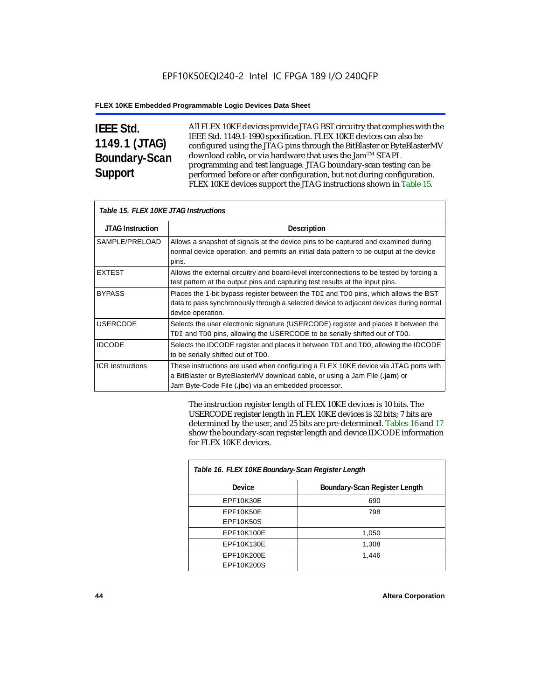# **IEEE Std. 1149.1 (JTAG) Boundary-Scan Support**

All FLEX 10KE devices provide JTAG BST circuitry that complies with the IEEE Std. 1149.1-1990 specification. FLEX 10KE devices can also be configured using the JTAG pins through the BitBlaster or ByteBlasterMV download cable, or via hardware that uses the Jam™ STAPL programming and test language. JTAG boundary-scan testing can be performed before or after configuration, but not during configuration. FLEX 10KE devices support the JTAG instructions shown in Table 15.

| Table 15. FLEX 10KE JTAG Instructions |                                                                                                                                                                                                                            |  |  |  |
|---------------------------------------|----------------------------------------------------------------------------------------------------------------------------------------------------------------------------------------------------------------------------|--|--|--|
| <b>JTAG Instruction</b>               | <b>Description</b>                                                                                                                                                                                                         |  |  |  |
| SAMPLE/PRELOAD                        | Allows a snapshot of signals at the device pins to be captured and examined during<br>normal device operation, and permits an initial data pattern to be output at the device<br>pins.                                     |  |  |  |
| <b>EXTEST</b>                         | Allows the external circuitry and board-level interconnections to be tested by forcing a<br>test pattern at the output pins and capturing test results at the input pins.                                                  |  |  |  |
| <b>BYPASS</b>                         | Places the 1-bit bypass register between the TDI and TDO pins, which allows the BST<br>data to pass synchronously through a selected device to adjacent devices during normal<br>device operation.                         |  |  |  |
| <b>USERCODE</b>                       | Selects the user electronic signature (USERCODE) register and places it between the<br>TDI and TDO pins, allowing the USERCODE to be serially shifted out of TDO.                                                          |  |  |  |
| <b>IDCODE</b>                         | Selects the IDCODE register and places it between TDI and TDO, allowing the IDCODE<br>to be serially shifted out of TDO.                                                                                                   |  |  |  |
| <b>ICR Instructions</b>               | These instructions are used when configuring a FLEX 10KE device via JTAG ports with<br>a BitBlaster or ByteBlasterMV download cable, or using a Jam File (.jam) or<br>Jam Byte-Code File (.jbc) via an embedded processor. |  |  |  |

The instruction register length of FLEX 10KE devices is 10 bits. The USERCODE register length in FLEX 10KE devices is 32 bits; 7 bits are determined by the user, and 25 bits are pre-determined. Tables 16 and 17 show the boundary-scan register length and device IDCODE information for FLEX 10KE devices.

| Table 16. FLEX 10KE Boundary-Scan Register Length |                               |  |  |  |
|---------------------------------------------------|-------------------------------|--|--|--|
| Device                                            | Boundary-Scan Register Length |  |  |  |
| EPF10K30E                                         | 690                           |  |  |  |
| EPF10K50E                                         | 798                           |  |  |  |
| <b>EPF10K50S</b>                                  |                               |  |  |  |
| EPF10K100E                                        | 1,050                         |  |  |  |
| EPF10K130E                                        | 1,308                         |  |  |  |
| EPF10K200E                                        | 1.446                         |  |  |  |
| EPF10K200S                                        |                               |  |  |  |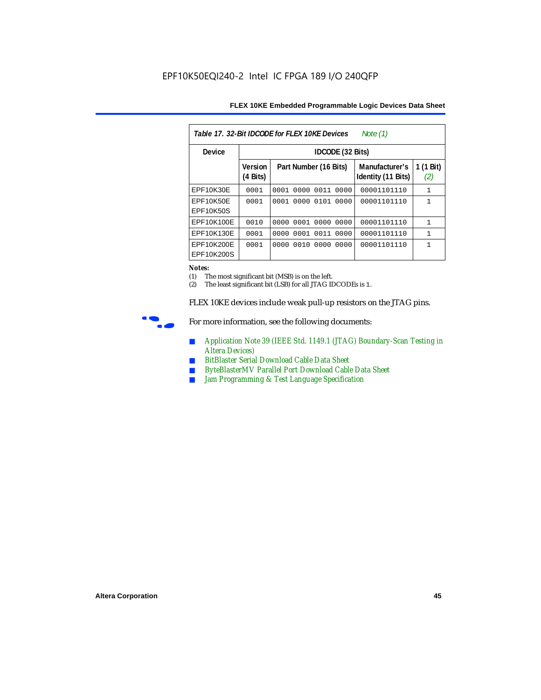|  | FLEX 10KE Embedded Programmable Logic Devices Data Sheet |
|--|----------------------------------------------------------|
|--|----------------------------------------------------------|

| Table 17, 32-Bit IDCODE for FLEX 10KE Devices<br>Note $(1)$ |                                      |                              |                                      |                  |  |  |  |
|-------------------------------------------------------------|--------------------------------------|------------------------------|--------------------------------------|------------------|--|--|--|
| Device                                                      |                                      | IDCODE (32 Bits)             |                                      |                  |  |  |  |
|                                                             | <b>Version</b><br>$(4 \text{ Bits})$ | Part Number (16 Bits)        | Manufacturer's<br>Identity (11 Bits) | 1 (1 Bit)<br>(2) |  |  |  |
| <b>EPF10K30E</b>                                            | 0001                                 | 0000<br>0011<br>0001<br>0000 | 00001101110                          | $\mathbf{1}$     |  |  |  |
| EPF10K50E<br>EPF10K50S                                      | 0001                                 | 0101<br>0000<br>0001<br>0000 | 00001101110                          | $\mathbf{1}$     |  |  |  |
| EPF10K100E                                                  | 0010                                 | 0000 0001 0000 0000          | 00001101110                          | $\mathbf{1}$     |  |  |  |
| EPF10K130E                                                  | 0001                                 | 0011<br>0001<br>0000<br>0000 | 00001101110                          | $\mathbf{1}$     |  |  |  |
| EPF10K200E<br>EPF10K200S                                    | 0001                                 | 0010<br>0000<br>0000<br>0000 | 00001101110                          | 1                |  |  |  |

#### *Notes:*

(1) The most significant bit (MSB) is on the left.

(2) The least significant bit (LSB) for all JTAG IDCODEs is 1.

FLEX 10KE devices include weak pull-up resistors on the JTAG pins.



For more information, see the following documents:

- *Application Note 39 (IEEE Std. 1149.1 (JTAG) Boundary-Scan Testing in Altera Devices)*
- *BitBlaster Serial Download Cable Data Sheet*
- *ByteBlasterMV Parallel Port Download Cable Data Sheet*
- *Jam Programming & Test Language Specification*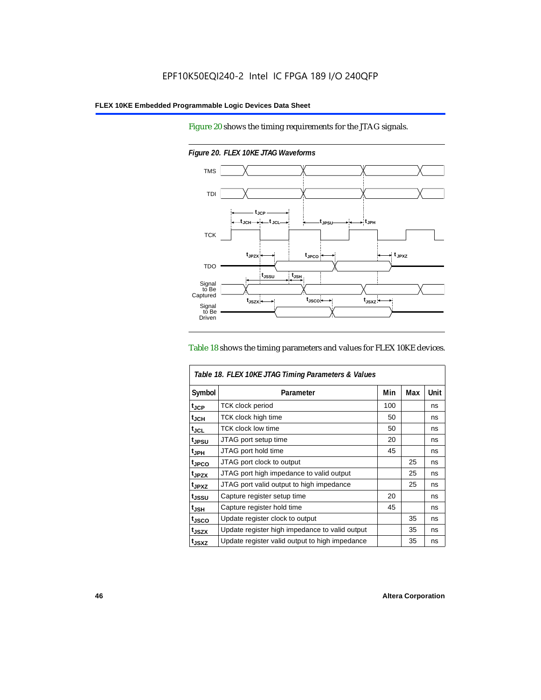Figure 20 shows the timing requirements for the JTAG signals.



*Figure 20. FLEX 10KE JTAG Waveforms*

### Table 18 shows the timing parameters and values for FLEX 10KE devices.

| Table 18. FLEX 10KE JTAG Timing Parameters & Values |                                                |     |     |      |  |
|-----------------------------------------------------|------------------------------------------------|-----|-----|------|--|
| Symbol                                              | Parameter                                      | Min | Max | Unit |  |
| t <sub>JCP</sub>                                    | <b>TCK clock period</b>                        | 100 |     | ns   |  |
| $t_{JCH}$                                           | TCK clock high time                            | 50  |     | ns   |  |
| $t_{JCL}$                                           | TCK clock low time                             | 50  |     | ns   |  |
| tjpsu                                               | JTAG port setup time                           | 20  |     | ns   |  |
| t <sub>JPH</sub>                                    | JTAG port hold time                            | 45  |     | ns   |  |
| t <sub>JPCO</sub>                                   | JTAG port clock to output                      |     | 25  | ns   |  |
| t <sub>.IPZX</sub>                                  | JTAG port high impedance to valid output       |     | 25  | ns   |  |
| t <sub>JPXZ</sub>                                   | JTAG port valid output to high impedance       |     | 25  | ns   |  |
| tjssu                                               | Capture register setup time                    | 20  |     | ns   |  |
| $t_{JSH}$                                           | Capture register hold time                     | 45  |     | ns   |  |
| tjsco                                               | Update register clock to output                |     | 35  | ns   |  |
| t <sub>JSZX</sub>                                   | Update register high impedance to valid output |     | 35  | ns   |  |
| t <sub>JSXZ</sub>                                   | Update register valid output to high impedance |     | 35  | ns   |  |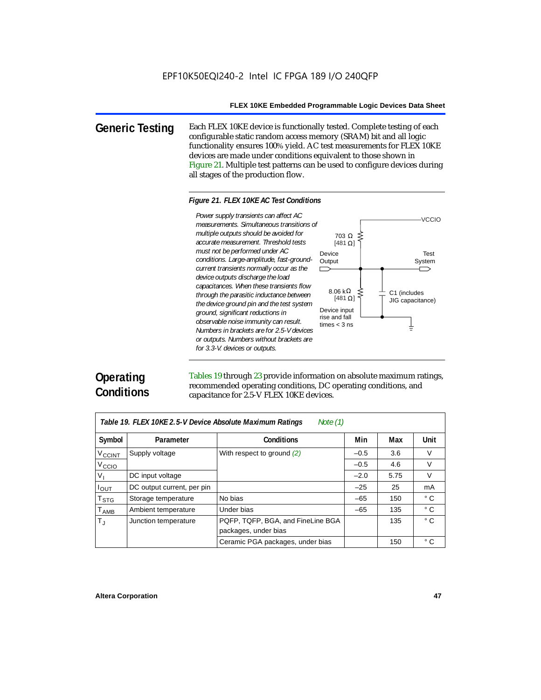703 Ω

[481 $\Omega$ ]

8.06 kΩ [481 $\Omega$ ]

**Generic Testing** Each FLEX 10KE device is functionally tested. Complete testing of each configurable static random access memory (SRAM) bit and all logic functionality ensures 100% yield. AC test measurements for FLEX 10KE devices are made under conditions equivalent to those shown in Figure 21. Multiple test patterns can be used to configure devices during all stages of the production flow.

### *Figure 21. FLEX 10KE AC Test Conditions*

Power supply transients can affect AC *Power supply transients can affect AC measurements. Simultaneous transitions of multiple outputs should be avoided for accurate measurement. Threshold tests must not be performed under AC*  Device *conditions. Large-amplitude, fast-ground-***Output** *current transients normally occur as the*   $\Box$ *device outputs discharge the load capacitances. When these transients flow through the parasitic inductance between the device ground pin and the test system*  Device input *ground, significant reductions in*  rise and fall *observable noise immunity can result.*  times < 3 ns *Numbers in brackets are for 2.5-V devices or outputs. Numbers without brackets are for 3.3-V. devices or outputs.*



Tables 19 through 23 provide information on absolute maximum ratings, recommended operating conditions, DC operating conditions, and capacitance for 2.5-V FLEX 10KE devices.

| Note $(1)$<br>Table 19. FLEX 10KE 2.5-V Device Absolute Maximum Ratings |                            |                                                           |        |      |              |  |  |
|-------------------------------------------------------------------------|----------------------------|-----------------------------------------------------------|--------|------|--------------|--|--|
| Symbol                                                                  | Parameter                  | <b>Conditions</b>                                         | Min    | Max  | Unit         |  |  |
| $V_{\text{CCINT}}$                                                      | Supply voltage             | With respect to ground (2)                                | $-0.5$ | 3.6  | V            |  |  |
| V <sub>CCIO</sub>                                                       |                            |                                                           | $-0.5$ | 4.6  | $\vee$       |  |  |
| $V_{I}$                                                                 | DC input voltage           |                                                           | $-2.0$ | 5.75 | V            |  |  |
| $I_{\text{OUT}}$                                                        | DC output current, per pin |                                                           | $-25$  | 25   | mA           |  |  |
| $\mathsf{T}_{\text{STG}}$                                               | Storage temperature        | No bias                                                   | $-65$  | 150  | ° C          |  |  |
| $T_{AMB}$                                                               | Ambient temperature        | Under bias                                                | $-65$  | 135  | $^{\circ}$ C |  |  |
| $T_{\rm J}$                                                             | Junction temperature       | PQFP, TQFP, BGA, and FineLine BGA<br>packages, under bias |        | 135  | ° C          |  |  |
|                                                                         |                            | Ceramic PGA packages, under bias                          |        | 150  | ° C          |  |  |

Test System

C1 (includes JIG capacitance)

╧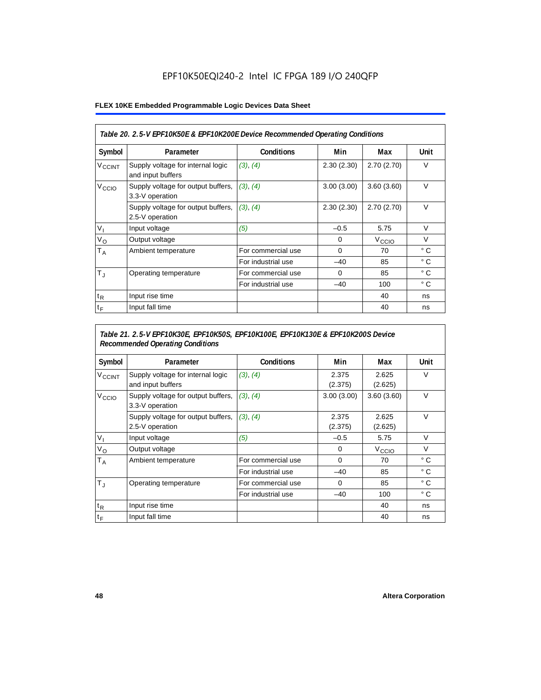### **FLEX 10KE Embedded Programmable Logic Devices Data Sheet**

| Table 20. 2.5-V EPF10K50E & EPF10K200E Device Recommended Operating Conditions |                                                        |                    |            |                   |              |  |
|--------------------------------------------------------------------------------|--------------------------------------------------------|--------------------|------------|-------------------|--------------|--|
| Symbol                                                                         | Parameter                                              | <b>Conditions</b>  | Min        | Max               | Unit         |  |
| <b>V<sub>CCINT</sub></b>                                                       | Supply voltage for internal logic<br>and input buffers | (3), (4)           | 2.30(2.30) | 2.70(2.70)        | $\vee$       |  |
| V <sub>CCIO</sub>                                                              | Supply voltage for output buffers,<br>3.3-V operation  | (3), (4)           | 3.00(3.00) | 3.60(3.60)        | $\vee$       |  |
|                                                                                | Supply voltage for output buffers,<br>2.5-V operation  | (3), (4)           | 2.30(2.30) | 2.70(2.70)        | $\vee$       |  |
| $V_{1}$                                                                        | Input voltage                                          | (5)                | $-0.5$     | 5.75              | $\vee$       |  |
| $V_{\rm O}$                                                                    | Output voltage                                         |                    | 0          | V <sub>CCIO</sub> | $\vee$       |  |
| Т <sub>А</sub>                                                                 | Ambient temperature                                    | For commercial use | $\Omega$   | 70                | $^{\circ}$ C |  |
|                                                                                |                                                        | For industrial use | $-40$      | 85                | $^{\circ}$ C |  |
| $T_{\rm J}$                                                                    | Operating temperature                                  | For commercial use | $\Omega$   | 85                | $^{\circ}$ C |  |
|                                                                                |                                                        | For industrial use | $-40$      | 100               | $^{\circ}$ C |  |
| $t_{R}$                                                                        | Input rise time                                        |                    |            | 40                | ns           |  |
| $t_F$                                                                          | Input fall time                                        |                    |            | 40                | ns           |  |

# *Table 21. 2.5-V EPF10K30E, EPF10K50S, EPF10K100E, EPF10K130E & EPF10K200S Device Recommended Operating Conditions*

| Symbol                   | Parameter                                              | <b>Conditions</b>  | Min              | Max               | Unit         |
|--------------------------|--------------------------------------------------------|--------------------|------------------|-------------------|--------------|
| <b>V<sub>CCINT</sub></b> | Supply voltage for internal logic<br>and input buffers | (3), (4)           | 2.375<br>(2.375) | 2.625<br>(2.625)  | $\vee$       |
| V <sub>CCIO</sub>        | Supply voltage for output buffers,<br>3.3-V operation  | (3), (4)           | 3.00(3.00)       | 3.60(3.60)        | $\vee$       |
|                          | Supply voltage for output buffers,<br>2.5-V operation  | (3), (4)           | 2.375<br>(2.375) | 2.625<br>(2.625)  | $\vee$       |
| $V_{1}$                  | Input voltage                                          | (5)                | $-0.5$           | 5.75              | $\vee$       |
| $V_{\rm O}$              | Output voltage                                         |                    | 0                | V <sub>CCIO</sub> | $\vee$       |
| $T_A$                    | Ambient temperature                                    | For commercial use | $\mathbf 0$      | 70                | ° C          |
|                          |                                                        | For industrial use | $-40$            | 85                | $^{\circ}$ C |
| $T_{\rm J}$              | Operating temperature                                  | For commercial use | $\mathbf 0$      | 85                | $^{\circ}$ C |
|                          |                                                        | For industrial use | $-40$            | 100               | $^{\circ}$ C |
| $t_{R}$                  | Input rise time                                        |                    |                  | 40                | ns           |
| $t_F$                    | Input fall time                                        |                    |                  | 40                | ns           |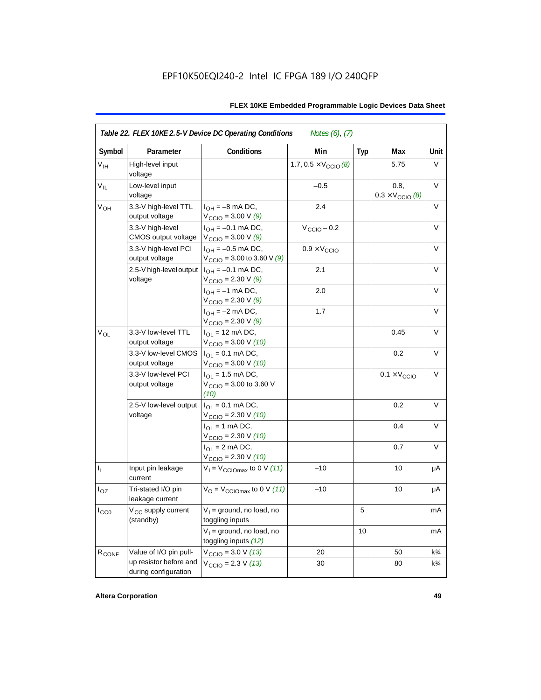| Symbol            | Parameter                                      | Conditions                                                                      | Min                                   | Typ | Max                                      | Unit           |
|-------------------|------------------------------------------------|---------------------------------------------------------------------------------|---------------------------------------|-----|------------------------------------------|----------------|
| $V_{\text{IH}}$   | High-level input<br>voltage                    |                                                                                 | 1.7, $0.5 \times V_{\text{CCIO}}$ (8) |     | 5.75                                     | V              |
| $V_{IL}$          | Low-level input<br>voltage                     |                                                                                 | $-0.5$                                |     | 0.8.<br>$0.3 \times V_{\text{CCIO}}$ (8) | V              |
| V <sub>OH</sub>   | 3.3-V high-level TTL<br>output voltage         | $I_{OH} = -8$ mA DC,<br>$V_{\text{CCIO}} = 3.00 V(9)$                           | 2.4                                   |     |                                          | V              |
|                   | 3.3-V high-level<br>CMOS output voltage        | $I_{OH} = -0.1$ mA DC,<br>$V_{\text{CCIO}} = 3.00 V(9)$                         | $V_{\text{CCIO}} - 0.2$               |     |                                          | V              |
|                   | 3.3-V high-level PCI<br>output voltage         | $I_{OH} = -0.5$ mA DC,<br>$V_{\text{CCIO}} = 3.00$ to 3.60 V (9)                | $0.9 \times V_{\text{CCIO}}$          |     |                                          | $\vee$         |
|                   | 2.5-V high-level output<br>voltage             | $I_{OH} = -0.1$ mA DC,<br>$V_{\text{CCIO}} = 2.30 \text{ V} (9)$                | 2.1                                   |     |                                          | $\vee$         |
|                   |                                                | $I_{OH} = -1$ mA DC,<br>$V_{\text{CCIO}} = 2.30 \text{ V } (9)$                 | 2.0                                   |     |                                          | V              |
|                   |                                                | $I_{OH} = -2$ mA DC,<br>$V_{\text{CCIO}} = 2.30 \text{ V} (9)$                  | 1.7                                   |     |                                          | V              |
| $V_{OL}$          | 3.3-V low-level TTL<br>output voltage          | $I_{OL}$ = 12 mA DC,<br>$V_{\text{CCIO}} = 3.00 \text{ V} (10)$                 |                                       |     | 0.45                                     | V              |
|                   | 3.3-V low-level CMOS<br>output voltage         | $I_{\text{OI}} = 0.1 \text{ mA} \text{ DC},$<br>$V_{\text{CCIO}} = 3.00 V (10)$ |                                       |     | 0.2                                      | V              |
|                   | 3.3-V low-level PCI<br>output voltage          | $I_{\Omega}$ = 1.5 mA DC,<br>$V_{\text{CCIO}} = 3.00$ to 3.60 V<br>(10)         |                                       |     | $0.1 \times V_{\text{CCIO}}$             | V              |
|                   | 2.5-V low-level output<br>voltage              | $I_{OL} = 0.1$ mA DC,<br>$V_{\text{CCIO}} = 2.30 V (10)$                        |                                       |     | 0.2                                      | $\vee$         |
|                   |                                                | $I_{OL}$ = 1 mA DC,<br>$V_{\text{CCIO}} = 2.30 V (10)$                          |                                       |     | 0.4                                      | $\vee$         |
|                   |                                                | $I_{\text{OI}} = 2 \text{ mA DC}$ ,<br>$V_{\text{CCIO}} = 2.30 V (10)$          |                                       |     | 0.7                                      | $\vee$         |
| $I_1$             | Input pin leakage<br>current                   | $V_1 = V_{\text{CCIOMax}}$ to 0 V (11)                                          | $-10$                                 |     | 10                                       | μA             |
| $I_{OZ}$          | Tri-stated I/O pin<br>leakage current          | $V_{\rm O}$ = $V_{\rm CClOmax}$ to 0 V (11)                                     | $-10$                                 |     | 10                                       | μA             |
| ICCO              | V <sub>CC</sub> supply current<br>(standby)    | $V_1$ = ground, no load, no<br>toggling inputs                                  |                                       | 5   |                                          | mA             |
|                   |                                                | $V_1$ = ground, no load, no<br>toggling inputs (12)                             |                                       | 10  |                                          | mA             |
| R <sub>CONF</sub> | Value of I/O pin pull-                         | $V_{\text{CCIO}} = 3.0 V (13)$                                                  | 20                                    |     | 50                                       | $k\frac{3}{4}$ |
|                   | up resistor before and<br>during configuration | $V_{\text{CCIO}} = 2.3 V (13)$                                                  | 30                                    |     | 80                                       | $k\frac{3}{4}$ |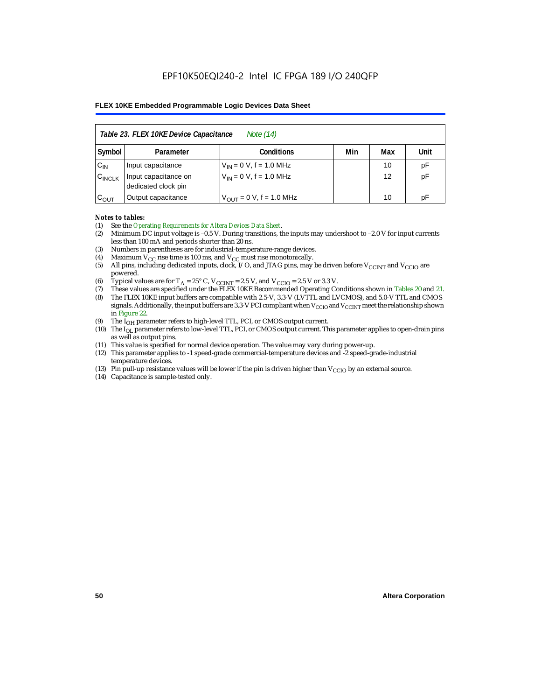| Table 23. FLEX 10KE Device Capacitance<br>Note (14) |                                                      |                              |  |    |    |  |  |  |
|-----------------------------------------------------|------------------------------------------------------|------------------------------|--|----|----|--|--|--|
| Symbol                                              | Min<br>Unit<br><b>Conditions</b><br>Max<br>Parameter |                              |  |    |    |  |  |  |
| $C_{IN}$                                            | Input capacitance                                    | $V_{IN} = 0 V$ , f = 1.0 MHz |  | 10 | pF |  |  |  |
| $C_{\text{INCLK}}$                                  | Input capacitance on<br>dedicated clock pin          | $V_{IN} = 0 V$ , f = 1.0 MHz |  | 12 | pF |  |  |  |
| $C_{OUT}$                                           | Output capacitance                                   | $V_{OUT} = 0 V, f = 1.0 MHz$ |  | 10 | рF |  |  |  |

#### *Notes to tables:*

- (1) See the *Operating Requirements for Altera Devices Data Sheet*.
- (2) Minimum DC input voltage is –0.5 V. During transitions, the inputs may undershoot to –2.0 V for input currents less than 100 mA and periods shorter than 20 ns.
- (3) Numbers in parentheses are for industrial-temperature-range devices.
- (4) Maximum  $V_{CC}$  rise time is 100 ms, and  $V_{CC}$  must rise monotonically.<br>(5) All pins, including dedicated inputs, clock, I/O, and JTAG pins, may
- All pins, including dedicated inputs, clock, I/O, and JTAG pins, may be driven before  $V_{CCTNT}$  and  $V_{CCTO}$  are powered.
- (6) Typical values are for  $T_A = 25^\circ$  C,  $V_{CClNT} = 2.5$  V, and  $V_{CClO} = 2.5$  V or 3.3 V.<br>(7) These values are specified under the FLEX 10KE Recommended Operating Co
- (7) These values are specified under the FLEX 10KE Recommended Operating Conditions shown in Tables 20 and 21.<br>(8) The FLEX 10KE input buffers are compatible with 2.5-V. 3.3-V (LVTTL and LVCMOS), and 5.0-V TTL and CMOS (8) The FLEX 10KE input buffers are compatible with 2.5-V, 3.3-V (LVTTL and LVCMOS), and 5.0-V TTL and CMOS
- signals. Additionally, the input buffers are 3.3-V PCI compliant when  $V_{\rm CCD}$  and  $V_{\rm CCINT}$  meet the relationship shown in Figure 22.
- (9) The  $I<sub>OH</sub>$  parameter refers to high-level TTL, PCI, or CMOS output current.
- (10) The IOL parameter refers to low-level TTL, PCI, or CMOS output current. This parameter applies to open-drain pins as well as output pins.
- (11) This value is specified for normal device operation. The value may vary during power-up.
- (12) This parameter applies to -1 speed-grade commercial-temperature devices and -2 speed-grade-industrial temperature devices.
- (13) Pin pull-up resistance values will be lower if the pin is driven higher than  $V_{CCIO}$  by an external source.
- (14) Capacitance is sample-tested only.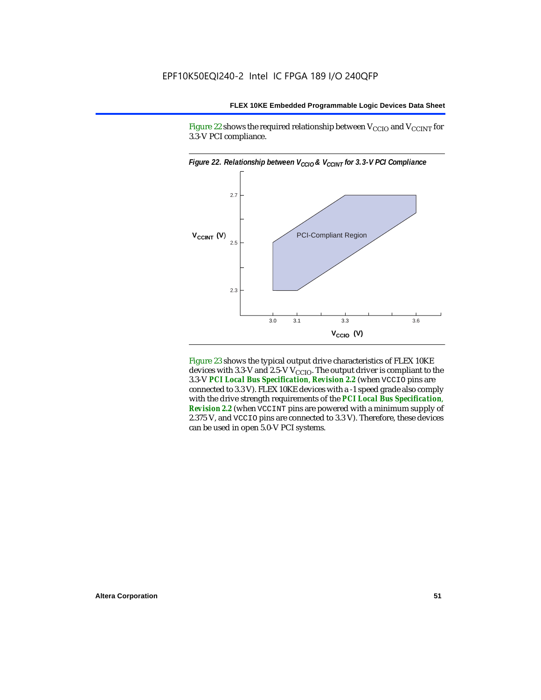Figure 22 shows the required relationship between  $V_{\text{CCIO}}$  and  $V_{\text{CCINT}}$  for 3.3-V PCI compliance.



Figure 23 shows the typical output drive characteristics of FLEX 10KE devices with 3.3-V and 2.5-V  $V_{\text{CCIO}}$ . The output driver is compliant to the 3.3-V *PCI Local Bus Specification*, *Revision 2.2* (when VCCIO pins are connected to 3.3 V). FLEX 10KE devices with a -1 speed grade also comply with the drive strength requirements of the *PCI Local Bus Specification*, *Revision 2.2* (when VCCINT pins are powered with a minimum supply of 2.375 V, and VCCIO pins are connected to 3.3 V). Therefore, these devices can be used in open 5.0-V PCI systems.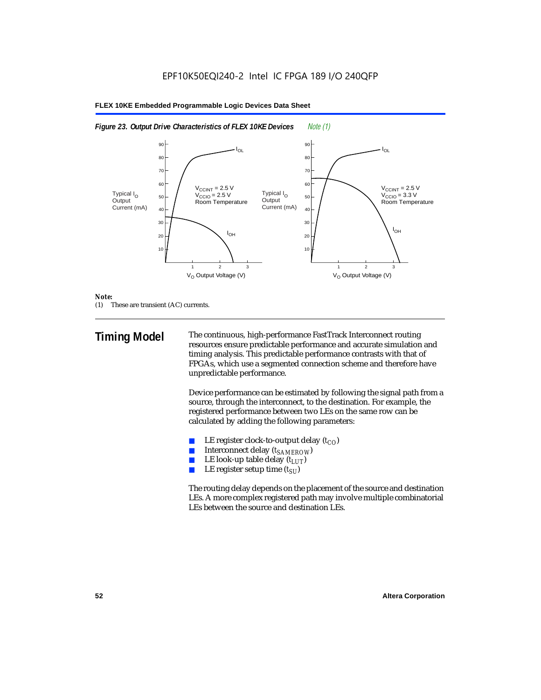#### $V_{O}$  Output Voltage (V)  $I_{OL}$  $I_{OH}$  $I_{OH}$  $\rm V_{\rm CCINT}$  = 2.5 V V<sub>CCIO</sub> = 2.5 V Room Temperature  $\rm V_{\rm CCINT}$  = 2.5 V V<sub>CCIO</sub> = 3.3 V Room Temperature 123 10 20 30 50 60 40 **70** 80 90  $V_{\Omega}$  Output Voltage (V) 123 10  $20$ 30 50 60 40 70 80 90 IOL Typical I<sub>O</sub> **Output** Current (mA) Typical I<sub>O</sub> **Output** Current (mA)

#### **FLEX 10KE Embedded Programmable Logic Devices Data Sheet**



#### *Note:*

(1) These are transient (AC) currents.

**Timing Model** The continuous, high-performance FastTrack Interconnect routing resources ensure predictable performance and accurate simulation and timing analysis. This predictable performance contrasts with that of FPGAs, which use a segmented connection scheme and therefore have unpredictable performance.

> Device performance can be estimated by following the signal path from a source, through the interconnect, to the destination. For example, the registered performance between two LEs on the same row can be calculated by adding the following parameters:

- LE register clock-to-output delay  $(t_{CO})$
- **■** Interconnect delay  $(t_{SAMEROW})$ <br> **■** I.E look-up table delay  $(t_{LUT})$
- LE look-up table delay  $(t_{LUT})$
- LE register setup time  $(t_{SI})$

The routing delay depends on the placement of the source and destination LEs. A more complex registered path may involve multiple combinatorial LEs between the source and destination LEs.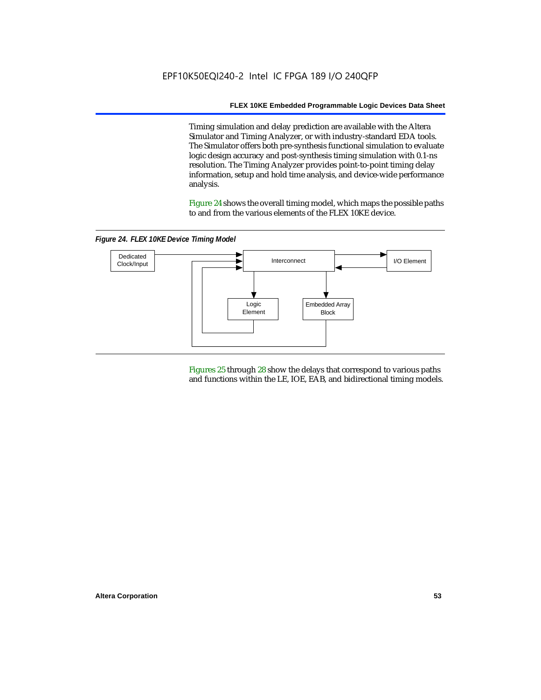Timing simulation and delay prediction are available with the Altera Simulator and Timing Analyzer, or with industry-standard EDA tools. The Simulator offers both pre-synthesis functional simulation to evaluate logic design accuracy and post-synthesis timing simulation with 0.1-ns resolution. The Timing Analyzer provides point-to-point timing delay information, setup and hold time analysis, and device-wide performance analysis.

Figure 24 shows the overall timing model, which maps the possible paths to and from the various elements of the FLEX 10KE device.

*Figure 24. FLEX 10KE Device Timing Model*



Figures 25 through 28 show the delays that correspond to various paths and functions within the LE, IOE, EAB, and bidirectional timing models.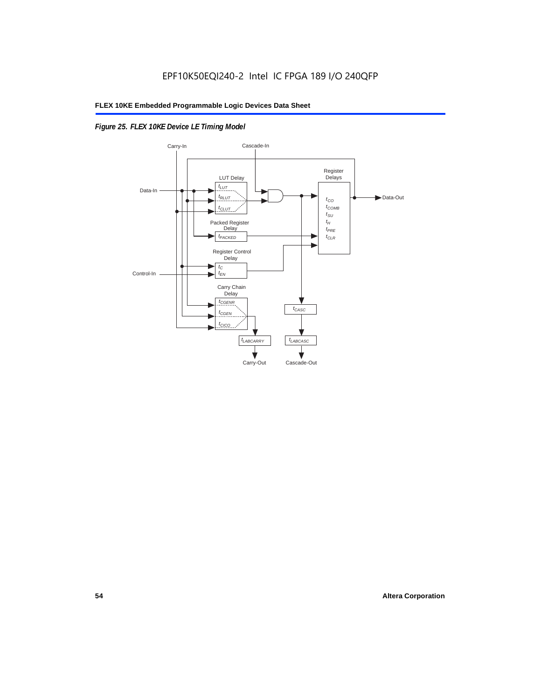# *Figure 25. FLEX 10KE Device LE Timing Model*

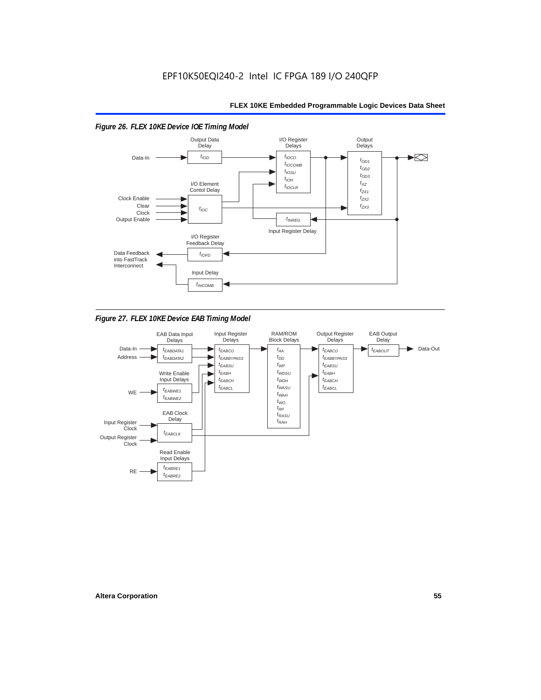

*Figure 27. FLEX 10KE Device EAB Timing Model*

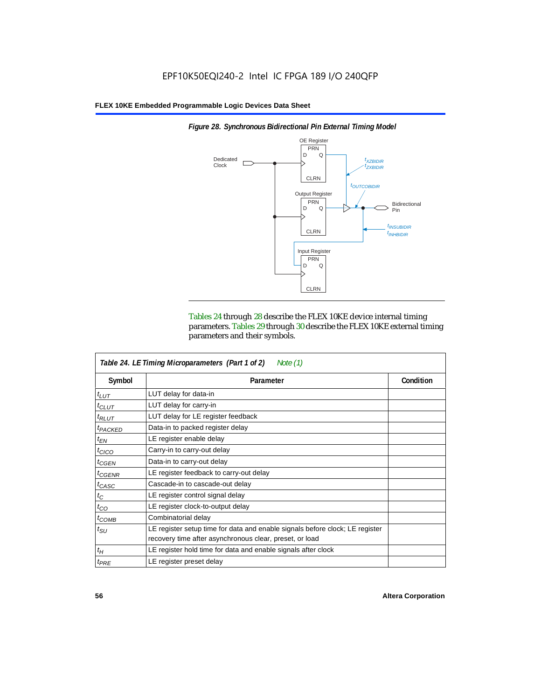

*Figure 28. Synchronous Bidirectional Pin External Timing Model*

Tables 24 through 28 describe the FLEX 10KE device internal timing parameters. Tables 29 through 30 describe the FLEX 10KE external timing parameters and their symbols.

| Table 24. LE Timing Microparameters (Part 1 of 2)<br>Note $(1)$ |                                                                                                                                         |           |  |  |  |  |
|-----------------------------------------------------------------|-----------------------------------------------------------------------------------------------------------------------------------------|-----------|--|--|--|--|
| Symbol                                                          | Parameter                                                                                                                               | Condition |  |  |  |  |
| $t_{LUT}$                                                       | LUT delay for data-in                                                                                                                   |           |  |  |  |  |
| $t_{CLUT}$                                                      | LUT delay for carry-in                                                                                                                  |           |  |  |  |  |
| $t_{RLUT}$                                                      | LUT delay for LE register feedback                                                                                                      |           |  |  |  |  |
| <sup>t</sup> PACKED                                             | Data-in to packed register delay                                                                                                        |           |  |  |  |  |
| $t_{EN}$                                                        | LE register enable delay                                                                                                                |           |  |  |  |  |
| $t_{CICO}$                                                      | Carry-in to carry-out delay                                                                                                             |           |  |  |  |  |
| $t_{GEN}$                                                       | Data-in to carry-out delay                                                                                                              |           |  |  |  |  |
| ${}^t$ CGENR                                                    | LE register feedback to carry-out delay                                                                                                 |           |  |  |  |  |
| $t_{CASC}$                                                      | Cascade-in to cascade-out delay                                                                                                         |           |  |  |  |  |
| $t_C$                                                           | LE register control signal delay                                                                                                        |           |  |  |  |  |
| $t_{CO}$                                                        | LE register clock-to-output delay                                                                                                       |           |  |  |  |  |
| $t_{COMB}$                                                      | Combinatorial delay                                                                                                                     |           |  |  |  |  |
| $t_{\rm SU}$                                                    | LE register setup time for data and enable signals before clock; LE register<br>recovery time after asynchronous clear, preset, or load |           |  |  |  |  |
| $t_H$                                                           | LE register hold time for data and enable signals after clock                                                                           |           |  |  |  |  |
| $t_{PRE}$                                                       | LE register preset delay                                                                                                                |           |  |  |  |  |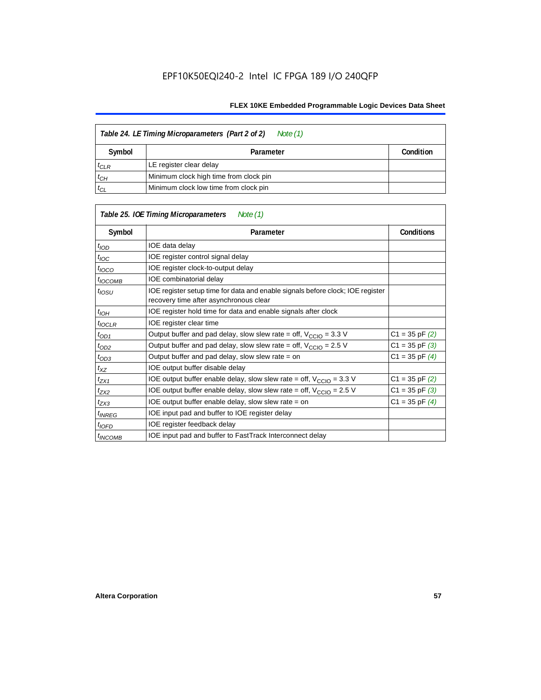| Table 24. LE Timing Microparameters (Part 2 of 2)<br>Note (1) |                                        |           |  |  |  |  |
|---------------------------------------------------------------|----------------------------------------|-----------|--|--|--|--|
| Symbol                                                        | Parameter                              | Condition |  |  |  |  |
| $t_{CLR}$                                                     | LE register clear delay                |           |  |  |  |  |
| $t_{CH}$                                                      | Minimum clock high time from clock pin |           |  |  |  |  |
| $t_{CL}$                                                      | Minimum clock low time from clock pin  |           |  |  |  |  |

|                     | Table 25. IOE Timing Microparameters<br>Note (1)                                                                         |                    |
|---------------------|--------------------------------------------------------------------------------------------------------------------------|--------------------|
| Symbol              | Parameter                                                                                                                | <b>Conditions</b>  |
| $t$ <sub>IOD</sub>  | IOE data delay                                                                                                           |                    |
| $t_{\text{IOC}}$    | IOE register control signal delay                                                                                        |                    |
| $t_{\text{IOCO}}$   | IOE register clock-to-output delay                                                                                       |                    |
| <sup>t</sup> іОСОМВ | IOE combinatorial delay                                                                                                  |                    |
| $t_{IOSU}$          | IOE register setup time for data and enable signals before clock; IOE register<br>recovery time after asynchronous clear |                    |
| $t_{IOH}$           | IOE register hold time for data and enable signals after clock                                                           |                    |
| $t_{IOCLR}$         | IOE register clear time                                                                                                  |                    |
| $t_{OD1}$           | Output buffer and pad delay, slow slew rate = off, $V_{\text{CCIO}} = 3.3 \text{ V}$                                     | $C1 = 35$ pF $(2)$ |
| $t_{OD2}$           | Output buffer and pad delay, slow slew rate = off, $V_{\text{CCIO}} = 2.5$ V                                             | $C1 = 35$ pF $(3)$ |
| $t_{OD3}$           | Output buffer and pad delay, slow slew rate = on                                                                         | $C1 = 35$ pF $(4)$ |
| $t_{XZ}$            | IOE output buffer disable delay                                                                                          |                    |
| $t_{ZX1}$           | IOE output buffer enable delay, slow slew rate = off, $V_{\text{CCIO}} = 3.3$ V                                          | $C1 = 35$ pF $(2)$ |
| t <sub>ZX2</sub>    | IOE output buffer enable delay, slow slew rate = off, $V_{\text{CCIO}} = 2.5 V$                                          | $C1 = 35$ pF $(3)$ |
| $t_{ZX3}$           | IOE output buffer enable delay, slow slew rate = on                                                                      | $C1 = 35$ pF $(4)$ |
| <sup>t</sup> INREG  | IOE input pad and buffer to IOE register delay                                                                           |                    |
| $t_{IOFD}$          | IOE register feedback delay                                                                                              |                    |
| <sup>t</sup> INCOMB | IOE input pad and buffer to FastTrack Interconnect delay                                                                 |                    |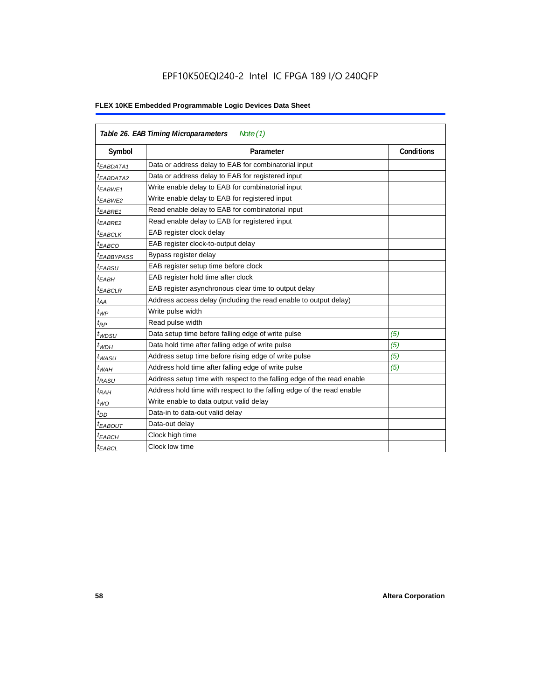| Table 26. EAB Timing Microparameters<br>Note $(1)$ |                                                                        |                   |  |  |  |  |
|----------------------------------------------------|------------------------------------------------------------------------|-------------------|--|--|--|--|
| Symbol                                             | Parameter                                                              | <b>Conditions</b> |  |  |  |  |
| $t_{EABDATA1}$                                     | Data or address delay to EAB for combinatorial input                   |                   |  |  |  |  |
| <sup>t</sup> EABDATA2                              | Data or address delay to EAB for registered input                      |                   |  |  |  |  |
| t <sub>EABWE1</sub>                                | Write enable delay to EAB for combinatorial input                      |                   |  |  |  |  |
| t <sub>EABWE2</sub>                                | Write enable delay to EAB for registered input                         |                   |  |  |  |  |
| <sup>t</sup> EABRE1                                | Read enable delay to EAB for combinatorial input                       |                   |  |  |  |  |
| t <sub>EABRE2</sub>                                | Read enable delay to EAB for registered input                          |                   |  |  |  |  |
| $t_{EABCLK}$                                       | EAB register clock delay                                               |                   |  |  |  |  |
| $t_{EABCO}$                                        | EAB register clock-to-output delay                                     |                   |  |  |  |  |
| <sup>t</sup> EABBYPASS                             | Bypass register delay                                                  |                   |  |  |  |  |
| <sup>t</sup> EABSU                                 | EAB register setup time before clock                                   |                   |  |  |  |  |
| <sup>t</sup> EABH                                  | EAB register hold time after clock                                     |                   |  |  |  |  |
| $t_{EABCLR}$                                       | EAB register asynchronous clear time to output delay                   |                   |  |  |  |  |
| $t_{AA}$                                           | Address access delay (including the read enable to output delay)       |                   |  |  |  |  |
| $t_{WP}$                                           | Write pulse width                                                      |                   |  |  |  |  |
| $t_{RP}$                                           | Read pulse width                                                       |                   |  |  |  |  |
| $t_{WDSU}$                                         | Data setup time before falling edge of write pulse                     | (5)               |  |  |  |  |
| $t_{WDH}$                                          | Data hold time after falling edge of write pulse                       | (5)               |  |  |  |  |
| $t_{WASU}$                                         | Address setup time before rising edge of write pulse                   | (5)               |  |  |  |  |
| $t_{WAH}$                                          | Address hold time after falling edge of write pulse                    | (5)               |  |  |  |  |
| t <sub>RASU</sub>                                  | Address setup time with respect to the falling edge of the read enable |                   |  |  |  |  |
| $t_{RAH}$                                          | Address hold time with respect to the falling edge of the read enable  |                   |  |  |  |  |
| $t_{WO}$                                           | Write enable to data output valid delay                                |                   |  |  |  |  |
| $t_{DD}$                                           | Data-in to data-out valid delay                                        |                   |  |  |  |  |
| <sup>t</sup> EABOUT                                | Data-out delay                                                         |                   |  |  |  |  |
| <sup>t</sup> EABCH                                 | Clock high time                                                        |                   |  |  |  |  |
| <sup>t</sup> EABCL                                 | Clock low time                                                         |                   |  |  |  |  |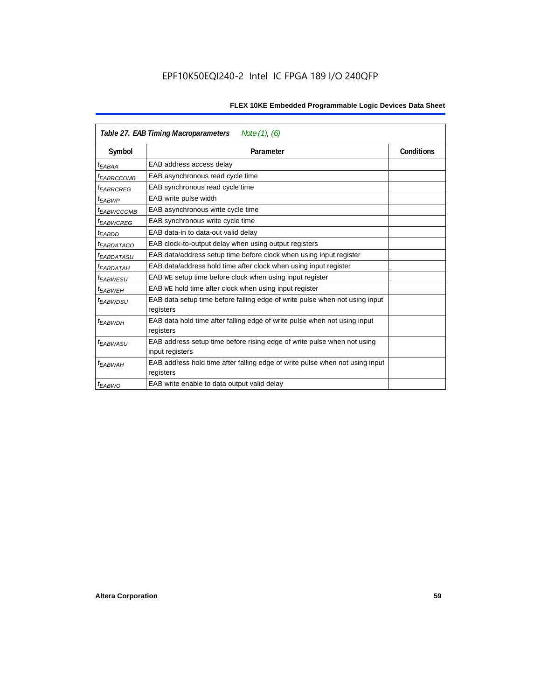| Table 27. EAB Timing Macroparameters<br>Note $(1)$ , $(6)$ |                                                                              |  |  |  |  |
|------------------------------------------------------------|------------------------------------------------------------------------------|--|--|--|--|
| Symbol                                                     | <b>Conditions</b><br>Parameter                                               |  |  |  |  |
| <sup>t</sup> EABAA                                         | EAB address access delay                                                     |  |  |  |  |
| <sup>t</sup> EABRCCOMB                                     | EAB asynchronous read cycle time                                             |  |  |  |  |
| <sup>t</sup> EABRCREG                                      | EAB synchronous read cycle time                                              |  |  |  |  |
| <sup>t</sup> EABWP                                         | EAB write pulse width                                                        |  |  |  |  |
| <sup>t</sup> ЕАВWССОМВ                                     | EAB asynchronous write cycle time                                            |  |  |  |  |
| <sup>t</sup> EABWCREG                                      | EAB synchronous write cycle time                                             |  |  |  |  |
| <sup>t</sup> EABDD                                         | EAB data-in to data-out valid delay                                          |  |  |  |  |
| <sup>t</sup> EABDATACO                                     | EAB clock-to-output delay when using output registers                        |  |  |  |  |
| <sup>I</sup> EABDATASU                                     | EAB data/address setup time before clock when using input register           |  |  |  |  |
| <sup>t</sup> EABDATAH                                      | EAB data/address hold time after clock when using input register             |  |  |  |  |
| <sup>t</sup> EABWESU                                       | EAB WE setup time before clock when using input register                     |  |  |  |  |
| t <sub>EABWEH</sub>                                        | EAB WE hold time after clock when using input register                       |  |  |  |  |
| <sup>t</sup> EABWDSU                                       | EAB data setup time before falling edge of write pulse when not using input  |  |  |  |  |
|                                                            | registers                                                                    |  |  |  |  |
| <sup>t</sup> EABWDH                                        | EAB data hold time after falling edge of write pulse when not using input    |  |  |  |  |
|                                                            | registers                                                                    |  |  |  |  |
| <sup>t</sup> EABWASU                                       | EAB address setup time before rising edge of write pulse when not using      |  |  |  |  |
|                                                            | input registers                                                              |  |  |  |  |
| t <sub>FARWAH</sub>                                        | EAB address hold time after falling edge of write pulse when not using input |  |  |  |  |
|                                                            | registers                                                                    |  |  |  |  |
| <sup>t</sup> EABWO                                         | EAB write enable to data output valid delay                                  |  |  |  |  |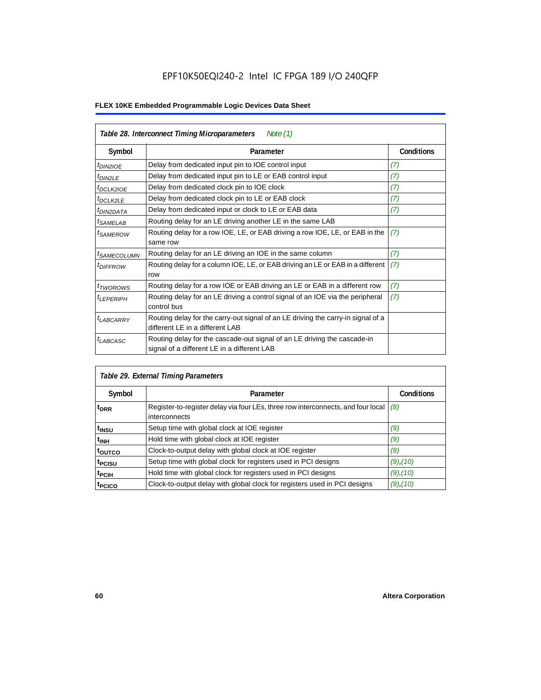| Table 28. Interconnect Timing Microparameters<br>Note $(1)$ |                                                                                                                         |                   |  |  |  |  |
|-------------------------------------------------------------|-------------------------------------------------------------------------------------------------------------------------|-------------------|--|--|--|--|
| Symbol                                                      | Parameter                                                                                                               | <b>Conditions</b> |  |  |  |  |
| <sup>t</sup> DIN2IOE                                        | Delay from dedicated input pin to IOE control input                                                                     | (7)               |  |  |  |  |
| <sup>t</sup> DIN2LE                                         | Delay from dedicated input pin to LE or EAB control input                                                               | (7)               |  |  |  |  |
| <b><i>IDCLK2IOE</i></b>                                     | Delay from dedicated clock pin to IOE clock                                                                             | (7)               |  |  |  |  |
| <sup>t</sup> DCLK2LE                                        | Delay from dedicated clock pin to LE or EAB clock                                                                       | (7)               |  |  |  |  |
| <sup>I</sup> DIN2DATA                                       | Delay from dedicated input or clock to LE or EAB data                                                                   | (7)               |  |  |  |  |
| <sup>t</sup> SAMELAB                                        | Routing delay for an LE driving another LE in the same LAB                                                              |                   |  |  |  |  |
| <sup>t</sup> SAMEROW                                        | Routing delay for a row IOE, LE, or EAB driving a row IOE, LE, or EAB in the<br>same row                                | (7)               |  |  |  |  |
| <sup>t</sup> SAMECOLUMN                                     | Routing delay for an LE driving an IOE in the same column                                                               | (7)               |  |  |  |  |
| <i><b>IDIFFROW</b></i>                                      | Routing delay for a column IOE, LE, or EAB driving an LE or EAB in a different<br>row                                   | (7)               |  |  |  |  |
| <sup>t</sup> TWOROWS                                        | Routing delay for a row IOE or EAB driving an LE or EAB in a different row                                              | (7)               |  |  |  |  |
| <sup>t</sup> LEPERIPH                                       | Routing delay for an LE driving a control signal of an IOE via the peripheral<br>control bus                            | (7)               |  |  |  |  |
| $t_{LABCARRY}$                                              | Routing delay for the carry-out signal of an LE driving the carry-in signal of a<br>different LE in a different LAB     |                   |  |  |  |  |
| t <sub>LABCASC</sub>                                        | Routing delay for the cascade-out signal of an LE driving the cascade-in<br>signal of a different LE in a different LAB |                   |  |  |  |  |

| Table 29. External Timing Parameters |                                                                                                   |                   |  |  |  |  |  |
|--------------------------------------|---------------------------------------------------------------------------------------------------|-------------------|--|--|--|--|--|
| Symbol                               | Parameter                                                                                         | <b>Conditions</b> |  |  |  |  |  |
| <sup>t</sup> DRR                     | Register-to-register delay via four LEs, three row interconnects, and four local<br>interconnects | (8)               |  |  |  |  |  |
| t <sub>insu</sub>                    | Setup time with global clock at IOE register                                                      | (9)               |  |  |  |  |  |
| $t_{\rm INH}$                        | Hold time with global clock at IOE register                                                       | (9)               |  |  |  |  |  |
| toutco                               | Clock-to-output delay with global clock at IOE register                                           | (9)               |  |  |  |  |  |
| t <sub>PCISU</sub>                   | Setup time with global clock for registers used in PCI designs                                    | $(9)$ , $(10)$    |  |  |  |  |  |
| <sup>t</sup> PCIH                    | Hold time with global clock for registers used in PCI designs                                     | $(9)$ , $(10)$    |  |  |  |  |  |
| <sup>T</sup> PCICO                   | Clock-to-output delay with global clock for registers used in PCI designs                         | $(9)$ , $(10)$    |  |  |  |  |  |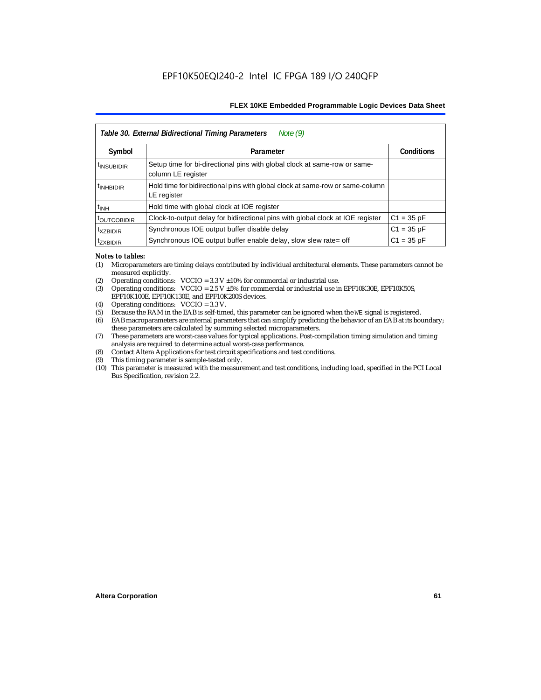|                           | Table 30. External Bidirectional Timing Parameters<br>Note $(9)$                                |                   |
|---------------------------|-------------------------------------------------------------------------------------------------|-------------------|
| Symbol                    | Parameter                                                                                       | <b>Conditions</b> |
| <sup>t</sup> INSUBIDIR    | Setup time for bi-directional pins with global clock at same-row or same-<br>column LE register |                   |
| <sup>t</sup> INHBIDIR     | Hold time for bidirectional pins with global clock at same-row or same-column<br>LE register    |                   |
| <sup>t</sup> INH          | Hold time with global clock at IOE register                                                     |                   |
| <b><i>LOUTCOBIDIR</i></b> | Clock-to-output delay for bidirectional pins with global clock at IOE register                  | $C1 = 35 pF$      |
| <sup>t</sup> xzbidir      | Synchronous IOE output buffer disable delay                                                     | $C1 = 35 pF$      |
| <sup>T</sup> ZXBIDIR      | Synchronous IOE output buffer enable delay, slow slew rate= off                                 | $C1 = 35 pF$      |

#### *Notes to tables:*

- (1) Microparameters are timing delays contributed by individual architectural elements. These parameters cannot be measured explicitly.
- (2) Operating conditions:  $VCCIO = 3.3 V ±10%$  for commercial or industrial use.<br>(3) Operating conditions:  $VCCIO = 2.5 V ±5%$  for commercial or industrial use in
- Operating conditions: VCCIO =  $2.5$  V  $\pm 5$ % for commercial or industrial use in EPF10K30E, EPF10K50S, EPF10K100E, EPF10K130E, and EPF10K200S devices.
- (4) Operating conditions: VCCIO = 3.3 V.
- (5) Because the RAM in the EAB is self-timed, this parameter can be ignored when the WE signal is registered.<br>(6) EAB macroparameters are internal parameters that can simplify predicting the behavior of an EAB at its bor
- EAB macroparameters are internal parameters that can simplify predicting the behavior of an EAB at its boundary; these parameters are calculated by summing selected microparameters.
- (7) These parameters are worst-case values for typical applications. Post-compilation timing simulation and timing analysis are required to determine actual worst-case performance.
- (8) Contact Altera Applications for test circuit specifications and test conditions.
- (9) This timing parameter is sample-tested only.
- (10) This parameter is measured with the measurement and test conditions, including load, specified in the PCI Local Bus Specification, revision 2.2.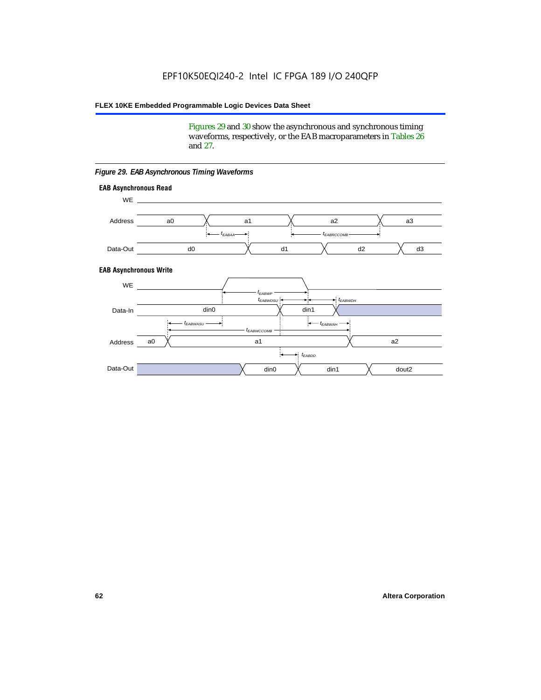Figures 29 and 30 show the asynchronous and synchronous timing waveforms, respectively, or the EAB macroparameters in Tables 26 and 27.

**EAB Asynchronous Write EAB Asynchronous Read** WE. a0 d0 d3  $t_{EABRCCOMB}$ a1 *《*、 a2 *《*、 a3 d2  $t_{FABAA}$ d1 Address Data-Out WE a0 din1  $\chi$  dout2  $t_{EABDD}$ a1 a2 din1 din0  $t_{EABWCCOMB}$  $t_{EABWASU}$   $\longrightarrow$  $t_{EABWDSU}$  +  $\longrightarrow$   $t_{EABWDH}$  $t_{EABWP}$ Data-In din0 Address Data-Out

#### *Figure 29. EAB Asynchronous Timing Waveforms*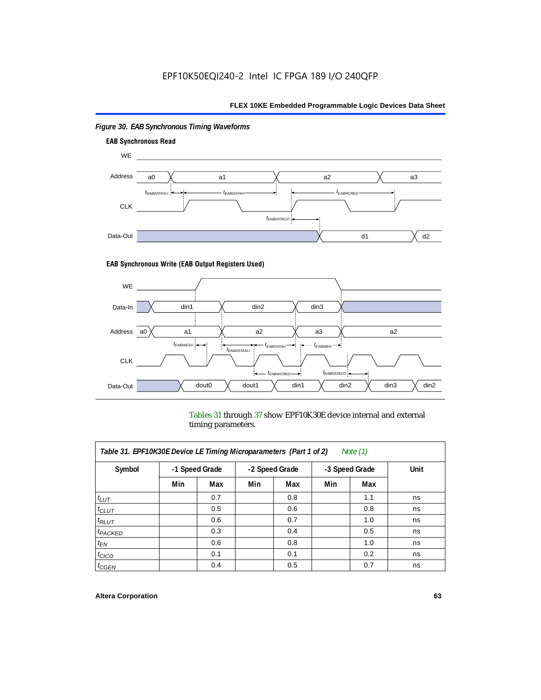

# *Figure 30. EAB Synchronous Timing Waveforms*

### **EAB Synchronous Write (EAB Output Registers Used)**



Tables 31 through 37 show EPF10K30E device internal and external timing parameters.

| Table 31. EPF10K30E Device LE Timing Microparameters (Part 1 of 2)<br>Note $(1)$ |     |     |     |                |     |                |    |                |      |
|----------------------------------------------------------------------------------|-----|-----|-----|----------------|-----|----------------|----|----------------|------|
| Symbol                                                                           |     |     |     | -1 Speed Grade |     | -2 Speed Grade |    | -3 Speed Grade | Unit |
|                                                                                  | Min | Max | Min | Max            | Min | Max            |    |                |      |
| $t_{LUT}$                                                                        |     | 0.7 |     | 0.8            |     | 1.1            | ns |                |      |
| $t_{CLUT}$                                                                       |     | 0.5 |     | 0.6            |     | 0.8            | ns |                |      |
| $t_{RLUT}$                                                                       |     | 0.6 |     | 0.7            |     | 1.0            | ns |                |      |
| $t_{PACKED}$                                                                     |     | 0.3 |     | 0.4            |     | 0.5            | ns |                |      |
| $t_{EN}$                                                                         |     | 0.6 |     | 0.8            |     | 1.0            | ns |                |      |
| $t_{CICO}$                                                                       |     | 0.1 |     | 0.1            |     | 0.2            | ns |                |      |
| $t_{GEN}$                                                                        |     | 0.4 |     | 0.5            |     | 0.7            | ns |                |      |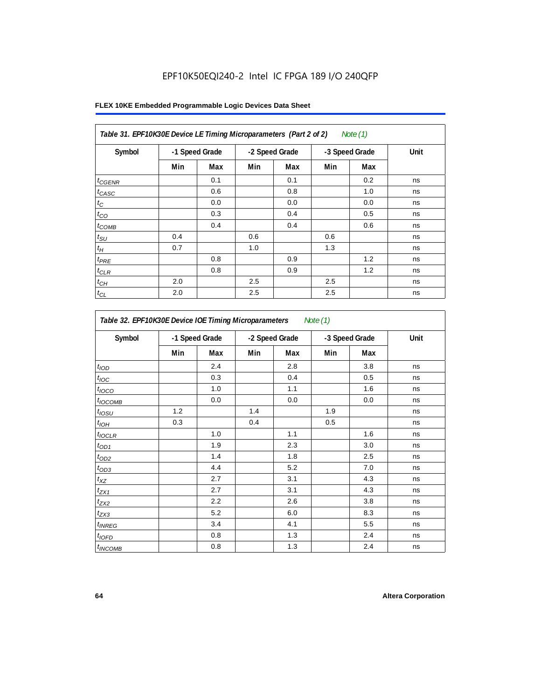|  |  |  | FLEX 10KE Embedded Programmable Logic Devices Data Sheet |  |  |  |
|--|--|--|----------------------------------------------------------|--|--|--|
|--|--|--|----------------------------------------------------------|--|--|--|

| Table 31. EPF10K30E Device LE Timing Microparameters (Part 2 of 2)<br>Note $(1)$ |     |                |     |                |     |                |      |  |  |
|----------------------------------------------------------------------------------|-----|----------------|-----|----------------|-----|----------------|------|--|--|
| Symbol                                                                           |     | -1 Speed Grade |     | -2 Speed Grade |     | -3 Speed Grade | Unit |  |  |
|                                                                                  | Min | Max            | Min | Max            | Min | Max            |      |  |  |
| $t_{GENR}$                                                                       |     | 0.1            |     | 0.1            |     | 0.2            | ns   |  |  |
| $t_{CASC}$                                                                       |     | 0.6            |     | 0.8            |     | 1.0            | ns   |  |  |
| $t_C$                                                                            |     | 0.0            |     | 0.0            |     | 0.0            | ns   |  |  |
| $t_{CO}$                                                                         |     | 0.3            |     | 0.4            |     | 0.5            | ns   |  |  |
| $t_{\text{COMB}}$                                                                |     | 0.4            |     | 0.4            |     | 0.6            | ns   |  |  |
| $t_{\rm SU}$                                                                     | 0.4 |                | 0.6 |                | 0.6 |                | ns   |  |  |
| $t_H$                                                                            | 0.7 |                | 1.0 |                | 1.3 |                | ns   |  |  |
| $t_{PRE}$                                                                        |     | 0.8            |     | 0.9            |     | 1.2            | ns   |  |  |
| $t_{CLR}$                                                                        |     | 0.8            |     | 0.9            |     | 1.2            | ns   |  |  |
| $t_{CH}$                                                                         | 2.0 |                | 2.5 |                | 2.5 |                | ns   |  |  |
| $t_{CL}$                                                                         | 2.0 |                | 2.5 |                | 2.5 |                | ns   |  |  |

| Table 32. EPF10K30E Device IOE Timing Microparameters<br>Note (1) |                |     |                |     |                |     |      |  |  |
|-------------------------------------------------------------------|----------------|-----|----------------|-----|----------------|-----|------|--|--|
| Symbol                                                            | -1 Speed Grade |     | -2 Speed Grade |     | -3 Speed Grade |     | Unit |  |  |
|                                                                   | Min            | Max | Min            | Max | Min            | Max |      |  |  |
| t <sub>IOD</sub>                                                  |                | 2.4 |                | 2.8 |                | 3.8 | ns   |  |  |
| $t_{\text{IOC}}$                                                  |                | 0.3 |                | 0.4 |                | 0.5 | ns   |  |  |
| $t_{IOCO}$                                                        |                | 1.0 |                | 1.1 |                | 1.6 | ns   |  |  |
| $t_{IOCOMB}$                                                      |                | 0.0 |                | 0.0 |                | 0.0 | ns   |  |  |
| $t_{IOSU}$                                                        | 1.2            |     | 1.4            |     | 1.9            |     | ns   |  |  |
| $t_{IOH}$                                                         | 0.3            |     | 0.4            |     | 0.5            |     | ns   |  |  |
| $t_{IOCLR}$                                                       |                | 1.0 |                | 1.1 |                | 1.6 | ns   |  |  |
| $t_{OD1}$                                                         |                | 1.9 |                | 2.3 |                | 3.0 | ns   |  |  |
| $t_{OD2}$                                                         |                | 1.4 |                | 1.8 |                | 2.5 | ns   |  |  |
| $t_{OD3}$                                                         |                | 4.4 |                | 5.2 |                | 7.0 | ns   |  |  |
| $t_{XZ}$                                                          |                | 2.7 |                | 3.1 |                | 4.3 | ns   |  |  |
| $t_{ZX1}$                                                         |                | 2.7 |                | 3.1 |                | 4.3 | ns   |  |  |
| $t_{ZX2}$                                                         |                | 2.2 |                | 2.6 |                | 3.8 | ns   |  |  |
| $t_{ZX3}$                                                         |                | 5.2 |                | 6.0 |                | 8.3 | ns   |  |  |
| $t_{INREG}$                                                       |                | 3.4 |                | 4.1 |                | 5.5 | ns   |  |  |
| $t_{IOFD}$                                                        |                | 0.8 |                | 1.3 |                | 2.4 | ns   |  |  |
| $t_{INCOMB}$                                                      |                | 0.8 |                | 1.3 |                | 2.4 | ns   |  |  |

 $\overline{1}$ 

 $\mathbf{r}$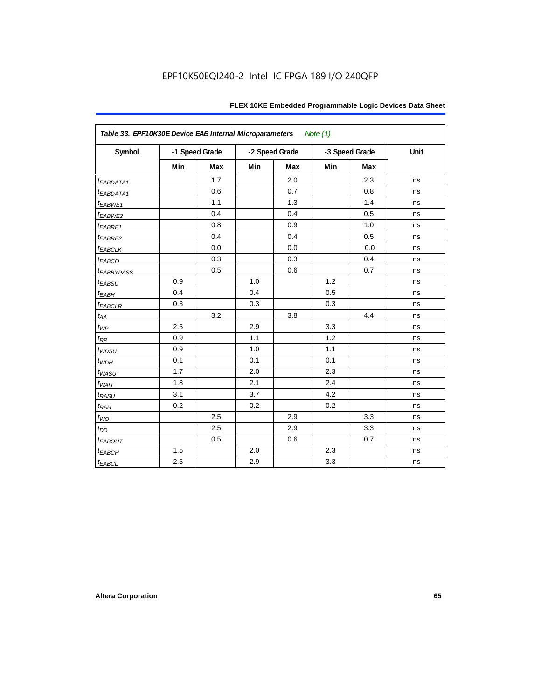|                         | Table 33. EPF10K30E Device EAB Internal Microparameters<br>Note $(1)$ |                |     |                |     |                |      |  |  |
|-------------------------|-----------------------------------------------------------------------|----------------|-----|----------------|-----|----------------|------|--|--|
| Symbol                  |                                                                       | -1 Speed Grade |     | -2 Speed Grade |     | -3 Speed Grade | Unit |  |  |
|                         | Min                                                                   | Max            | Min | Max            | Min | Max            |      |  |  |
| t <sub>EABDATA1</sub>   |                                                                       | 1.7            |     | 2.0            |     | 2.3            | ns   |  |  |
| t <sub>EABDATA1</sub>   |                                                                       | 0.6            |     | 0.7            |     | 0.8            | ns   |  |  |
| t <sub>EABWE1</sub>     |                                                                       | 1.1            |     | 1.3            |     | 1.4            | ns   |  |  |
| t <sub>EABWE2</sub>     |                                                                       | 0.4            |     | 0.4            |     | 0.5            | ns   |  |  |
| $t_{EABRE1}$            |                                                                       | 0.8            |     | 0.9            |     | 1.0            | ns   |  |  |
| t <sub>EABRE2</sub>     |                                                                       | 0.4            |     | 0.4            |     | 0.5            | ns   |  |  |
| <sup>t</sup> EABCLK     |                                                                       | 0.0            |     | 0.0            |     | 0.0            | ns   |  |  |
| t <sub>EABCO</sub>      |                                                                       | 0.3            |     | 0.3            |     | 0.4            | ns   |  |  |
| <b><i>EABBYPASS</i></b> |                                                                       | 0.5            |     | 0.6            |     | 0.7            | ns   |  |  |
| $t_{EABSU}$             | 0.9                                                                   |                | 1.0 |                | 1.2 |                | ns   |  |  |
| $t_{EABH}$              | 0.4                                                                   |                | 0.4 |                | 0.5 |                | ns   |  |  |
| $t_{EABCLR}$            | 0.3                                                                   |                | 0.3 |                | 0.3 |                | ns   |  |  |
| $t_{\mathit{AA}}$       |                                                                       | 3.2            |     | 3.8            |     | 4.4            | ns   |  |  |
| $t_{WP}$                | 2.5                                                                   |                | 2.9 |                | 3.3 |                | ns   |  |  |
| $t_{\!R\!P}$            | 0.9                                                                   |                | 1.1 |                | 1.2 |                | ns   |  |  |
| $t_{WDSU}$              | 0.9                                                                   |                | 1.0 |                | 1.1 |                | ns   |  |  |
| $t_{WDH}$               | 0.1                                                                   |                | 0.1 |                | 0.1 |                | ns   |  |  |
| $t_{WASU}$              | 1.7                                                                   |                | 2.0 |                | 2.3 |                | ns   |  |  |
| $t_{W\!AH}$             | 1.8                                                                   |                | 2.1 |                | 2.4 |                | ns   |  |  |
| $t_{RASU}$              | 3.1                                                                   |                | 3.7 |                | 4.2 |                | ns   |  |  |
| $t_{RAH}$               | 0.2                                                                   |                | 0.2 |                | 0.2 |                | ns   |  |  |
| $t_{WO}$                |                                                                       | 2.5            |     | 2.9            |     | 3.3            | ns   |  |  |
| $t_{DD}$                |                                                                       | 2.5            |     | 2.9            |     | 3.3            | ns   |  |  |
| $t_{EABOUT}$            |                                                                       | 0.5            |     | $0.6\,$        |     | 0.7            | ns   |  |  |
| $t_{EABCH}$             | 1.5                                                                   |                | 2.0 |                | 2.3 |                | ns   |  |  |
| $t_{EABCL}$             | 2.5                                                                   |                | 2.9 |                | 3.3 |                | ns   |  |  |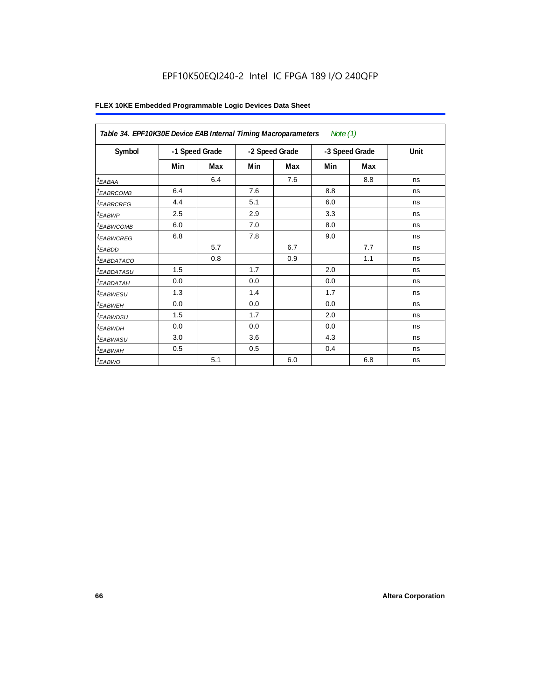| Table 34. EPF10K30E Device EAB Internal Timing Macroparameters |                |     |                |     | Note $(1)$ |                |      |
|----------------------------------------------------------------|----------------|-----|----------------|-----|------------|----------------|------|
| Symbol                                                         | -1 Speed Grade |     | -2 Speed Grade |     |            | -3 Speed Grade | Unit |
|                                                                | Min            | Max | Min            | Max | Min        | Max            |      |
| $t_{EABA}$                                                     |                | 6.4 |                | 7.6 |            | 8.8            | ns   |
| <sup>t</sup> EABRCOMB                                          | 6.4            |     | 7.6            |     | 8.8        |                | ns   |
| <i><b>tEABRCREG</b></i>                                        | 4.4            |     | 5.1            |     | 6.0        |                | ns   |
| t <sub>EABWP</sub>                                             | 2.5            |     | 2.9            |     | 3.3        |                | ns   |
| <sup>t</sup> EABWCOMB                                          | 6.0            |     | 7.0            |     | 8.0        |                | ns   |
| <sup>t</sup> EABWCREG                                          | 6.8            |     | 7.8            |     | 9.0        |                | ns   |
| $t_{EABDD}$                                                    |                | 5.7 |                | 6.7 |            | 7.7            | ns   |
| <sup>t</sup> EABDATACO                                         |                | 0.8 |                | 0.9 |            | 1.1            | ns   |
| <sup>t</sup> EABDATASU                                         | 1.5            |     | 1.7            |     | 2.0        |                | ns   |
| <sup>t</sup> EABDATAH                                          | 0.0            |     | 0.0            |     | 0.0        |                | ns   |
| <sup>t</sup> EABWESU                                           | 1.3            |     | 1.4            |     | 1.7        |                | ns   |
| <sup>t</sup> EABWEH                                            | 0.0            |     | 0.0            |     | 0.0        |                | ns   |
| <sup>t</sup> EABWDSU                                           | 1.5            |     | 1.7            |     | 2.0        |                | ns   |
| <sup>t</sup> EABWDH                                            | 0.0            |     | 0.0            |     | 0.0        |                | ns   |
| t <sub>EABWASU</sub>                                           | 3.0            |     | 3.6            |     | 4.3        |                | ns   |
| <sup>t</sup> EABWAH                                            | 0.5            |     | 0.5            |     | 0.4        |                | ns   |
| $t_{EABWO}$                                                    |                | 5.1 |                | 6.0 |            | 6.8            | ns   |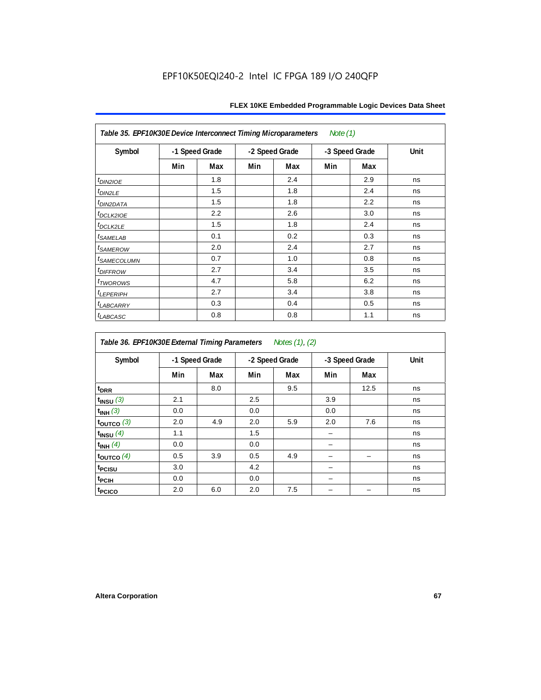|                               | Note $(1)$<br>Table 35. EPF10K30E Device Interconnect Timing Microparameters |                |     |                |     |                |             |  |  |  |
|-------------------------------|------------------------------------------------------------------------------|----------------|-----|----------------|-----|----------------|-------------|--|--|--|
| Symbol                        |                                                                              | -1 Speed Grade |     | -2 Speed Grade |     | -3 Speed Grade | <b>Unit</b> |  |  |  |
|                               | Min                                                                          | Max            | Min | Max            | Min | Max            |             |  |  |  |
| $tD$ IN2IOE                   |                                                                              | 1.8            |     | 2.4            |     | 2.9            | ns          |  |  |  |
| $t_{DIN2LE}$                  |                                                                              | 1.5            |     | 1.8            |     | 2.4            | ns          |  |  |  |
| <sup>t</sup> DIN2DATA         |                                                                              | 1.5            |     | 1.8            |     | 2.2            | ns          |  |  |  |
| t <sub>DCLK210E</sub>         |                                                                              | 2.2            |     | 2.6            |     | 3.0            | ns          |  |  |  |
| $t_{DCLK2LE}$                 |                                                                              | 1.5            |     | 1.8            |     | 2.4            | ns          |  |  |  |
| <i>t</i> SAMELAB              |                                                                              | 0.1            |     | 0.2            |     | 0.3            | ns          |  |  |  |
| <i>t<sub>SAMEROW</sub></i>    |                                                                              | 2.0            |     | 2.4            |     | 2.7            | ns          |  |  |  |
| <i>t<sub>SAMECOLUMN</sub></i> |                                                                              | 0.7            |     | 1.0            |     | 0.8            | ns          |  |  |  |
| <i>t<sub>DIFFROW</sub></i>    |                                                                              | 2.7            |     | 3.4            |     | 3.5            | ns          |  |  |  |
| <i>t</i> <sub>T</sub> worows  |                                                                              | 4.7            |     | 5.8            |     | 6.2            | ns          |  |  |  |
| <sup>t</sup> LEPERIPH         |                                                                              | 2.7            |     | 3.4            |     | 3.8            | ns          |  |  |  |
| <b><i>LABCARRY</i></b>        |                                                                              | 0.3            |     | 0.4            |     | 0.5            | ns          |  |  |  |
| <sup>t</sup> LABCASC          |                                                                              | 0.8            |     | 0.8            |     | 1.1            | ns          |  |  |  |

| Table 36. EPF10K30E External Timing Parameters<br>Notes (1), (2) |     |                |     |                |     |                |      |  |  |
|------------------------------------------------------------------|-----|----------------|-----|----------------|-----|----------------|------|--|--|
| Symbol                                                           |     | -1 Speed Grade |     | -2 Speed Grade |     | -3 Speed Grade | Unit |  |  |
|                                                                  | Min | Max            | Min | Max            | Min | Max            |      |  |  |
| $t_{DRR}$                                                        |     | 8.0            |     | 9.5            |     | 12.5           | ns   |  |  |
| $t_{INSU}$ (3)                                                   | 2.1 |                | 2.5 |                | 3.9 |                | ns   |  |  |
| $t_{INH}$ (3)                                                    | 0.0 |                | 0.0 |                | 0.0 |                | ns   |  |  |
| $t_{\text{OUTCO}}$ (3)                                           | 2.0 | 4.9            | 2.0 | 5.9            | 2.0 | 7.6            | ns   |  |  |
| $t_{INSU}$ (4)                                                   | 1.1 |                | 1.5 |                |     |                | ns   |  |  |
| $t_{INH}$ (4)                                                    | 0.0 |                | 0.0 |                |     |                | ns   |  |  |
| $t_{\text{OUTCO}}$ (4)                                           | 0.5 | 3.9            | 0.5 | 4.9            |     |                | ns   |  |  |
| <sup>t</sup> PCISU                                               | 3.0 |                | 4.2 |                |     |                | ns   |  |  |
| t <sub>PCIH</sub>                                                | 0.0 |                | 0.0 |                |     |                | ns   |  |  |
| t <sub>PCICO</sub>                                               | 2.0 | 6.0            | 2.0 | 7.5            |     |                | ns   |  |  |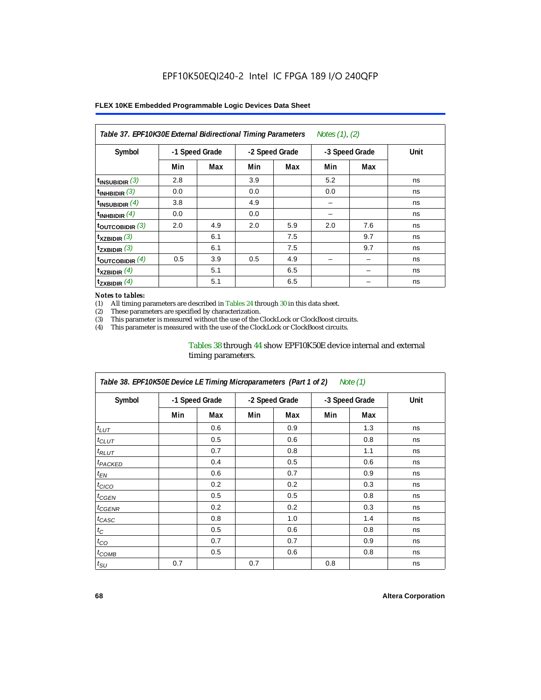| Table 37. EPF10K30E External Bidirectional Timing Parameters |                |     |                |     | Notes (1), (2) |     |      |
|--------------------------------------------------------------|----------------|-----|----------------|-----|----------------|-----|------|
| Symbol                                                       | -1 Speed Grade |     | -2 Speed Grade |     | -3 Speed Grade |     | Unit |
|                                                              | Min            | Max | Min            | Max | Min            | Max |      |
| $t_{INSUBIDIR}$ (3)                                          | 2.8            |     | 3.9            |     | 5.2            |     | ns   |
| $t_{INHBIDIR}$ (3)                                           | 0.0            |     | 0.0            |     | 0.0            |     | ns   |
| $t_{INSUBIDIR}(4)$                                           | 3.8            |     | 4.9            |     |                |     | ns   |
| $t_{INHBIDIR}$ (4)                                           | 0.0            |     | 0.0            |     |                |     | ns   |
| toutcobidir $(3)$                                            | 2.0            | 4.9 | 2.0            | 5.9 | 2.0            | 7.6 | ns   |
| $t_{XZBIDIR}$ (3)                                            |                | 6.1 |                | 7.5 |                | 9.7 | ns   |
| $t_{ZXBIDIR}$ (3)                                            |                | 6.1 |                | 7.5 |                | 9.7 | ns   |
| $t_{\text{OUTCOBIDIR}}$ (4)                                  | 0.5            | 3.9 | 0.5            | 4.9 |                |     | ns   |
| $t_{XZBIDIR}$ (4)                                            |                | 5.1 |                | 6.5 |                |     | ns   |
| $t_{ZXBIDIR}$ (4)                                            |                | 5.1 |                | 6.5 |                |     | ns   |

#### *Notes to tables:*

(1) All timing parameters are described in Tables 24 through 30 in this data sheet.<br>(2) These parameters are specified by characterization.

(2) These parameters are specified by characterization.<br>(3) This parameter is measured without the use of the C

This parameter is measured without the use of the ClockLock or ClockBoost circuits.

(4) This parameter is measured with the use of the ClockLock or ClockBoost circuits.

### Tables 38 through 44 show EPF10K50E device internal and external timing parameters.

| Table 38. EPF10K50E Device LE Timing Microparameters (Part 1 of 2)<br>Note (1) |     |                |     |                |     |                |      |  |  |
|--------------------------------------------------------------------------------|-----|----------------|-----|----------------|-----|----------------|------|--|--|
| Symbol                                                                         |     | -1 Speed Grade |     | -2 Speed Grade |     | -3 Speed Grade | Unit |  |  |
|                                                                                | Min | Max            | Min | Max            | Min | Max            |      |  |  |
| $t_{LUT}$                                                                      |     | 0.6            |     | 0.9            |     | 1.3            | ns   |  |  |
| $t_{CLUT}$                                                                     |     | 0.5            |     | 0.6            |     | 0.8            | ns   |  |  |
| $t_{RLUT}$                                                                     |     | 0.7            |     | 0.8            |     | 1.1            | ns   |  |  |
| <b><i>t<sub>PACKED</sub></i></b>                                               |     | 0.4            |     | 0.5            |     | 0.6            | ns   |  |  |
| $t_{EN}$                                                                       |     | 0.6            |     | 0.7            |     | 0.9            | ns   |  |  |
| $t_{CICO}$                                                                     |     | 0.2            |     | 0.2            |     | 0.3            | ns   |  |  |
| $t_{GEN}$                                                                      |     | 0.5            |     | 0.5            |     | 0.8            | ns   |  |  |
| <sup>t</sup> CGENR                                                             |     | 0.2            |     | 0.2            |     | 0.3            | ns   |  |  |
| t <sub>CASC</sub>                                                              |     | 0.8            |     | 1.0            |     | 1.4            | ns   |  |  |
| $t_C$                                                                          |     | 0.5            |     | 0.6            |     | 0.8            | ns   |  |  |
| $t_{CO}$                                                                       |     | 0.7            |     | 0.7            |     | 0.9            | ns   |  |  |
| $t_{\text{COMB}}$                                                              |     | 0.5            |     | 0.6            |     | 0.8            | ns   |  |  |
| $t_{\text{SU}}$                                                                | 0.7 |                | 0.7 |                | 0.8 |                | ns   |  |  |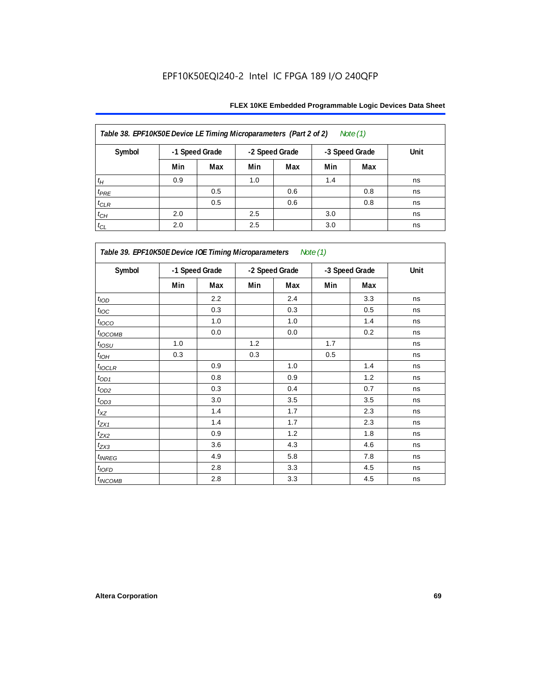| Table 38. EPF10K50E Device LE Timing Microparameters (Part 2 of 2)<br>Note $(1)$ |                                                    |     |      |     |     |     |    |  |  |  |
|----------------------------------------------------------------------------------|----------------------------------------------------|-----|------|-----|-----|-----|----|--|--|--|
| Symbol                                                                           | -1 Speed Grade<br>-2 Speed Grade<br>-3 Speed Grade |     | Unit |     |     |     |    |  |  |  |
|                                                                                  | Min                                                | Max | Min  | Max | Min | Max |    |  |  |  |
| $t_H$                                                                            | 0.9                                                |     | 1.0  |     | 1.4 |     | ns |  |  |  |
| $t_{PRE}$                                                                        |                                                    | 0.5 |      | 0.6 |     | 0.8 | ns |  |  |  |
| $t_{CLR}$                                                                        |                                                    | 0.5 |      | 0.6 |     | 0.8 | ns |  |  |  |
| $t_{CH}$                                                                         | 2.0                                                |     | 2.5  |     | 3.0 |     | ns |  |  |  |
| $t_{CL}$                                                                         | 2.0                                                |     | 2.5  |     | 3.0 |     | ns |  |  |  |

|                   | Table 39. EPF10K50E Device IOE Timing Microparameters Note (1) |         |                |     |                |     |      |  |  |  |
|-------------------|----------------------------------------------------------------|---------|----------------|-----|----------------|-----|------|--|--|--|
| Symbol            | -1 Speed Grade                                                 |         | -2 Speed Grade |     | -3 Speed Grade |     | Unit |  |  |  |
|                   | Min                                                            | Max     | Min            | Max | Min            | Max |      |  |  |  |
| t <sub>IOD</sub>  |                                                                | 2.2     |                | 2.4 |                | 3.3 | ns   |  |  |  |
| $t_{\text{IOC}}$  |                                                                | 0.3     |                | 0.3 |                | 0.5 | ns   |  |  |  |
| $t_{IOCO}$        |                                                                | 1.0     |                | 1.0 |                | 1.4 | ns   |  |  |  |
| $t_{IOCOMB}$      |                                                                | 0.0     |                | 0.0 |                | 0.2 | ns   |  |  |  |
| $t_{IOSU}$        | 1.0                                                            |         | 1.2            |     | 1.7            |     | ns   |  |  |  |
| $t_{IOM}$         | 0.3                                                            |         | 0.3            |     | 0.5            |     | ns   |  |  |  |
| $t_{IOCLR}$       |                                                                | 0.9     |                | 1.0 |                | 1.4 | ns   |  |  |  |
| $t_{OD1}$         |                                                                | 0.8     |                | 0.9 |                | 1.2 | ns   |  |  |  |
| $t_{OD2}$         |                                                                | 0.3     |                | 0.4 |                | 0.7 | ns   |  |  |  |
| $t_{OD3}$         |                                                                | 3.0     |                | 3.5 |                | 3.5 | ns   |  |  |  |
| $t_{\mathsf{XZ}}$ |                                                                | 1.4     |                | 1.7 |                | 2.3 | ns   |  |  |  |
| $t_{ZX1}$         |                                                                | 1.4     |                | 1.7 |                | 2.3 | ns   |  |  |  |
| $t_{ZX2}$         |                                                                | 0.9     |                | 1.2 |                | 1.8 | ns   |  |  |  |
| $t_{ZX3}$         |                                                                | 3.6     |                | 4.3 |                | 4.6 | ns   |  |  |  |
| $t_{INREG}$       |                                                                | 4.9     |                | 5.8 |                | 7.8 | ns   |  |  |  |
| $t_{IOFD}$        |                                                                | 2.8     |                | 3.3 |                | 4.5 | ns   |  |  |  |
| $t_{INCOMB}$      |                                                                | $2.8\,$ |                | 3.3 |                | 4.5 | ns   |  |  |  |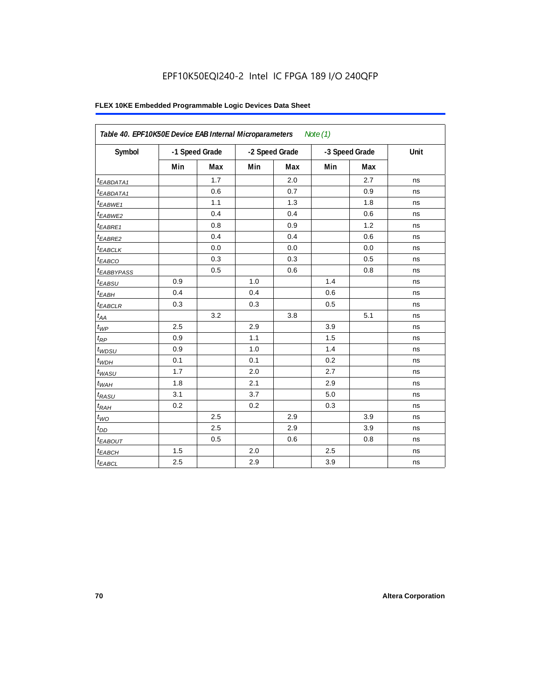| Symbol                 |     | -1 Speed Grade | -2 Speed Grade |     | -3 Speed Grade |            | Unit |
|------------------------|-----|----------------|----------------|-----|----------------|------------|------|
|                        | Min | Max            | Min            | Max | Min            | <b>Max</b> |      |
| <sup>t</sup> EABDATA1  |     | 1.7            |                | 2.0 |                | 2.7        | ns   |
| <sup>t</sup> EABDATA1  |     | 0.6            |                | 0.7 |                | 0.9        | ns   |
| $t_{EABWE1}$           |     | 1.1            |                | 1.3 |                | 1.8        | ns   |
| <sup>t</sup> EABWE2    |     | 0.4            |                | 0.4 |                | 0.6        | ns   |
| t <sub>EABRE1</sub>    |     | 0.8            |                | 0.9 |                | 1.2        | ns   |
| $t_{EABRE2}$           |     | 0.4            |                | 0.4 |                | 0.6        | ns   |
| $t_{EABCLK}$           |     | 0.0            |                | 0.0 |                | 0.0        | ns   |
| t <sub>EABCO</sub>     |     | 0.3            |                | 0.3 |                | 0.5        | ns   |
| <sup>t</sup> EABBYPASS |     | 0.5            |                | 0.6 |                | 0.8        | ns   |
| $t_{EABSU}$            | 0.9 |                | 1.0            |     | 1.4            |            | ns   |
| $t_{EABH}$             | 0.4 |                | 0.4            |     | 0.6            |            | ns   |
| <sup>t</sup> EABCLR    | 0.3 |                | 0.3            |     | 0.5            |            | ns   |
| $t_{AA}$               |     | 3.2            |                | 3.8 |                | 5.1        | ns   |
| $t_{WP}$               | 2.5 |                | 2.9            |     | 3.9            |            | ns   |
| $t_{RP}$               | 0.9 |                | 1.1            |     | 1.5            |            | ns   |
| $t_{WDSU}$             | 0.9 |                | 1.0            |     | 1.4            |            | ns   |
| $t_{WDH}$              | 0.1 |                | 0.1            |     | 0.2            |            | ns   |
| $t_{WASU}$             | 1.7 |                | 2.0            |     | 2.7            |            | ns   |
| $t_{WAH}$              | 1.8 |                | 2.1            |     | 2.9            |            | ns   |
| $t_{RASU}$             | 3.1 |                | 3.7            |     | 5.0            |            | ns   |
| $t_{RAH}$              | 0.2 |                | 0.2            |     | 0.3            |            | ns   |
| $t_{WO}$               |     | 2.5            |                | 2.9 |                | 3.9        | ns   |
| $t_{DD}$               |     | 2.5            |                | 2.9 |                | 3.9        | ns   |
| <b><i>EABOUT</i></b>   |     | 0.5            |                | 0.6 |                | 0.8        | ns   |
| $t_{EABCH}$            | 1.5 |                | 2.0            |     | 2.5            |            | ns   |
| $t_{EABCL}$            | 2.5 |                | 2.9            |     | 3.9            |            | ns   |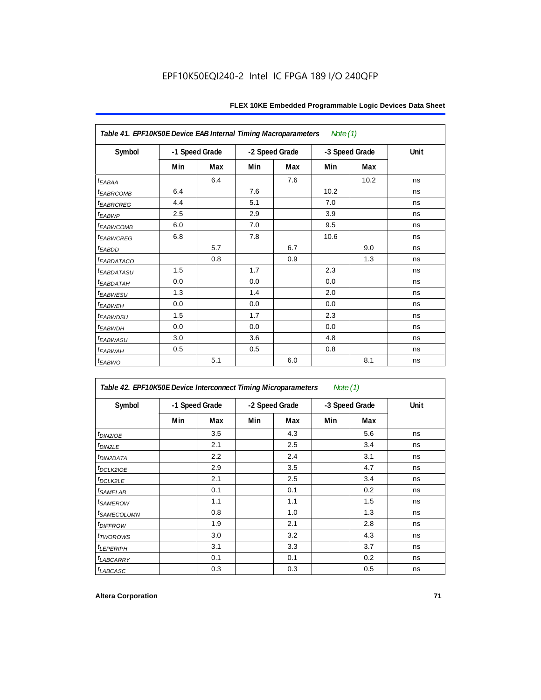| Table 41. EPF10K50E Device EAB Internal Timing Macroparameters<br>Note $(1)$ |                |     |                |     |                |      |      |  |  |  |
|------------------------------------------------------------------------------|----------------|-----|----------------|-----|----------------|------|------|--|--|--|
| Symbol                                                                       | -1 Speed Grade |     | -2 Speed Grade |     | -3 Speed Grade |      | Unit |  |  |  |
|                                                                              | Min            | Max | Min            | Max | Min            | Max  |      |  |  |  |
| $t_{EABA}$                                                                   |                | 6.4 |                | 7.6 |                | 10.2 | ns   |  |  |  |
| <b><i>EABRCOMB</i></b>                                                       | 6.4            |     | 7.6            |     | 10.2           |      | ns   |  |  |  |
| t <sub>EABRCREG</sub>                                                        | 4.4            |     | 5.1            |     | 7.0            |      | ns   |  |  |  |
| t <sub>EABWP</sub>                                                           | 2.5            |     | 2.9            |     | 3.9            |      | ns   |  |  |  |
| <sup>t</sup> EABWCOMB                                                        | 6.0            |     | 7.0            |     | 9.5            |      | ns   |  |  |  |
| <b><i>EABWCREG</i></b>                                                       | 6.8            |     | 7.8            |     | 10.6           |      | ns   |  |  |  |
| $t_{EABDD}$                                                                  |                | 5.7 |                | 6.7 |                | 9.0  | ns   |  |  |  |
| <sup>t</sup> EABDATACO                                                       |                | 0.8 |                | 0.9 |                | 1.3  | ns   |  |  |  |
| <sup>t</sup> EABDATASU                                                       | 1.5            |     | 1.7            |     | 2.3            |      | ns   |  |  |  |
| <sup>t</sup> EABDATAH                                                        | 0.0            |     | 0.0            |     | 0.0            |      | ns   |  |  |  |
| t <sub>EABWESU</sub>                                                         | 1.3            |     | 1.4            |     | 2.0            |      | ns   |  |  |  |
| t <sub>EABWEH</sub>                                                          | 0.0            |     | 0.0            |     | 0.0            |      | ns   |  |  |  |
| t <sub>EABWDSU</sub>                                                         | 1.5            |     | 1.7            |     | 2.3            |      | ns   |  |  |  |
| <sup>t</sup> EABWDH                                                          | 0.0            |     | 0.0            |     | 0.0            |      | ns   |  |  |  |
| <sup>t</sup> EABWASU                                                         | 3.0            |     | 3.6            |     | 4.8            |      | ns   |  |  |  |
| t <sub>EABWAH</sub>                                                          | 0.5            |     | 0.5            |     | 0.8            |      | ns   |  |  |  |
| $t_{EABWO}$                                                                  |                | 5.1 |                | 6.0 |                | 8.1  | ns   |  |  |  |

| Table 42. EPF10K50E Device Interconnect Timing Microparameters<br>Note $(1)$ |                |     |                |     |                |     |      |  |  |
|------------------------------------------------------------------------------|----------------|-----|----------------|-----|----------------|-----|------|--|--|
| Symbol                                                                       | -1 Speed Grade |     | -2 Speed Grade |     | -3 Speed Grade |     | Unit |  |  |
|                                                                              | Min            | Max | Min            | Max | Min            | Max |      |  |  |
| $tD$ IN2IOE                                                                  |                | 3.5 |                | 4.3 |                | 5.6 | ns   |  |  |
| t <sub>DIN2LE</sub>                                                          |                | 2.1 |                | 2.5 |                | 3.4 | ns   |  |  |
| <sup>t</sup> DIN2DATA                                                        |                | 2.2 |                | 2.4 |                | 3.1 | ns   |  |  |
| $t$ DCLK2IOE                                                                 |                | 2.9 |                | 3.5 |                | 4.7 | ns   |  |  |
| $t$ DCLK2LE                                                                  |                | 2.1 |                | 2.5 |                | 3.4 | ns   |  |  |
| <sup>t</sup> SAMELAB                                                         |                | 0.1 |                | 0.1 |                | 0.2 | ns   |  |  |
| <i>t</i> SAMEROW                                                             |                | 1.1 |                | 1.1 |                | 1.5 | ns   |  |  |
| <i>t<sub>SAMECOLUMN</sub></i>                                                |                | 0.8 |                | 1.0 |                | 1.3 | ns   |  |  |
| <i>t<sub>DIFFROW</sub></i>                                                   |                | 1.9 |                | 2.1 |                | 2.8 | ns   |  |  |
| <i>t</i> TWOROWS                                                             |                | 3.0 |                | 3.2 |                | 4.3 | ns   |  |  |
| <b><i>LEPERIPH</i></b>                                                       |                | 3.1 |                | 3.3 |                | 3.7 | ns   |  |  |
| <b><i>LABCARRY</i></b>                                                       |                | 0.1 |                | 0.1 |                | 0.2 | ns   |  |  |
| t <sub>LABCASC</sub>                                                         |                | 0.3 |                | 0.3 |                | 0.5 | ns   |  |  |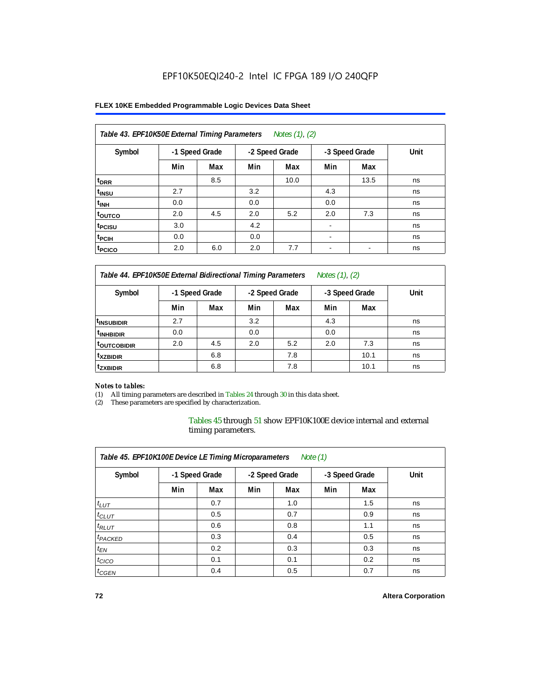### **FLEX 10KE Embedded Programmable Logic Devices Data Sheet**

| Table 43. EPF10K50E External Timing Parameters<br>Notes (1), (2) |     |                |     |                |                          |                |      |  |  |  |
|------------------------------------------------------------------|-----|----------------|-----|----------------|--------------------------|----------------|------|--|--|--|
| Symbol                                                           |     | -1 Speed Grade |     | -2 Speed Grade |                          | -3 Speed Grade | Unit |  |  |  |
|                                                                  | Min | Max            | Min | Max            | Min                      | Max            |      |  |  |  |
| t <sub>DRR</sub>                                                 |     | 8.5            |     | 10.0           |                          | 13.5           | ns   |  |  |  |
| t <sub>insu</sub>                                                | 2.7 |                | 3.2 |                | 4.3                      |                | ns   |  |  |  |
| $t_{\rm INH}$                                                    | 0.0 |                | 0.0 |                | 0.0                      |                | ns   |  |  |  |
| toutco                                                           | 2.0 | 4.5            | 2.0 | 5.2            | 2.0                      | 7.3            | ns   |  |  |  |
| t <sub>PCISU</sub>                                               | 3.0 |                | 4.2 |                |                          |                | ns   |  |  |  |
| <sup>t</sup> PCIH                                                | 0.0 |                | 0.0 |                | $\overline{\phantom{a}}$ |                | ns   |  |  |  |
| <sup>t</sup> PCICO                                               | 2.0 | 6.0            | 2.0 | 7.7            | $\blacksquare$           |                | ns   |  |  |  |

*Table 44. EPF10K50E External Bidirectional Timing Parameters Notes (1), (2)*

| Symbol                  | -1 Speed Grade |     |     | -2 Speed Grade |     | -3 Speed Grade | Unit |
|-------------------------|----------------|-----|-----|----------------|-----|----------------|------|
|                         | Min            | Max | Min | Max            | Min | Max            |      |
| <sup>I</sup> INSUBIDIR  | 2.7            |     | 3.2 |                | 4.3 |                | ns   |
| <sup>t</sup> INHBIDIR   | 0.0            |     | 0.0 |                | 0.0 |                | ns   |
| <sup>t</sup> OUTCOBIDIR | 2.0            | 4.5 | 2.0 | 5.2            | 2.0 | 7.3            | ns   |
| <sup>t</sup> xzbidir    |                | 6.8 |     | 7.8            |     | 10.1           | ns   |
| <sup>t</sup> zxbidir    |                | 6.8 |     | 7.8            |     | 10.1           | ns   |

#### *Notes to tables:*

(1) All timing parameters are described in Tables 24 through 30 in this data sheet.

(2) These parameters are specified by characterization.

Tables 45 through 51 show EPF10K100E device internal and external timing parameters.

| Table 45. EPF10K100E Device LE Timing Microparameters<br>Note $(1)$ |                |     |                |     |                |     |      |  |  |  |
|---------------------------------------------------------------------|----------------|-----|----------------|-----|----------------|-----|------|--|--|--|
| Symbol                                                              | -1 Speed Grade |     | -2 Speed Grade |     | -3 Speed Grade |     | Unit |  |  |  |
|                                                                     | Min            | Max | Min            | Max | Min            | Max |      |  |  |  |
| $t_{LUT}$                                                           |                | 0.7 |                | 1.0 |                | 1.5 | ns   |  |  |  |
| $t_{CLUT}$                                                          |                | 0.5 |                | 0.7 |                | 0.9 | ns   |  |  |  |
| $t_{RLUT}$                                                          |                | 0.6 |                | 0.8 |                | 1.1 | ns   |  |  |  |
| <sup>t</sup> PACKED                                                 |                | 0.3 |                | 0.4 |                | 0.5 | ns   |  |  |  |
| $t_{EN}$                                                            |                | 0.2 |                | 0.3 |                | 0.3 | ns   |  |  |  |
| $t_{CICO}$                                                          |                | 0.1 |                | 0.1 |                | 0.2 | ns   |  |  |  |
| $t_{\text{GEN}}$                                                    |                | 0.4 |                | 0.5 |                | 0.7 | ns   |  |  |  |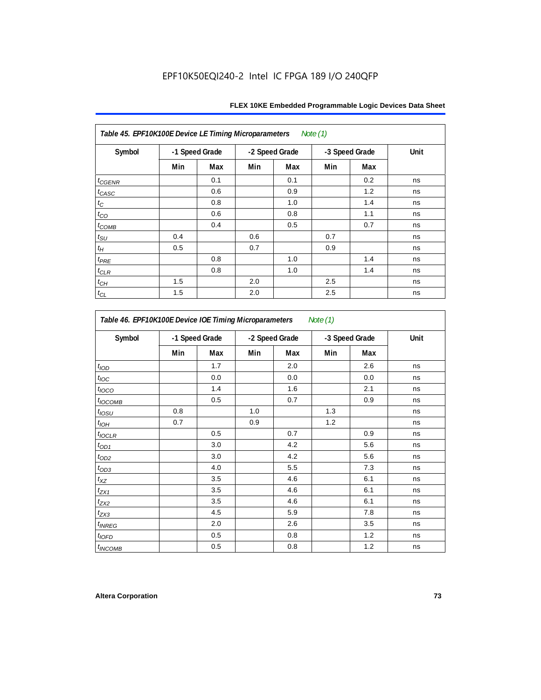| Table 45. EPF10K100E Device LE Timing Microparameters Note (1) |                |     |     |                |     |                |      |  |  |  |  |
|----------------------------------------------------------------|----------------|-----|-----|----------------|-----|----------------|------|--|--|--|--|
| Symbol                                                         | -1 Speed Grade |     |     | -2 Speed Grade |     | -3 Speed Grade | Unit |  |  |  |  |
|                                                                | Min            | Max | Min | Max            | Min | Max            |      |  |  |  |  |
| $t_{GENR}$                                                     |                | 0.1 |     | 0.1            |     | 0.2            | ns   |  |  |  |  |
| $t_{CASC}$                                                     |                | 0.6 |     | 0.9            |     | 1.2            | ns   |  |  |  |  |
| $t_{\rm C}$                                                    |                | 0.8 |     | 1.0            |     | 1.4            | ns   |  |  |  |  |
| $t_{CO}$                                                       |                | 0.6 |     | 0.8            |     | 1.1            | ns   |  |  |  |  |
| $t_{COMB}$                                                     |                | 0.4 |     | 0.5            |     | 0.7            | ns   |  |  |  |  |
| $t_{\text{SU}}$                                                | 0.4            |     | 0.6 |                | 0.7 |                | ns   |  |  |  |  |
| $t_H$                                                          | 0.5            |     | 0.7 |                | 0.9 |                | ns   |  |  |  |  |
| $t_{PRE}$                                                      |                | 0.8 |     | 1.0            |     | 1.4            | ns   |  |  |  |  |
| $t_{CLR}$                                                      |                | 0.8 |     | 1.0            |     | 1.4            | ns   |  |  |  |  |
| $t_{CH}$                                                       | 1.5            |     | 2.0 |                | 2.5 |                | ns   |  |  |  |  |
| $t_{CL}$                                                       | 1.5            |     | 2.0 |                | 2.5 |                | ns   |  |  |  |  |

| Symbol                   | -1 Speed Grade |     | -2 Speed Grade |     |     | -3 Speed Grade | Unit |
|--------------------------|----------------|-----|----------------|-----|-----|----------------|------|
|                          | Min            | Max | Min            | Max | Min | Max            |      |
| t <sub>IOD</sub>         |                | 1.7 |                | 2.0 |     | 2.6            | ns   |
| $t_{\text{loc}}$         |                | 0.0 |                | 0.0 |     | 0.0            | ns   |
| $t_{\text{IOCO}}$        |                | 1.4 |                | 1.6 |     | 2.1            | ns   |
| t <sub>IOCOMB</sub>      |                | 0.5 |                | 0.7 |     | 0.9            | ns   |
| $t_{IOSU}$               | 0.8            |     | 1.0            |     | 1.3 |                | ns   |
| $t_{IOH}$                | 0.7            |     | 0.9            |     | 1.2 |                | ns   |
| $t_{IOCLR}$              |                | 0.5 |                | 0.7 |     | 0.9            | ns   |
| $t_{OD1}$                |                | 3.0 |                | 4.2 |     | 5.6            | ns   |
| $t_{OD2}$                |                | 3.0 |                | 4.2 |     | 5.6            | ns   |
| $t_{OD3}$                |                | 4.0 |                | 5.5 |     | 7.3            | ns   |
| $t_{XZ}$                 |                | 3.5 |                | 4.6 |     | 6.1            | ns   |
| $t_{ZX1}$                |                | 3.5 |                | 4.6 |     | 6.1            | ns   |
| $t_{ZX2}$                |                | 3.5 |                | 4.6 |     | 6.1            | ns   |
| $t_{ZX3}$                |                | 4.5 |                | 5.9 |     | 7.8            | ns   |
| <i>t<sub>INREG</sub></i> |                | 2.0 |                | 2.6 |     | 3.5            | ns   |
| $t_{IOED}$               |                | 0.5 |                | 0.8 |     | 1.2            | ns   |
| <sup>t</sup> INCOMB      |                | 0.5 |                | 0.8 |     | 1.2            | ns   |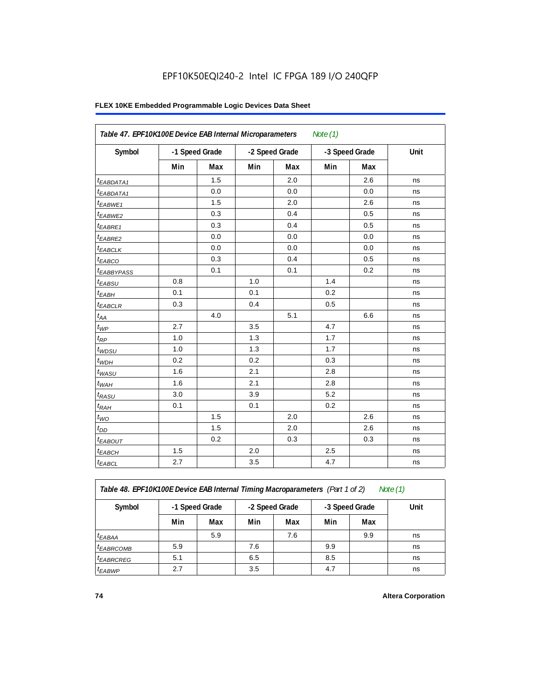### **FLEX 10KE Embedded Programmable Logic Devices Data Sheet**

|                        | Table 47. EPF10K100E Device EAB Internal Microparameters<br>Note $(1)$ |                |     |                |                |     |      |  |  |  |  |
|------------------------|------------------------------------------------------------------------|----------------|-----|----------------|----------------|-----|------|--|--|--|--|
| Symbol                 |                                                                        | -1 Speed Grade |     | -2 Speed Grade | -3 Speed Grade |     | Unit |  |  |  |  |
|                        | Min                                                                    | Max            | Min | Max            | Min            | Max |      |  |  |  |  |
| <sup>t</sup> EABDATA1  |                                                                        | 1.5            |     | 2.0            |                | 2.6 | ns   |  |  |  |  |
| $t_{EABDATA1}$         |                                                                        | 0.0            |     | 0.0            |                | 0.0 | ns   |  |  |  |  |
| $t_{EABWE1}$           |                                                                        | 1.5            |     | 2.0            |                | 2.6 | ns   |  |  |  |  |
| t <sub>EABWE2</sub>    |                                                                        | 0.3            |     | 0.4            |                | 0.5 | ns   |  |  |  |  |
| t <sub>EABRE1</sub>    |                                                                        | 0.3            |     | 0.4            |                | 0.5 | ns   |  |  |  |  |
| $t_{EABRE2}$           |                                                                        | 0.0            |     | 0.0            |                | 0.0 | ns   |  |  |  |  |
| $t_{EABCLK}$           |                                                                        | 0.0            |     | 0.0            |                | 0.0 | ns   |  |  |  |  |
| $t_{EABCO}$            |                                                                        | 0.3            |     | 0.4            |                | 0.5 | ns   |  |  |  |  |
| t <sub>EABBYPASS</sub> |                                                                        | 0.1            |     | 0.1            |                | 0.2 | ns   |  |  |  |  |
| $t_{EABSU}$            | 0.8                                                                    |                | 1.0 |                | 1.4            |     | ns   |  |  |  |  |
| $t_{EABH}$             | 0.1                                                                    |                | 0.1 |                | 0.2            |     | ns   |  |  |  |  |
| $t_{EABCLR}$           | 0.3                                                                    |                | 0.4 |                | 0.5            |     | ns   |  |  |  |  |
| $t_{AA}$               |                                                                        | 4.0            |     | 5.1            |                | 6.6 | ns   |  |  |  |  |
| $t_{WP}$               | 2.7                                                                    |                | 3.5 |                | 4.7            |     | ns   |  |  |  |  |
| $t_{RP}$               | 1.0                                                                    |                | 1.3 |                | 1.7            |     | ns   |  |  |  |  |
| $t_{WDSU}$             | 1.0                                                                    |                | 1.3 |                | 1.7            |     | ns   |  |  |  |  |
| $t_{WDH}$              | 0.2                                                                    |                | 0.2 |                | 0.3            |     | ns   |  |  |  |  |
| $t_{WASU}$             | 1.6                                                                    |                | 2.1 |                | 2.8            |     | ns   |  |  |  |  |
| $t_{WAH}$              | 1.6                                                                    |                | 2.1 |                | 2.8            |     | ns   |  |  |  |  |
| $t_{RASU}$             | 3.0                                                                    |                | 3.9 |                | 5.2            |     | ns   |  |  |  |  |
| $t_{RAH}$              | 0.1                                                                    |                | 0.1 |                | 0.2            |     | ns   |  |  |  |  |
| $t_{WO}$               |                                                                        | 1.5            |     | 2.0            |                | 2.6 | ns   |  |  |  |  |
| $t_{DD}$               |                                                                        | 1.5            |     | 2.0            |                | 2.6 | ns   |  |  |  |  |
| $t_{EABOUT}$           |                                                                        | 0.2            |     | 0.3            |                | 0.3 | ns   |  |  |  |  |
| <sup>t</sup> EABCH     | 1.5                                                                    |                | 2.0 |                | 2.5            |     | ns   |  |  |  |  |
| $t_{EABCL}$            | 2.7                                                                    |                | 3.5 |                | 4.7            |     | ns   |  |  |  |  |

*Table 48. EPF10K100E Device EAB Internal Timing Macroparameters (Part 1 of 2)* 

| Symbol                | -1 Speed Grade |     | -2 Speed Grade |     |     | -3 Speed Grade | Unit |
|-----------------------|----------------|-----|----------------|-----|-----|----------------|------|
|                       | Min            | Max | Min            | Max | Min | Max            |      |
| $t_{EABA}$            |                | 5.9 |                | 7.6 |     | 9.9            | ns   |
| <sup>t</sup> EABRCOMB | 5.9            |     | 7.6            |     | 9.9 |                | ns   |
| <sup>I</sup> EABRCREG | 5.1            |     | 6.5            |     | 8.5 |                | ns   |
| <sup>t</sup> EABWP    | 2.7            |     | 3.5            |     | 4.7 |                | ns   |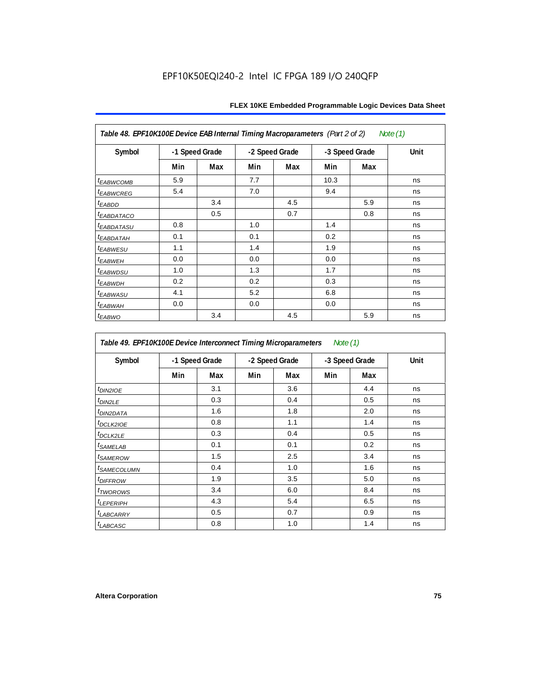| Table 48. EPF10K100E Device EAB Internal Timing Macroparameters (Part 2 of 2)<br>Note (1) |     |                |     |                |      |                |      |  |  |  |
|-------------------------------------------------------------------------------------------|-----|----------------|-----|----------------|------|----------------|------|--|--|--|
| Symbol                                                                                    |     | -1 Speed Grade |     | -2 Speed Grade |      | -3 Speed Grade | Unit |  |  |  |
|                                                                                           | Min | Max            | Min | Max            | Min  | Max            |      |  |  |  |
| <b>tEABWCOMB</b>                                                                          | 5.9 |                | 7.7 |                | 10.3 |                | ns   |  |  |  |
| <sup>t</sup> EABWCREG                                                                     | 5.4 |                | 7.0 |                | 9.4  |                | ns   |  |  |  |
| <sup>t</sup> EABDD                                                                        |     | 3.4            |     | 4.5            |      | 5.9            | ns   |  |  |  |
| <sup>t</sup> EABDATACO                                                                    |     | 0.5            |     | 0.7            |      | 0.8            | ns   |  |  |  |
| <sup>t</sup> EABDATASU                                                                    | 0.8 |                | 1.0 |                | 1.4  |                | ns   |  |  |  |
| <sup>t</sup> EABDATAH                                                                     | 0.1 |                | 0.1 |                | 0.2  |                | ns   |  |  |  |
| <sup>t</sup> EABWESU                                                                      | 1.1 |                | 1.4 |                | 1.9  |                | ns   |  |  |  |
| <sup>t</sup> EABWEH                                                                       | 0.0 |                | 0.0 |                | 0.0  |                | ns   |  |  |  |
| t <sub>EABWDSU</sub>                                                                      | 1.0 |                | 1.3 |                | 1.7  |                | ns   |  |  |  |
| <sup>t</sup> EABWDH                                                                       | 0.2 |                | 0.2 |                | 0.3  |                | ns   |  |  |  |
| <sup>t</sup> EABWASU                                                                      | 4.1 |                | 5.2 |                | 6.8  |                | ns   |  |  |  |
| <sup>t</sup> ЕАВWАН                                                                       | 0.0 |                | 0.0 |                | 0.0  |                | ns   |  |  |  |
| t <sub>EABWO</sub>                                                                        |     | 3.4            |     | 4.5            |      | 5.9            | ns   |  |  |  |

*Table 49. EPF10K100E Device Interconnect Timing Microparameters Note (1)*

| Symbol                     |     | -1 Speed Grade |     | -2 Speed Grade |     | -3 Speed Grade | Unit |
|----------------------------|-----|----------------|-----|----------------|-----|----------------|------|
|                            | Min | Max            | Min | Max            | Min | Max            |      |
| $tD$ IN2IOE                |     | 3.1            |     | 3.6            |     | 4.4            | ns   |
| t <sub>DIN2LE</sub>        |     | 0.3            |     | 0.4            |     | 0.5            | ns   |
| <sup>t</sup> DIN2DATA      |     | 1.6            |     | 1.8            |     | 2.0            | ns   |
| <sup>t</sup> DCLK2IOE      |     | 0.8            |     | 1.1            |     | 1.4            | ns   |
| $t$ <sub>DCLK2LE</sub>     |     | 0.3            |     | 0.4            |     | 0.5            | ns   |
| <sup>t</sup> SAMELAB       |     | 0.1            |     | 0.1            |     | 0.2            | ns   |
| <i>t<sub>SAMEROW</sub></i> |     | 1.5            |     | 2.5            |     | 3.4            | ns   |
| <sup>t</sup> SAMECOLUMN    |     | 0.4            |     | 1.0            |     | 1.6            | ns   |
| <i>t<sub>DIFFROW</sub></i> |     | 1.9            |     | 3.5            |     | 5.0            | ns   |
| <i>t</i> TWOROWS           |     | 3.4            |     | 6.0            |     | 8.4            | ns   |
| <sup>t</sup> LEPERIPH      |     | 4.3            |     | 5.4            |     | 6.5            | ns   |
| t <sub>LABCARRY</sub>      |     | 0.5            |     | 0.7            |     | 0.9            | ns   |
| t <sub>LABCASC</sub>       |     | 0.8            |     | 1.0            |     | 1.4            | ns   |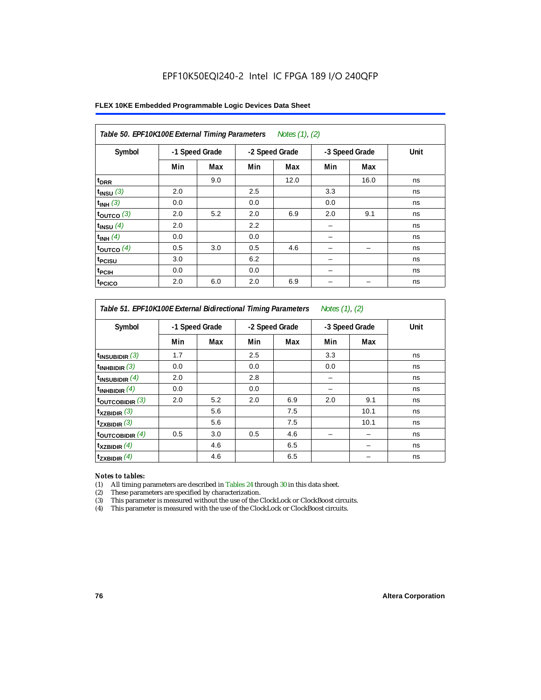#### **FLEX 10KE Embedded Programmable Logic Devices Data Sheet**

| Table 50. EPF10K100E External Timing Parameters Notes (1), (2) |                |     |     |                |     |                |      |  |  |  |
|----------------------------------------------------------------|----------------|-----|-----|----------------|-----|----------------|------|--|--|--|
| Symbol                                                         | -1 Speed Grade |     |     | -2 Speed Grade |     | -3 Speed Grade | Unit |  |  |  |
|                                                                | Min            | Max | Min | Max            | Min | Max            |      |  |  |  |
| t <sub>DRR</sub>                                               |                | 9.0 |     | 12.0           |     | 16.0           | ns   |  |  |  |
| $t$ <sub>INSU</sub> $(3)$                                      | 2.0            |     | 2.5 |                | 3.3 |                | ns   |  |  |  |
| $t_{INH}$ (3)                                                  | 0.0            |     | 0.0 |                | 0.0 |                | ns   |  |  |  |
| $t_{OUTCO}$ (3)                                                | 2.0            | 5.2 | 2.0 | 6.9            | 2.0 | 9.1            | ns   |  |  |  |
| $t_{INSU}$ (4)                                                 | 2.0            |     | 2.2 |                |     |                | ns   |  |  |  |
| $t_{INH}$ (4)                                                  | 0.0            |     | 0.0 |                |     |                | ns   |  |  |  |
| $t_{OUTCO}$ (4)                                                | 0.5            | 3.0 | 0.5 | 4.6            |     |                | ns   |  |  |  |
| t <sub>PCISU</sub>                                             | 3.0            |     | 6.2 |                |     |                | ns   |  |  |  |
| t <sub>PCIH</sub>                                              | 0.0            |     | 0.0 |                | -   |                | ns   |  |  |  |
| <sup>t</sup> PCICO                                             | 2.0            | 6.0 | 2.0 | 6.9            |     |                | ns   |  |  |  |

### *Table 51. EPF10K100E External Bidirectional Timing Parameters Notes (1), (2)*

| Symbol                      |     | -1 Speed Grade |     | -2 Speed Grade |     | -3 Speed Grade | Unit |
|-----------------------------|-----|----------------|-----|----------------|-----|----------------|------|
|                             | Min | Max            | Min | Max            | Min | Max            |      |
| $t_{INSUBIDIR}$ (3)         | 1.7 |                | 2.5 |                | 3.3 |                | ns   |
| $t_{INHBIDIR}$ (3)          | 0.0 |                | 0.0 |                | 0.0 |                | ns   |
| $t_{INSUBIDIR}(4)$          | 2.0 |                | 2.8 |                |     |                | ns   |
| $t_{INHBIDIR}(4)$           | 0.0 |                | 0.0 |                |     |                | ns   |
| $t_{\text{OUTCOBIDIR}}(3)$  | 2.0 | 5.2            | 2.0 | 6.9            | 2.0 | 9.1            | ns   |
| $t_{XZBIDIR}$ (3)           |     | 5.6            |     | 7.5            |     | 10.1           | ns   |
| $t_{ZXBIDIR}$ (3)           |     | 5.6            |     | 7.5            |     | 10.1           | ns   |
| $t_{\text{OUTCOBIDIR}}$ (4) | 0.5 | 3.0            | 0.5 | 4.6            |     |                | ns   |
| $t_{XZBIDIR}$ (4)           |     | 4.6            |     | 6.5            |     |                | ns   |
| $t_{ZXBIDIR}$ (4)           |     | 4.6            |     | 6.5            |     |                | ns   |

#### *Notes to tables:*

(1) All timing parameters are described in Tables 24 through 30 in this data sheet.

(2) These parameters are specified by characterization.

(3) This parameter is measured without the use of the ClockLock or ClockBoost circuits.

(4) This parameter is measured with the use of the ClockLock or ClockBoost circuits.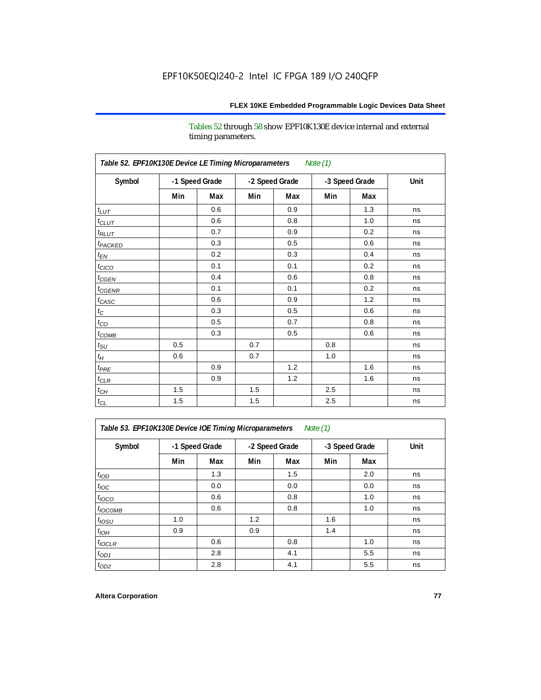Tables 52 through 58 show EPF10K130E device internal and external timing parameters.

| Table 52. EPF10K130E Device LE Timing Microparameters<br><b>Note (1)</b> |                |     |     |                |     |                |      |  |  |  |
|--------------------------------------------------------------------------|----------------|-----|-----|----------------|-----|----------------|------|--|--|--|
| Symbol                                                                   | -1 Speed Grade |     |     | -2 Speed Grade |     | -3 Speed Grade | Unit |  |  |  |
|                                                                          | Min            | Max | Min | Max            | Min | Max            |      |  |  |  |
| $t_{LUT}$                                                                |                | 0.6 |     | 0.9            |     | 1.3            | ns   |  |  |  |
| $t_{CLUT}$                                                               |                | 0.6 |     | 0.8            |     | 1.0            | ns   |  |  |  |
| $t_{RLUT}$                                                               |                | 0.7 |     | 0.9            |     | 0.2            | ns   |  |  |  |
| t <sub>PACKED</sub>                                                      |                | 0.3 |     | 0.5            |     | 0.6            | ns   |  |  |  |
| $t_{EN}$                                                                 |                | 0.2 |     | 0.3            |     | 0.4            | ns   |  |  |  |
| $t_{CICO}$                                                               |                | 0.1 |     | 0.1            |     | 0.2            | ns   |  |  |  |
| $t_{CGEN}$                                                               |                | 0.4 |     | 0.6            |     | 0.8            | ns   |  |  |  |
| $t_{CGENR}$                                                              |                | 0.1 |     | 0.1            |     | 0.2            | ns   |  |  |  |
| $t_{CASC}$                                                               |                | 0.6 |     | 0.9            |     | 1.2            | ns   |  |  |  |
| $t_{\rm C}$                                                              |                | 0.3 |     | 0.5            |     | 0.6            | ns   |  |  |  |
| $t_{CO}$                                                                 |                | 0.5 |     | 0.7            |     | 0.8            | ns   |  |  |  |
| $t_{\text{COMB}}$                                                        |                | 0.3 |     | 0.5            |     | 0.6            | ns   |  |  |  |
| $t_{\rm SU}$                                                             | 0.5            |     | 0.7 |                | 0.8 |                | ns   |  |  |  |
| $t_H$                                                                    | 0.6            |     | 0.7 |                | 1.0 |                | ns   |  |  |  |
| $t_{PRE}$                                                                |                | 0.9 |     | 1.2            |     | 1.6            | ns   |  |  |  |
| $t_{CLR}$                                                                |                | 0.9 |     | 1.2            |     | 1.6            | ns   |  |  |  |
| $t_{CH}$                                                                 | 1.5            |     | 1.5 |                | 2.5 |                | ns   |  |  |  |
| $t_{\rm CL}$                                                             | 1.5            |     | 1.5 |                | 2.5 |                | ns   |  |  |  |

*Table 53. EPF10K130E Device IOE Timing Microparameters Note (1)*

| Symbol           | -1 Speed Grade |     |     | -2 Speed Grade |     | -3 Speed Grade | Unit |  |
|------------------|----------------|-----|-----|----------------|-----|----------------|------|--|
|                  | Min            | Max | Min | Max            | Min | Max            |      |  |
| t <sub>IOD</sub> |                | 1.3 |     | 1.5            |     | 2.0            | ns   |  |
| $t_{\text{IOC}}$ |                | 0.0 |     | 0.0            |     | 0.0            | ns   |  |
| $t_{IOCO}$       |                | 0.6 |     | 0.8            |     | 1.0            | ns   |  |
| $t_{IOCOMB}$     |                | 0.6 |     | 0.8            |     | 1.0            | ns   |  |
| $t_{IOSU}$       | 1.0            |     | 1.2 |                | 1.6 |                | ns   |  |
| $t_{IOH}$        | 0.9            |     | 0.9 |                | 1.4 |                | ns   |  |
| $t_{IOCLR}$      |                | 0.6 |     | 0.8            |     | 1.0            | ns   |  |
| $t_{OD1}$        |                | 2.8 |     | 4.1            |     | 5.5            | ns   |  |
| $t_{OD2}$        |                | 2.8 |     | 4.1            |     | 5.5            | ns   |  |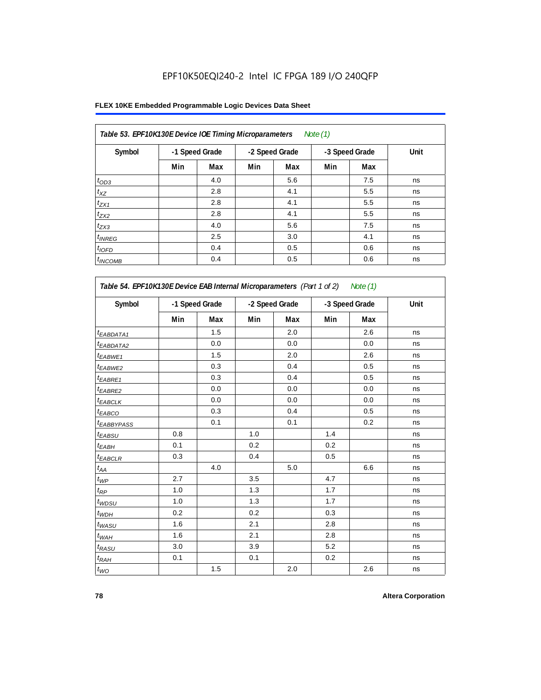| Table 53. EPF10K130E Device IOE Timing Microparameters<br>Note $(1)$ |                |     |     |                |     |                |      |  |  |  |  |
|----------------------------------------------------------------------|----------------|-----|-----|----------------|-----|----------------|------|--|--|--|--|
| Symbol                                                               | -1 Speed Grade |     |     | -2 Speed Grade |     | -3 Speed Grade | Unit |  |  |  |  |
|                                                                      | Min            | Max | Min | Max            | Min | Max            |      |  |  |  |  |
| $t_{OD3}$                                                            |                | 4.0 |     | 5.6            |     | 7.5            | ns   |  |  |  |  |
| $t_{XZ}$                                                             |                | 2.8 |     | 4.1            |     | 5.5            | ns   |  |  |  |  |
| $t_{ZX1}$                                                            |                | 2.8 |     | 4.1            |     | 5.5            | ns   |  |  |  |  |
| $t_{ZX2}$                                                            |                | 2.8 |     | 4.1            |     | 5.5            | ns   |  |  |  |  |
| $t_{ZX3}$                                                            |                | 4.0 |     | 5.6            |     | 7.5            | ns   |  |  |  |  |
| $t_{INREG}$                                                          |                | 2.5 |     | 3.0            |     | 4.1            | ns   |  |  |  |  |
| $t_{IOFD}$                                                           |                | 0.4 |     | 0.5            |     | 0.6            | ns   |  |  |  |  |
| $t_{INCOMB}$                                                         |                | 0.4 |     | 0.5            |     | 0.6            | ns   |  |  |  |  |

| Symbol                 |     | -1 Speed Grade |     | -2 Speed Grade |     | -3 Speed Grade | Unit |
|------------------------|-----|----------------|-----|----------------|-----|----------------|------|
|                        | Min | Max            | Min | Max            | Min | Max            |      |
| <sup>t</sup> EABDATA1  |     | 1.5            |     | 2.0            |     | 2.6            | ns   |
| <sup>t</sup> EABDATA2  |     | 0.0            |     | 0.0            |     | 0.0            | ns   |
| $t_{EABWE1}$           |     | 1.5            |     | 2.0            |     | 2.6            | ns   |
| <sup>t</sup> EABWE2    |     | 0.3            |     | 0.4            |     | 0.5            | ns   |
| t <sub>EABRE1</sub>    |     | 0.3            |     | 0.4            |     | 0.5            | ns   |
| t <sub>EABRE2</sub>    |     | 0.0            |     | 0.0            |     | 0.0            | ns   |
| t <sub>EABCLK</sub>    |     | 0.0            |     | 0.0            |     | 0.0            | ns   |
| t <sub>EABCO</sub>     |     | 0.3            |     | 0.4            |     | 0.5            | ns   |
| t <sub>EABBYPASS</sub> |     | 0.1            |     | 0.1            |     | 0.2            | ns   |
| t <sub>EABSU</sub>     | 0.8 |                | 1.0 |                | 1.4 |                | ns   |
| t <sub>ЕАВН</sub>      | 0.1 |                | 0.2 |                | 0.2 |                | ns   |
| <sup>t</sup> EABCLR    | 0.3 |                | 0.4 |                | 0.5 |                | ns   |
| $t_{AA}$               |     | 4.0            |     | 5.0            |     | 6.6            | ns   |
| $t_{WP}$               | 2.7 |                | 3.5 |                | 4.7 |                | ns   |
| $t_{\mathsf{RP}}$      | 1.0 |                | 1.3 |                | 1.7 |                | ns   |
| $t_{WDSU}$             | 1.0 |                | 1.3 |                | 1.7 |                | ns   |
| $t_{WDH}$              | 0.2 |                | 0.2 |                | 0.3 |                | ns   |
| $t_{WASU}$             | 1.6 |                | 2.1 |                | 2.8 |                | ns   |
| $t_{WAH}$              | 1.6 |                | 2.1 |                | 2.8 |                | ns   |
| $t_{RASU}$             | 3.0 |                | 3.9 |                | 5.2 |                | ns   |
| $t_{RAH}$              | 0.1 |                | 0.1 |                | 0.2 |                | ns   |
| $t_{WO}$               |     | 1.5            |     | 2.0            |     | 2.6            | ns   |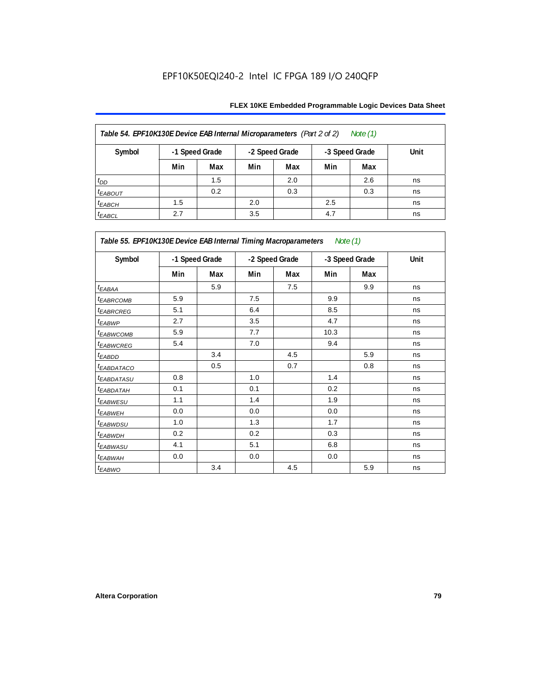| Table 54. EPF10K130E Device EAB Internal Microparameters (Part 2 of 2)<br>Note (1) |     |                |     |                |     |                |      |  |  |  |
|------------------------------------------------------------------------------------|-----|----------------|-----|----------------|-----|----------------|------|--|--|--|
| Symbol                                                                             |     | -1 Speed Grade |     | -2 Speed Grade |     | -3 Speed Grade | Unit |  |  |  |
|                                                                                    | Min | Max            | Min | Max            | Min | Max            |      |  |  |  |
| $t_{DD}$                                                                           |     | 1.5            |     | 2.0            |     | 2.6            | ns   |  |  |  |
| $t_{EABOUT}$                                                                       |     | 0.2            |     | 0.3            |     | 0.3            | ns   |  |  |  |
| $t_{EABCH}$                                                                        | 1.5 |                | 2.0 |                | 2.5 |                | ns   |  |  |  |
| $t_{EABCL}$                                                                        | 2.7 |                | 3.5 |                | 4.7 |                | ns   |  |  |  |

| Table 55. EPF10K130E Device EAB Internal Timing Macroparameters Note (1) |     |                |     |                |      |                |             |
|--------------------------------------------------------------------------|-----|----------------|-----|----------------|------|----------------|-------------|
| Symbol                                                                   |     | -1 Speed Grade |     | -2 Speed Grade |      | -3 Speed Grade | <b>Unit</b> |
|                                                                          | Min | Max            | Min | Max            | Min  | Max            |             |
| $t_{EABA}$                                                               |     | 5.9            |     | 7.5            |      | 9.9            | ns          |
| <sup>t</sup> EABRCOMB                                                    | 5.9 |                | 7.5 |                | 9.9  |                | ns          |
| <sup>t</sup> EABRCREG                                                    | 5.1 |                | 6.4 |                | 8.5  |                | ns          |
| t <sub>EABWP</sub>                                                       | 2.7 |                | 3.5 |                | 4.7  |                | ns          |
| <sup>t</sup> EABWCOMB                                                    | 5.9 |                | 7.7 |                | 10.3 |                | ns          |
| <sup>t</sup> EABWCREG                                                    | 5.4 |                | 7.0 |                | 9.4  |                | ns          |
| <sup>t</sup> EABDD                                                       |     | 3.4            |     | 4.5            |      | 5.9            | ns          |
| <sup>t</sup> EABDATACO                                                   |     | 0.5            |     | 0.7            |      | 0.8            | ns          |
| <sup>t</sup> EABDATASU                                                   | 0.8 |                | 1.0 |                | 1.4  |                | ns          |
| <sup>t</sup> EABDATAH                                                    | 0.1 |                | 0.1 |                | 0.2  |                | ns          |
| t <sub>EABWESU</sub>                                                     | 1.1 |                | 1.4 |                | 1.9  |                | ns          |
| <sup>t</sup> EABWEH                                                      | 0.0 |                | 0.0 |                | 0.0  |                | ns          |
| <sup>t</sup> EABWDSU                                                     | 1.0 |                | 1.3 |                | 1.7  |                | ns          |
| <sup>t</sup> EABWDH                                                      | 0.2 |                | 0.2 |                | 0.3  |                | ns          |
| <sup>t</sup> EABWASU                                                     | 4.1 |                | 5.1 |                | 6.8  |                | ns          |
| <sup>t</sup> EABWAH                                                      | 0.0 |                | 0.0 |                | 0.0  |                | ns          |
| t <sub>EABWO</sub>                                                       |     | 3.4            |     | 4.5            |      | 5.9            | ns          |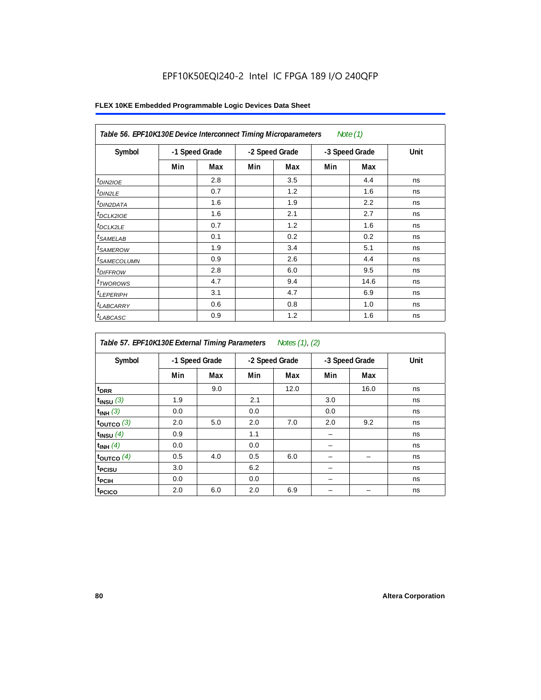| Table 56. EPF10K130E Device Interconnect Timing Microparameters<br>Note $(1)$ |                |     |                |     |                |      |      |  |  |  |
|-------------------------------------------------------------------------------|----------------|-----|----------------|-----|----------------|------|------|--|--|--|
| Symbol                                                                        | -1 Speed Grade |     | -2 Speed Grade |     | -3 Speed Grade |      | Unit |  |  |  |
|                                                                               | Min            | Max | Min            | Max | Min            | Max  |      |  |  |  |
| $t_{DINZICE}$                                                                 |                | 2.8 |                | 3.5 |                | 4.4  | ns   |  |  |  |
| $t_{DIN2LE}$                                                                  |                | 0.7 |                | 1.2 |                | 1.6  | ns   |  |  |  |
| <sup>t</sup> DIN2DATA                                                         |                | 1.6 |                | 1.9 |                | 2.2  | ns   |  |  |  |
| $t_{DCLK2IOE}$                                                                |                | 1.6 |                | 2.1 |                | 2.7  | ns   |  |  |  |
| $t_{DCLK2LE}$                                                                 |                | 0.7 |                | 1.2 |                | 1.6  | ns   |  |  |  |
| <sup>t</sup> SAMELAB                                                          |                | 0.1 |                | 0.2 |                | 0.2  | ns   |  |  |  |
| <i>t</i> SAMEROW                                                              |                | 1.9 |                | 3.4 |                | 5.1  | ns   |  |  |  |
| <sup>t</sup> SAMECOLUMN                                                       |                | 0.9 |                | 2.6 |                | 4.4  | ns   |  |  |  |
| <i>t<sub>DIFFROW</sub></i>                                                    |                | 2.8 |                | 6.0 |                | 9.5  | ns   |  |  |  |
| $t_{TWOROWS}$                                                                 |                | 4.7 |                | 9.4 |                | 14.6 | ns   |  |  |  |
| <sup>t</sup> LEPERIPH                                                         |                | 3.1 |                | 4.7 |                | 6.9  | ns   |  |  |  |
| t <sub>LABCARRY</sub>                                                         |                | 0.6 |                | 0.8 |                | 1.0  | ns   |  |  |  |
| t <sub>LABCASC</sub>                                                          |                | 0.9 |                | 1.2 |                | 1.6  | ns   |  |  |  |

| Table 57. EPF10K130E External Timing Parameters Notes (1), (2) |                |     |                |      |                |      |      |  |  |  |
|----------------------------------------------------------------|----------------|-----|----------------|------|----------------|------|------|--|--|--|
| Symbol                                                         | -1 Speed Grade |     | -2 Speed Grade |      | -3 Speed Grade |      | Unit |  |  |  |
|                                                                | Min            | Max | Min            | Max  | Min            | Max  |      |  |  |  |
| t <sub>DRR</sub>                                               |                | 9.0 |                | 12.0 |                | 16.0 | ns   |  |  |  |
| $t_{INSU}$ (3)                                                 | 1.9            |     | 2.1            |      | 3.0            |      | ns   |  |  |  |
| $t_{INH}$ (3)                                                  | 0.0            |     | 0.0            |      | 0.0            |      | ns   |  |  |  |
| $t_{OUTCO}$ (3)                                                | 2.0            | 5.0 | 2.0            | 7.0  | 2.0            | 9.2  | ns   |  |  |  |
| $t_{INSU}$ (4)                                                 | 0.9            |     | 1.1            |      |                |      | ns   |  |  |  |
| $t_{INH}$ (4)                                                  | 0.0            |     | 0.0            |      |                |      | ns   |  |  |  |
| $t_{OUTCO}$ (4)                                                | 0.5            | 4.0 | 0.5            | 6.0  |                |      | ns   |  |  |  |
| t <sub>PCISU</sub>                                             | 3.0            |     | 6.2            |      |                |      | ns   |  |  |  |
| $t_{\rm{PCH}}$                                                 | 0.0            |     | 0.0            |      |                |      | ns   |  |  |  |
| t <sub>PCICO</sub>                                             | 2.0            | 6.0 | 2.0            | 6.9  |                |      | ns   |  |  |  |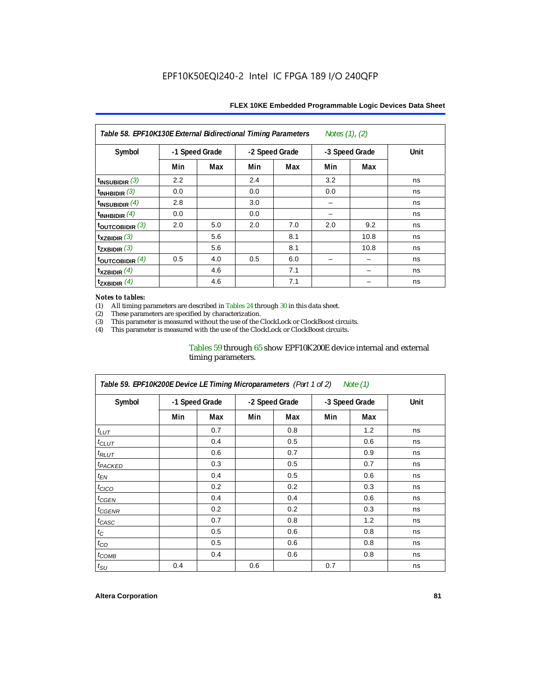| Table 58. EPF10K130E External Bidirectional Timing Parameters<br>Notes $(1)$ , $(2)$ |                |     |                |     |     |                |      |  |  |  |
|--------------------------------------------------------------------------------------|----------------|-----|----------------|-----|-----|----------------|------|--|--|--|
| Symbol                                                                               | -1 Speed Grade |     | -2 Speed Grade |     |     | -3 Speed Grade | Unit |  |  |  |
|                                                                                      | Min            | Max | Min            | Max | Min | Max            |      |  |  |  |
| $t_{INSUBIDIR}$ (3)                                                                  | 2.2            |     | 2.4            |     | 3.2 |                | ns   |  |  |  |
| t <sub>INHBIDIR</sub> $(3)$                                                          | 0.0            |     | 0.0            |     | 0.0 |                | ns   |  |  |  |
| $t_{\text{INSUBIDIR}}$ (4)                                                           | 2.8            |     | 3.0            |     |     |                | ns   |  |  |  |
| $t_{INHBIDIR}$ $(4)$                                                                 | 0.0            |     | 0.0            |     |     |                | ns   |  |  |  |
| $t_{\text{OUTCOBIDIR}}(3)$                                                           | 2.0            | 5.0 | 2.0            | 7.0 | 2.0 | 9.2            | ns   |  |  |  |
| $\mathsf{t}_{\mathsf{XZBIDIR}}$ (3)                                                  |                | 5.6 |                | 8.1 |     | 10.8           | ns   |  |  |  |
| $t_{ZXBIDIR}$ (3)                                                                    |                | 5.6 |                | 8.1 |     | 10.8           | ns   |  |  |  |
| toutcobidir $(4)$                                                                    | 0.5            | 4.0 | 0.5            | 6.0 |     |                | ns   |  |  |  |
| $t_{XZBIDIR}$ (4)                                                                    |                | 4.6 |                | 7.1 |     |                | ns   |  |  |  |
| $t_{\text{ZXBIDIR}}$ $^{(4)}$                                                        |                | 4.6 |                | 7.1 |     |                | ns   |  |  |  |

#### *Notes to tables:*

(1) All timing parameters are described in Tables 24 through 30 in this data sheet.<br>(2) These parameters are specified by characterization.

(2) These parameters are specified by characterization.<br>
(3) This parameter is measured without the use of the C

This parameter is measured without the use of the ClockLock or ClockBoost circuits.

(4) This parameter is measured with the use of the ClockLock or ClockBoost circuits.

#### Tables 59 through 65 show EPF10K200E device internal and external timing parameters.

| Table 59. EPF10K200E Device LE Timing Microparameters (Part 1 of 2) Note (1) |     |                |     |                |     |                |             |  |  |  |
|------------------------------------------------------------------------------|-----|----------------|-----|----------------|-----|----------------|-------------|--|--|--|
| Symbol                                                                       |     | -1 Speed Grade |     | -2 Speed Grade |     | -3 Speed Grade | <b>Unit</b> |  |  |  |
|                                                                              | Min | Max            | Min | Max            | Min | Max            |             |  |  |  |
| $t_{LUT}$                                                                    |     | 0.7            |     | 0.8            |     | 1.2            | ns          |  |  |  |
| $t_{CLUT}$                                                                   |     | 0.4            |     | 0.5            |     | 0.6            | ns          |  |  |  |
| $t_{RLUT}$                                                                   |     | 0.6            |     | 0.7            |     | 0.9            | ns          |  |  |  |
| <sup>t</sup> PACKED                                                          |     | 0.3            |     | 0.5            |     | 0.7            | ns          |  |  |  |
| $t_{EN}$                                                                     |     | 0.4            |     | 0.5            |     | 0.6            | ns          |  |  |  |
| $t_{CICO}$                                                                   |     | 0.2            |     | 0.2            |     | 0.3            | ns          |  |  |  |
| $t_{CGEN}$                                                                   |     | 0.4            |     | 0.4            |     | 0.6            | ns          |  |  |  |
| t <sub>CGENR</sub>                                                           |     | 0.2            |     | 0.2            |     | 0.3            | ns          |  |  |  |
| $t_{CASC}$                                                                   |     | 0.7            |     | 0.8            |     | 1.2            | ns          |  |  |  |
| $t_{\rm C}$                                                                  |     | 0.5            |     | 0.6            |     | 0.8            | ns          |  |  |  |
| $t_{CO}$                                                                     |     | 0.5            |     | 0.6            |     | 0.8            | ns          |  |  |  |
| $t_{COMB}$                                                                   |     | 0.4            |     | 0.6            |     | 0.8            | ns          |  |  |  |
| $t_{\rm SU}$                                                                 | 0.4 |                | 0.6 |                | 0.7 |                | ns          |  |  |  |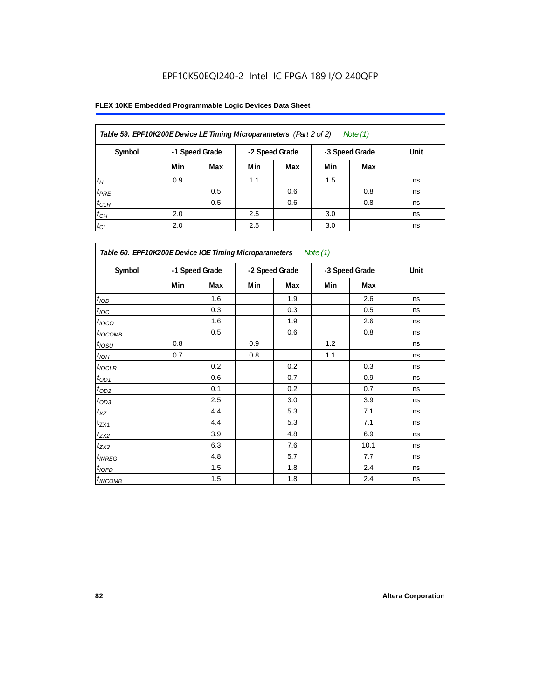| Table 59. EPF10K200E Device LE Timing Microparameters (Part 2 of 2) |     |                |     |                |     | Note (1)       |      |
|---------------------------------------------------------------------|-----|----------------|-----|----------------|-----|----------------|------|
| Symbol                                                              |     | -1 Speed Grade |     | -2 Speed Grade |     | -3 Speed Grade | Unit |
|                                                                     | Min | Max            | Min | Max            | Min | Max            |      |
| $t_H$                                                               | 0.9 |                | 1.1 |                | 1.5 |                | ns   |
| $t_{PRE}$                                                           |     | 0.5            |     | 0.6            |     | 0.8            | ns   |
| $t_{CLR}$                                                           |     | 0.5            |     | 0.6            |     | 0.8            | ns   |
| $t_{CH}$                                                            | 2.0 |                | 2.5 |                | 3.0 |                | ns   |
| $t_{CL}$                                                            | 2.0 |                | 2.5 |                | 3.0 |                | ns   |

| Table 60. EPF10K200E Device IOE Timing Microparameters Note (1) |                |     |                |     |                |      |      |  |  |
|-----------------------------------------------------------------|----------------|-----|----------------|-----|----------------|------|------|--|--|
| Symbol                                                          | -1 Speed Grade |     | -2 Speed Grade |     | -3 Speed Grade |      | Unit |  |  |
|                                                                 | Min            | Max | Min            | Max | Min            | Max  |      |  |  |
| t <sub>IOD</sub>                                                |                | 1.6 |                | 1.9 |                | 2.6  | ns   |  |  |
| $t_{\text{IOC}}$                                                |                | 0.3 |                | 0.3 |                | 0.5  | ns   |  |  |
| $t_{IOCO}$                                                      |                | 1.6 |                | 1.9 |                | 2.6  | ns   |  |  |
| $t_{IOCOMB}$                                                    |                | 0.5 |                | 0.6 |                | 0.8  | ns   |  |  |
| $t_{IOSU}$                                                      | 0.8            |     | 0.9            |     | 1.2            |      | ns   |  |  |
| $t_{IOH}$                                                       | 0.7            |     | 0.8            |     | 1.1            |      | ns   |  |  |
| $t_{IOCLR}$                                                     |                | 0.2 |                | 0.2 |                | 0.3  | ns   |  |  |
| $t_{OD1}$                                                       |                | 0.6 |                | 0.7 |                | 0.9  | ns   |  |  |
| $t_{OD2}$                                                       |                | 0.1 |                | 0.2 |                | 0.7  | ns   |  |  |
| $t_{\underline{OD3}}$                                           |                | 2.5 |                | 3.0 |                | 3.9  | ns   |  |  |
| $t_{\mathsf{XZ}}$                                               |                | 4.4 |                | 5.3 |                | 7.1  | ns   |  |  |
| $t_{ZX1}$                                                       |                | 4.4 |                | 5.3 |                | 7.1  | ns   |  |  |
| $t_{ZX2}$                                                       |                | 3.9 |                | 4.8 |                | 6.9  | ns   |  |  |
| $t_{ZX3}$                                                       |                | 6.3 |                | 7.6 |                | 10.1 | ns   |  |  |
| $t_{INREG}$                                                     |                | 4.8 |                | 5.7 |                | 7.7  | ns   |  |  |
| $t_{IOED}$                                                      |                | 1.5 |                | 1.8 |                | 2.4  | ns   |  |  |
| $t_{INCOMB}$                                                    |                | 1.5 |                | 1.8 |                | 2.4  | ns   |  |  |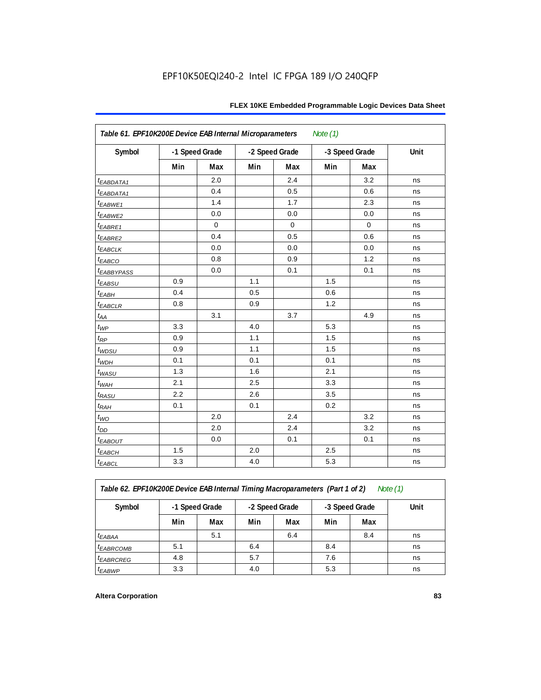| Table 61. EPF10K200E Device EAB Internal Microparameters<br>Note $(1)$ |                |             |                |     |                |             |      |  |  |  |
|------------------------------------------------------------------------|----------------|-------------|----------------|-----|----------------|-------------|------|--|--|--|
| Symbol                                                                 | -1 Speed Grade |             | -2 Speed Grade |     | -3 Speed Grade |             | Unit |  |  |  |
|                                                                        | Min            | Max         | Min            | Max | Min            | Max         |      |  |  |  |
| <i>EABDATA1</i>                                                        |                | 2.0         |                | 2.4 |                | 3.2         | ns   |  |  |  |
| <i>EABDATA1</i>                                                        |                | 0.4         |                | 0.5 |                | 0.6         | ns   |  |  |  |
| $t_{EABWE1}$                                                           |                | 1.4         |                | 1.7 |                | 2.3         | ns   |  |  |  |
| t <sub>EABWE2</sub>                                                    |                | 0.0         |                | 0.0 |                | 0.0         | ns   |  |  |  |
| $t_{EABRE1}$                                                           |                | $\mathbf 0$ |                | 0   |                | $\mathbf 0$ | ns   |  |  |  |
| $t_{EABRE2}$                                                           |                | 0.4         |                | 0.5 |                | 0.6         | ns   |  |  |  |
| $t_{EABCLK}$                                                           |                | 0.0         |                | 0.0 |                | 0.0         | ns   |  |  |  |
| $t_{EABCO}$                                                            |                | 0.8         |                | 0.9 |                | 1.2         | ns   |  |  |  |
| <b>t</b> EABBYPASS                                                     |                | 0.0         |                | 0.1 |                | 0.1         | ns   |  |  |  |
| $t_{EABSU}$                                                            | 0.9            |             | 1.1            |     | 1.5            |             | ns   |  |  |  |
| $t_{EABH}$                                                             | 0.4            |             | 0.5            |     | 0.6            |             | ns   |  |  |  |
| $t_{EABCLR}$                                                           | 0.8            |             | 0.9            |     | 1.2            |             | ns   |  |  |  |
| $t_{AA}$                                                               |                | 3.1         |                | 3.7 |                | 4.9         | ns   |  |  |  |
| $t_{WP}$                                                               | 3.3            |             | 4.0            |     | 5.3            |             | ns   |  |  |  |
| $t_{RP}$                                                               | 0.9            |             | 1.1            |     | 1.5            |             | ns   |  |  |  |
| t <sub>WDSU</sub>                                                      | 0.9            |             | 1.1            |     | 1.5            |             | ns   |  |  |  |
| $t_{\textit{WDH}}$                                                     | 0.1            |             | 0.1            |     | 0.1            |             | ns   |  |  |  |
| $t_{WASU}$                                                             | 1.3            |             | 1.6            |     | 2.1            |             | ns   |  |  |  |
| $t_{\textit{WAH}}$                                                     | 2.1            |             | 2.5            |     | 3.3            |             | ns   |  |  |  |
| $t_{RASU}$                                                             | 2.2            |             | 2.6            |     | 3.5            |             | ns   |  |  |  |
| $t_{RAH}$                                                              | 0.1            |             | 0.1            |     | 0.2            |             | ns   |  |  |  |
| $t_{WO}$                                                               |                | 2.0         |                | 2.4 |                | 3.2         | ns   |  |  |  |
| $t_{\mathit{DD}}$                                                      |                | 2.0         |                | 2.4 |                | 3.2         | ns   |  |  |  |
| $t_{EABOUT}$                                                           |                | 0.0         |                | 0.1 |                | 0.1         | ns   |  |  |  |
| $t_{EABCH}$                                                            | 1.5            |             | 2.0            |     | 2.5            |             | ns   |  |  |  |
| $t_{EABCL}$                                                            | 3.3            |             | 4.0            |     | 5.3            |             | ns   |  |  |  |

*Table 62. EPF10K200E Device EAB Internal Timing Macroparameters (Part 1 of 2) Note (1)*

| Symbol                | -1 Speed Grade |     | -2 Speed Grade |     | -3 Speed Grade |     | Unit |
|-----------------------|----------------|-----|----------------|-----|----------------|-----|------|
|                       | Min            | Max | Min            | Max | Min            | Max |      |
| t <sub>EABAA</sub>    |                | 5.1 |                | 6.4 |                | 8.4 | ns   |
| t <sub>EABRCOMB</sub> | 5.1            |     | 6.4            |     | 8.4            |     | ns   |
| <sup>t</sup> EABRCREG | 4.8            |     | 5.7            |     | 7.6            |     | ns   |
| t <sub>EABWP</sub>    | 3.3            |     | 4.0            |     | 5.3            |     | ns   |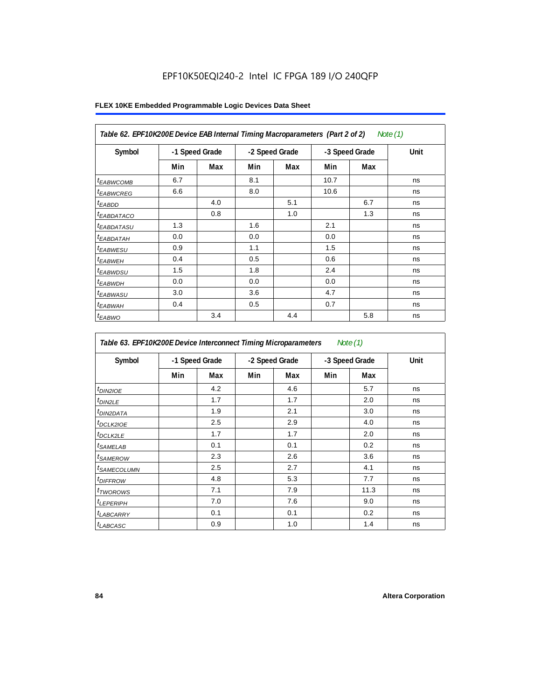| Table 62. EPF10K200E Device EAB Internal Timing Macroparameters (Part 2 of 2)<br>Note $(1)$ |                |     |                |     |                |     |      |  |  |  |
|---------------------------------------------------------------------------------------------|----------------|-----|----------------|-----|----------------|-----|------|--|--|--|
| Symbol                                                                                      | -1 Speed Grade |     | -2 Speed Grade |     | -3 Speed Grade |     | Unit |  |  |  |
|                                                                                             | Min            | Max | Min            | Max | Min            | Max |      |  |  |  |
| <sup>t</sup> EABWCOMB                                                                       | 6.7            |     | 8.1            |     | 10.7           |     | ns   |  |  |  |
| <sup>t</sup> EABWCREG                                                                       | 6.6            |     | 8.0            |     | 10.6           |     | ns   |  |  |  |
| <sup>t</sup> EABDD                                                                          |                | 4.0 |                | 5.1 |                | 6.7 | ns   |  |  |  |
| <i>EABDATACO</i>                                                                            |                | 0.8 |                | 1.0 |                | 1.3 | ns   |  |  |  |
| <sup>t</sup> EABDATASU                                                                      | 1.3            |     | 1.6            |     | 2.1            |     | ns   |  |  |  |
| <sup>t</sup> EABDATAH                                                                       | 0.0            |     | 0.0            |     | 0.0            |     | ns   |  |  |  |
| <sup>t</sup> EABWESU                                                                        | 0.9            |     | 1.1            |     | 1.5            |     | ns   |  |  |  |
| <sup>t</sup> EABWEH                                                                         | 0.4            |     | 0.5            |     | 0.6            |     | ns   |  |  |  |
| <sup>t</sup> EABWDSU                                                                        | 1.5            |     | 1.8            |     | 2.4            |     | ns   |  |  |  |
| <sup>t</sup> EABWDH                                                                         | 0.0            |     | 0.0            |     | 0.0            |     | ns   |  |  |  |
| <sup>t</sup> EABWASU                                                                        | 3.0            |     | 3.6            |     | 4.7            |     | ns   |  |  |  |
| <sup>t</sup> EABWAH                                                                         | 0.4            |     | 0.5            |     | 0.7            |     | ns   |  |  |  |
| $t_{EABWO}$                                                                                 |                | 3.4 |                | 4.4 |                | 5.8 | ns   |  |  |  |

| Table 63. EPF10K200E Device Interconnect Timing Microparameters |                |     |                |     |                | Note $(1)$ |      |
|-----------------------------------------------------------------|----------------|-----|----------------|-----|----------------|------------|------|
| Symbol                                                          | -1 Speed Grade |     | -2 Speed Grade |     | -3 Speed Grade |            | Unit |
|                                                                 | Min            | Max | Min            | Max | Min            | Max        |      |
| t <sub>DIN2IOE</sub>                                            |                | 4.2 |                | 4.6 |                | 5.7        | ns   |
| <sup>t</sup> DIN2LE                                             |                | 1.7 |                | 1.7 |                | 2.0        | ns   |
| <sup>t</sup> DIN2DATA                                           |                | 1.9 |                | 2.1 |                | 3.0        | ns   |
| <sup>t</sup> DCLK2IOE                                           |                | 2.5 |                | 2.9 |                | 4.0        | ns   |
| <sup>t</sup> DCLK2LE                                            |                | 1.7 |                | 1.7 |                | 2.0        | ns   |
| <i>t<sub>SAMELAB</sub></i>                                      |                | 0.1 |                | 0.1 |                | 0.2        | ns   |
| <sup>t</sup> SAMEROW                                            |                | 2.3 |                | 2.6 |                | 3.6        | ns   |
| <sup>t</sup> SAMECOLUMN                                         |                | 2.5 |                | 2.7 |                | 4.1        | ns   |
| <sup>t</sup> DIFFROW                                            |                | 4.8 |                | 5.3 |                | 7.7        | ns   |
| t <sub>TWOROWS</sub>                                            |                | 7.1 |                | 7.9 |                | 11.3       | ns   |
| <sup>t</sup> LEPERIPH                                           |                | 7.0 |                | 7.6 |                | 9.0        | ns   |
| <sup>t</sup> LABCARRY                                           |                | 0.1 |                | 0.1 |                | 0.2        | ns   |
| t <sub>LABCASC</sub>                                            |                | 0.9 |                | 1.0 |                | 1.4        | ns   |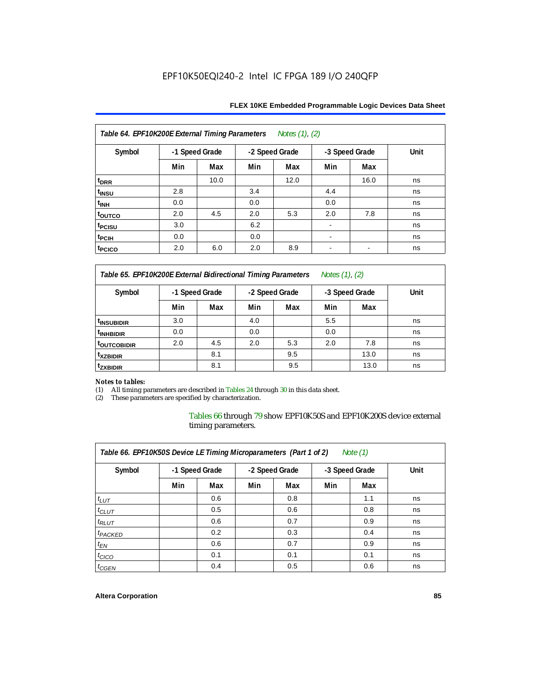| Table 64. EPF10K200E External Timing Parameters<br>Notes (1), (2) |                |      |                |      |                |      |      |  |  |  |  |
|-------------------------------------------------------------------|----------------|------|----------------|------|----------------|------|------|--|--|--|--|
| Symbol                                                            | -1 Speed Grade |      | -2 Speed Grade |      | -3 Speed Grade |      | Unit |  |  |  |  |
|                                                                   | Min            | Max  | Min            | Max  | Min            | Max  |      |  |  |  |  |
| t <sub>DRR</sub>                                                  |                | 10.0 |                | 12.0 |                | 16.0 | ns   |  |  |  |  |
| t <sub>INSU</sub>                                                 | 2.8            |      | 3.4            |      | 4.4            |      | ns   |  |  |  |  |
| t <sub>INH</sub>                                                  | 0.0            |      | 0.0            |      | 0.0            |      | ns   |  |  |  |  |
| toutco                                                            | 2.0            | 4.5  | 2.0            | 5.3  | 2.0            | 7.8  | ns   |  |  |  |  |
| t <sub>PCISU</sub>                                                | 3.0            |      | 6.2            |      |                |      | ns   |  |  |  |  |
| t <sub>PCIH</sub>                                                 | 0.0            |      | 0.0            |      | $\blacksquare$ |      | ns   |  |  |  |  |
| t <sub>PCICO</sub>                                                | 2.0            | 6.0  | 2.0            | 8.9  |                |      | ns   |  |  |  |  |

### **FLEX 10KE Embedded Programmable Logic Devices Data Sheet**

*Table 65. EPF10K200E External Bidirectional Timing Parameters Notes (1), (2)*

| Symbol                  | -1 Speed Grade |     | -2 Speed Grade |     | -3 Speed Grade |      | Unit |
|-------------------------|----------------|-----|----------------|-----|----------------|------|------|
|                         | Min            | Max | Min            | Max | Min            | Max  |      |
| <sup>t</sup> INSUBIDIR  | 3.0            |     | 4.0            |     | 5.5            |      | ns   |
| <sup>t</sup> INHBIDIR   | 0.0            |     | 0.0            |     | 0.0            |      | ns   |
| <sup>t</sup> OUTCOBIDIR | 2.0            | 4.5 | 2.0            | 5.3 | 2.0            | 7.8  | ns   |
| <sup>t</sup> xzbidir    |                | 8.1 |                | 9.5 |                | 13.0 | ns   |
| <sup>t</sup> zxbidir    |                | 8.1 |                | 9.5 |                | 13.0 | ns   |

# *Notes to tables:*

(1) All timing parameters are described in Tables 24 through 30 in this data sheet.<br>(2) These parameters are specified by characterization.

These parameters are specified by characterization.

Tables 66 through 79 show EPF10K50S and EPF10K200S device external timing parameters.

| Table 66. EPF10K50S Device LE Timing Microparameters (Part 1 of 2)<br>Note $(1)$ |     |                |     |                |                |     |      |  |  |  |  |
|----------------------------------------------------------------------------------|-----|----------------|-----|----------------|----------------|-----|------|--|--|--|--|
| Symbol                                                                           |     | -1 Speed Grade |     | -2 Speed Grade | -3 Speed Grade |     | Unit |  |  |  |  |
|                                                                                  | Min | Max            | Min | Max            | Min            | Max |      |  |  |  |  |
| $t_{LUT}$                                                                        |     | 0.6            |     | 0.8            |                | 1.1 | ns   |  |  |  |  |
| $t_{CLUT}$                                                                       |     | 0.5            |     | 0.6            |                | 0.8 | ns   |  |  |  |  |
| $t_{RLUT}$                                                                       |     | 0.6            |     | 0.7            |                | 0.9 | ns   |  |  |  |  |
| <sup>t</sup> PACKED                                                              |     | 0.2            |     | 0.3            |                | 0.4 | ns   |  |  |  |  |
| $t_{EN}$                                                                         |     | 0.6            |     | 0.7            |                | 0.9 | ns   |  |  |  |  |
| $t_{CICO}$                                                                       |     | 0.1            |     | 0.1            |                | 0.1 | ns   |  |  |  |  |
| $t_{GEN}$                                                                        |     | 0.4            |     | 0.5            |                | 0.6 | ns   |  |  |  |  |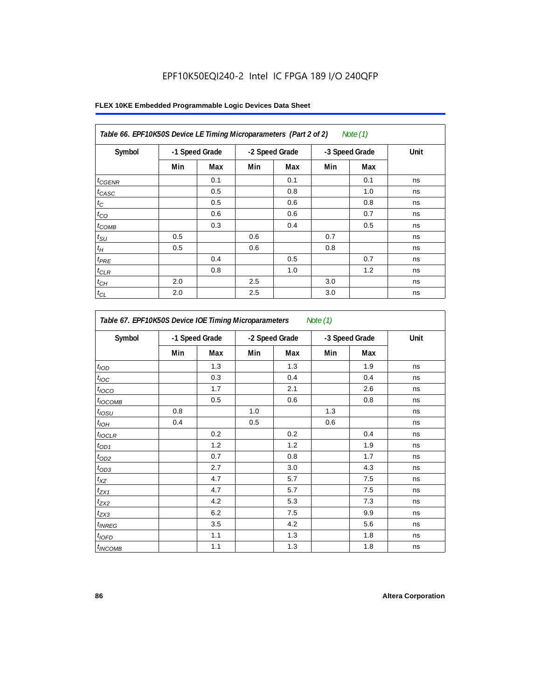|  |  |  | FLEX 10KE Embedded Programmable Logic Devices Data Sheet |  |  |  |
|--|--|--|----------------------------------------------------------|--|--|--|
|--|--|--|----------------------------------------------------------|--|--|--|

| Symbol          | -1 Speed Grade |     | -2 Speed Grade |     | -3 Speed Grade |     | Unit |
|-----------------|----------------|-----|----------------|-----|----------------|-----|------|
|                 | Min            | Max | Min            | Max | Min            | Max |      |
| $t_{GENR}$      |                | 0.1 |                | 0.1 |                | 0.1 | ns   |
| $t_{CASC}$      |                | 0.5 |                | 0.8 |                | 1.0 | ns   |
| $t_C$           |                | 0.5 |                | 0.6 |                | 0.8 | ns   |
| $t_{CO}$        |                | 0.6 |                | 0.6 |                | 0.7 | ns   |
| $t_{COMB}$      |                | 0.3 |                | 0.4 |                | 0.5 | ns   |
| $t_{\text{SU}}$ | 0.5            |     | 0.6            |     | 0.7            |     | ns   |
| $t_H$           | 0.5            |     | 0.6            |     | 0.8            |     | ns   |
| $t_{PRE}$       |                | 0.4 |                | 0.5 |                | 0.7 | ns   |
| $t_{CLR}$       |                | 0.8 |                | 1.0 |                | 1.2 | ns   |
| $t_{CH}$        | 2.0            |     | 2.5            |     | 3.0            |     | ns   |
| $t_{CL}$        | 2.0            |     | 2.5            |     | 3.0            |     | ns   |

| Table 67. EPF10K50S Device IOE Timing Microparameters Note (1) |                |     |     |                |     |                |      |  |  |
|----------------------------------------------------------------|----------------|-----|-----|----------------|-----|----------------|------|--|--|
| Symbol                                                         | -1 Speed Grade |     |     | -2 Speed Grade |     | -3 Speed Grade | Unit |  |  |
|                                                                | Min            | Max | Min | Max            | Min | Max            |      |  |  |
| t <sub>IOD</sub>                                               |                | 1.3 |     | 1.3            |     | 1.9            | ns   |  |  |
| $t_{\text{IOC}}$                                               |                | 0.3 |     | 0.4            |     | 0.4            | ns   |  |  |
| $t_{IOCO}$                                                     |                | 1.7 |     | 2.1            |     | 2.6            | ns   |  |  |
| $t_{IOCOMB}$                                                   |                | 0.5 |     | 0.6            |     | 0.8            | ns   |  |  |
| $t_{IOSU}$                                                     | 0.8            |     | 1.0 |                | 1.3 |                | ns   |  |  |
| $t_{IOH}$                                                      | 0.4            |     | 0.5 |                | 0.6 |                | ns   |  |  |
| $t_{IOCLR}$                                                    |                | 0.2 |     | 0.2            |     | 0.4            | ns   |  |  |
| $t_{OD1}$                                                      |                | 1.2 |     | 1.2            |     | 1.9            | ns   |  |  |
| $t_{OD2}$                                                      |                | 0.7 |     | 0.8            |     | 1.7            | ns   |  |  |
| $t_{OD3}$                                                      |                | 2.7 |     | 3.0            |     | 4.3            | ns   |  |  |
| $t_{XZ}$                                                       |                | 4.7 |     | 5.7            |     | 7.5            | ns   |  |  |
| $t_{ZX1}$                                                      |                | 4.7 |     | 5.7            |     | 7.5            | ns   |  |  |
| $t_{ZX2}$                                                      |                | 4.2 |     | 5.3            |     | 7.3            | ns   |  |  |
| $t_{ZX3}$                                                      |                | 6.2 |     | 7.5            |     | 9.9            | ns   |  |  |
| $t_{INREG}$                                                    |                | 3.5 |     | 4.2            |     | 5.6            | ns   |  |  |
| $t_{IOFD}$                                                     |                | 1.1 |     | 1.3            |     | 1.8            | ns   |  |  |
| $t_{INCOMB}$                                                   |                | 1.1 |     | 1.3            |     | 1.8            | ns   |  |  |

 $\overline{\phantom{a}}$ 

 $\mathbf{r}$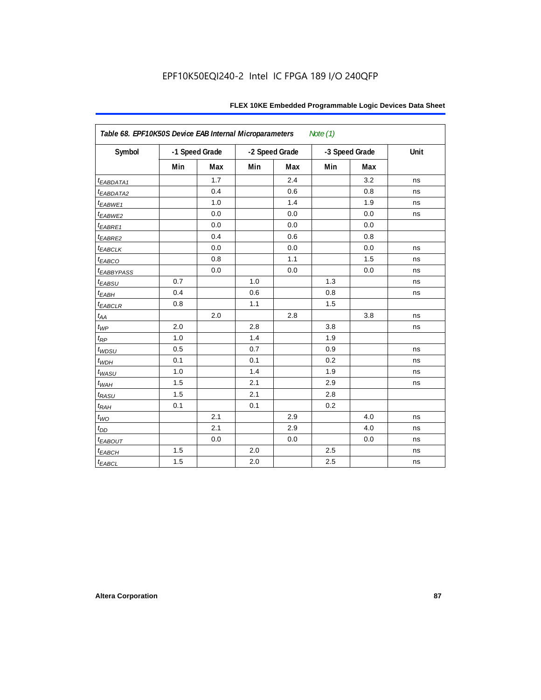| Table 68. EPF10K50S Device EAB Internal Microparameters<br>Note $(1)$ |     |                |                |     |                |     |      |  |  |  |
|-----------------------------------------------------------------------|-----|----------------|----------------|-----|----------------|-----|------|--|--|--|
| Symbol                                                                |     | -1 Speed Grade | -2 Speed Grade |     | -3 Speed Grade |     | Unit |  |  |  |
|                                                                       | Min | Max            | Min            | Max | Min            | Max |      |  |  |  |
| t <sub>EABDATA1</sub>                                                 |     | 1.7            |                | 2.4 |                | 3.2 | ns   |  |  |  |
| t <sub>EABDATA2</sub>                                                 |     | 0.4            |                | 0.6 |                | 0.8 | ns   |  |  |  |
| t <sub>EABWE1</sub>                                                   |     | 1.0            |                | 1.4 |                | 1.9 | ns   |  |  |  |
| t <sub>EABWE2</sub>                                                   |     | 0.0            |                | 0.0 |                | 0.0 | ns   |  |  |  |
| t <sub>EABRE1</sub>                                                   |     | 0.0            |                | 0.0 |                | 0.0 |      |  |  |  |
| t <sub>EABRE2</sub>                                                   |     | 0.4            |                | 0.6 |                | 0.8 |      |  |  |  |
| <sup>t</sup> EABCLK                                                   |     | 0.0            |                | 0.0 |                | 0.0 | ns   |  |  |  |
| t <sub>EABCO</sub>                                                    |     | 0.8            |                | 1.1 |                | 1.5 | ns   |  |  |  |
| <sup>t</sup> EABBYPASS                                                |     | 0.0            |                | 0.0 |                | 0.0 | ns   |  |  |  |
| t <sub>EABSU</sub>                                                    | 0.7 |                | 1.0            |     | 1.3            |     | ns   |  |  |  |
| $t_{EABH}$                                                            | 0.4 |                | 0.6            |     | 0.8            |     | ns   |  |  |  |
| $t_{EABCLR}$                                                          | 0.8 |                | 1.1            |     | 1.5            |     |      |  |  |  |
| $t_{AA}$                                                              |     | 2.0            |                | 2.8 |                | 3.8 | ns   |  |  |  |
| $t_{WP}$                                                              | 2.0 |                | 2.8            |     | 3.8            |     | ns   |  |  |  |
| $t_{\mathsf{RP}}$                                                     | 1.0 |                | 1.4            |     | 1.9            |     |      |  |  |  |
| $t_{WDSU}$                                                            | 0.5 |                | 0.7            |     | 0.9            |     | ns   |  |  |  |
| $t_{WDH}$                                                             | 0.1 |                | 0.1            |     | 0.2            |     | ns   |  |  |  |
| $t_{WASU}$                                                            | 1.0 |                | 1.4            |     | 1.9            |     | ns   |  |  |  |
| $t_{WAH}$                                                             | 1.5 |                | 2.1            |     | 2.9            |     | ns   |  |  |  |
| t <sub>RASU</sub>                                                     | 1.5 |                | 2.1            |     | 2.8            |     |      |  |  |  |
| $t_{RAH}$                                                             | 0.1 |                | 0.1            |     | 0.2            |     |      |  |  |  |
| $t_{WO}$                                                              |     | 2.1            |                | 2.9 |                | 4.0 | ns   |  |  |  |
| $t_{DD}$                                                              |     | 2.1            |                | 2.9 |                | 4.0 | ns   |  |  |  |
| t <sub>eabout</sub>                                                   |     | 0.0            |                | 0.0 |                | 0.0 | ns   |  |  |  |
| $t_{EABCH}$                                                           | 1.5 |                | 2.0            |     | 2.5            |     | ns   |  |  |  |
| $t_{EABCL}$                                                           | 1.5 |                | 2.0            |     | 2.5            |     | ns   |  |  |  |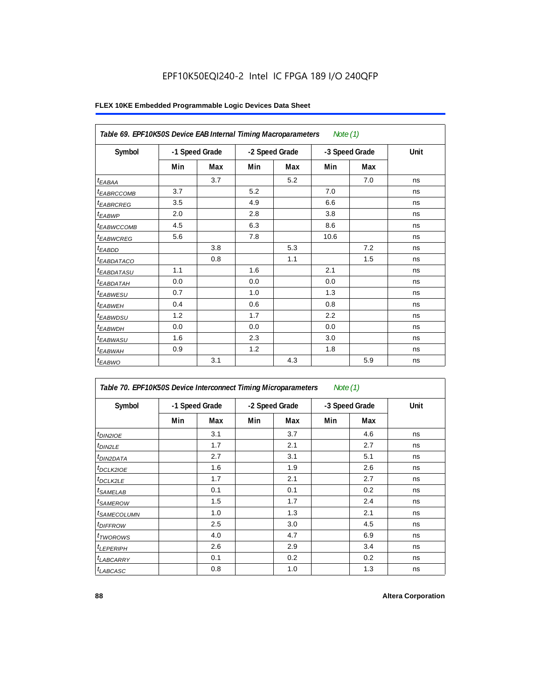| Table 69. EPF10K50S Device EAB Internal Timing Macroparameters<br>Note $(1)$ |                |     |                |     |                |     |      |  |  |
|------------------------------------------------------------------------------|----------------|-----|----------------|-----|----------------|-----|------|--|--|
| Symbol                                                                       | -1 Speed Grade |     | -2 Speed Grade |     | -3 Speed Grade |     | Unit |  |  |
|                                                                              | Min            | Max | Min            | Max | Min            | Max |      |  |  |
| $t_{EABA}$                                                                   |                | 3.7 |                | 5.2 |                | 7.0 | ns   |  |  |
| t <sub>EABRCCOMB</sub>                                                       | 3.7            |     | 5.2            |     | 7.0            |     | ns   |  |  |
| <i><b>EABRCREG</b></i>                                                       | 3.5            |     | 4.9            |     | 6.6            |     | ns   |  |  |
| $t_{EABWP}$                                                                  | 2.0            |     | 2.8            |     | 3.8            |     | ns   |  |  |
| <sup>t</sup> ЕАВWССОМВ                                                       | 4.5            |     | 6.3            |     | 8.6            |     | ns   |  |  |
| <i>EABWCREG</i>                                                              | 5.6            |     | 7.8            |     | 10.6           |     | ns   |  |  |
| $t_{EABDD}$                                                                  |                | 3.8 |                | 5.3 |                | 7.2 | ns   |  |  |
| <sup>t</sup> EABDATACO                                                       |                | 0.8 |                | 1.1 |                | 1.5 | ns   |  |  |
| <i>t<sub>EABDATASU</sub></i>                                                 | 1.1            |     | 1.6            |     | 2.1            |     | ns   |  |  |
| <sup>t</sup> EABD <u>ATAH</u>                                                | 0.0            |     | 0.0            |     | 0.0            |     | ns   |  |  |
| t <sub>EABWESU</sub>                                                         | 0.7            |     | 1.0            |     | 1.3            |     | ns   |  |  |
| <sup>t</sup> EABWEH                                                          | 0.4            |     | 0.6            |     | 0.8            |     | ns   |  |  |
| <sup>t</sup> EABWDSU                                                         | 1.2            |     | 1.7            |     | 2.2            |     | ns   |  |  |
| t <sub>EABWDH</sub>                                                          | 0.0            |     | 0.0            |     | 0.0            |     | ns   |  |  |
| t <sub>EABWASU</sub>                                                         | 1.6            |     | 2.3            |     | 3.0            |     | ns   |  |  |
| t <sub>EABWAH</sub>                                                          | 0.9            |     | 1.2            |     | 1.8            |     | ns   |  |  |
| $t_{EABWO}$                                                                  |                | 3.1 |                | 4.3 |                | 5.9 | ns   |  |  |

| Table 70. EPF10K50S Device Interconnect Timing Microparameters |     |                |     |                | Note $(1)$ |                |      |
|----------------------------------------------------------------|-----|----------------|-----|----------------|------------|----------------|------|
| Symbol                                                         |     | -1 Speed Grade |     | -2 Speed Grade |            | -3 Speed Grade | Unit |
|                                                                | Min | Max            | Min | Max            | Min        | Max            |      |
| $t_{DIN2IOE}$                                                  |     | 3.1            |     | 3.7            |            | 4.6            | ns   |
| <sup>t</sup> DIN2LE                                            |     | 1.7            |     | 2.1            |            | 2.7            | ns   |
| <sup>t</sup> DIN2DATA                                          |     | 2.7            |     | 3.1            |            | 5.1            | ns   |
| <sup>t</sup> DCLK2IOE                                          |     | 1.6            |     | 1.9            |            | 2.6            | ns   |
| <sup>t</sup> DCLK2LE                                           |     | 1.7            |     | 2.1            |            | 2.7            | ns   |
| <sup>t</sup> SAMELAB                                           |     | 0.1            |     | 0.1            |            | 0.2            | ns   |
| <sup>t</sup> SAMEROW                                           |     | 1.5            |     | 1.7            |            | 2.4            | ns   |
| <sup>t</sup> SAMECOLUMN                                        |     | 1.0            |     | 1.3            |            | 2.1            | ns   |
| <sup>t</sup> DIFFROW                                           |     | 2.5            |     | 3.0            |            | 4.5            | ns   |
| <sup>t</sup> TWOROWS                                           |     | 4.0            |     | 4.7            |            | 6.9            | ns   |
| <sup>t</sup> LEPERIPH                                          |     | 2.6            |     | 2.9            |            | 3.4            | ns   |
| <sup>t</sup> LABCARRY                                          |     | 0.1            |     | 0.2            |            | 0.2            | ns   |
| <sup>t</sup> LABCASC                                           |     | 0.8            |     | 1.0            |            | 1.3            | ns   |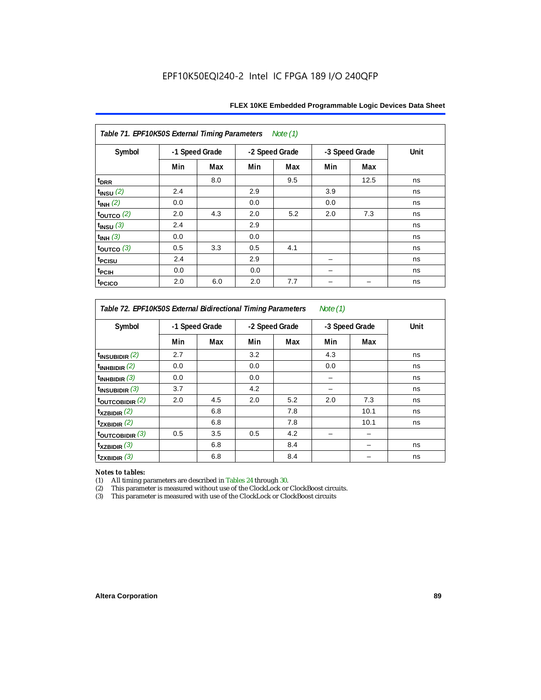| Table 71. EPF10K50S External Timing Parameters Note (1) |                |     |                |     |                |      |      |  |  |
|---------------------------------------------------------|----------------|-----|----------------|-----|----------------|------|------|--|--|
| Symbol                                                  | -1 Speed Grade |     | -2 Speed Grade |     | -3 Speed Grade |      | Unit |  |  |
|                                                         | Min            | Max | Min            | Max | Min            | Max  |      |  |  |
| t <sub>DRR</sub>                                        |                | 8.0 |                | 9.5 |                | 12.5 | ns   |  |  |
| $t_{INSU}$ (2)                                          | 2.4            |     | 2.9            |     | 3.9            |      | ns   |  |  |
| $t_{INH}$ (2)                                           | 0.0            |     | 0.0            |     | 0.0            |      | ns   |  |  |
| $t_{OUTCO}$ (2)                                         | 2.0            | 4.3 | 2.0            | 5.2 | 2.0            | 7.3  | ns   |  |  |
| $t_{INSU}$ (3)                                          | 2.4            |     | 2.9            |     |                |      | ns   |  |  |
| $t_{INH}$ (3)                                           | 0.0            |     | 0.0            |     |                |      | ns   |  |  |
| $t_{\text{OUTCO}}$ (3)                                  | 0.5            | 3.3 | 0.5            | 4.1 |                |      | ns   |  |  |
| t <sub>PCISU</sub>                                      | 2.4            |     | 2.9            |     |                |      | ns   |  |  |
| t <sub>PCIH</sub>                                       | 0.0            |     | 0.0            |     |                |      | ns   |  |  |
| <sup>t</sup> PCICO                                      | 2.0            | 6.0 | 2.0            | 7.7 |                |      | ns   |  |  |

*Table 72. EPF10K50S External Bidirectional Timing Parameters Note (1)*

| Symbol              | -1 Speed Grade |     | -2 Speed Grade |     | -3 Speed Grade |      | Unit |
|---------------------|----------------|-----|----------------|-----|----------------|------|------|
|                     | Min            | Max | Min            | Max | Min            | Max  |      |
| $t_{INSUBIDIR}$ (2) | 2.7            |     | 3.2            |     | 4.3            |      | ns   |
| $t_{INHBIDIR}$ (2)  | 0.0            |     | 0.0            |     | 0.0            |      | ns   |
| $t_{INHBIDIR}$ (3)  | 0.0            |     | 0.0            |     |                |      | ns   |
| $t_{INSUBIDIR}$ (3) | 3.7            |     | 4.2            |     |                |      | ns   |
| toutcobidir $(2)$   | 2.0            | 4.5 | 2.0            | 5.2 | 2.0            | 7.3  | ns   |
| $t_{XZBIDIR}$ (2)   |                | 6.8 |                | 7.8 |                | 10.1 | ns   |
| $t_{ZXBIDIR}$ (2)   |                | 6.8 |                | 7.8 |                | 10.1 | ns   |
| toutcobidir $(3)$   | 0.5            | 3.5 | 0.5            | 4.2 |                |      |      |
| $t_{XZBIDIR}$ (3)   |                | 6.8 |                | 8.4 |                |      | ns   |
| $t_{ZXBIDIR}$ (3)   |                | 6.8 |                | 8.4 |                |      | ns   |

*Notes to tables:* All timing parameters are described in Tables 24 through 30.

(2) This parameter is measured without use of the ClockLock or ClockBoost circuits.<br>(3) This parameter is measured with use of the ClockLock or ClockBoost circuits

This parameter is measured with use of the ClockLock or ClockBoost circuits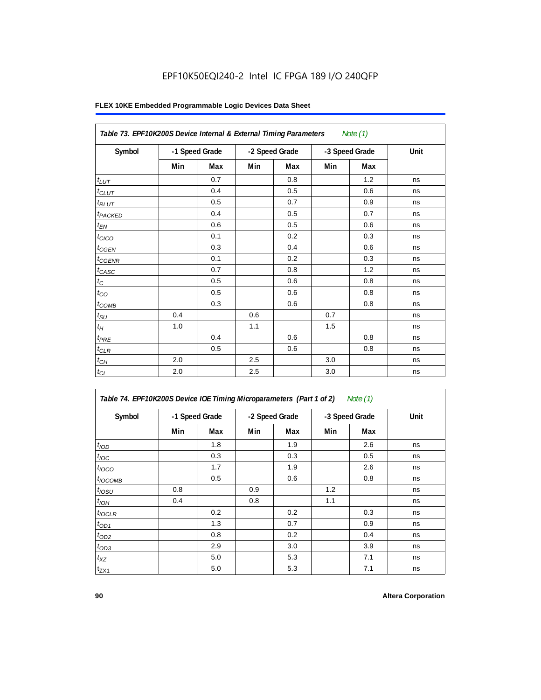|                     | Table 73. EPF10K200S Device Internal & External Timing Parameters<br>Note $(1)$ |     |                |     |                |     |      |  |  |  |  |
|---------------------|---------------------------------------------------------------------------------|-----|----------------|-----|----------------|-----|------|--|--|--|--|
| Symbol              | -1 Speed Grade                                                                  |     | -2 Speed Grade |     | -3 Speed Grade |     | Unit |  |  |  |  |
|                     | Min                                                                             | Max | Min            | Max | Min            | Max |      |  |  |  |  |
| $t_{LUT}$           |                                                                                 | 0.7 |                | 0.8 |                | 1.2 | ns   |  |  |  |  |
| $t_{CLUT}$          |                                                                                 | 0.4 |                | 0.5 |                | 0.6 | ns   |  |  |  |  |
| $t_{RLUT}$          |                                                                                 | 0.5 |                | 0.7 |                | 0.9 | ns   |  |  |  |  |
| t <sub>PACKED</sub> |                                                                                 | 0.4 |                | 0.5 |                | 0.7 | ns   |  |  |  |  |
| $t_{EN}$            |                                                                                 | 0.6 |                | 0.5 |                | 0.6 | ns   |  |  |  |  |
| $t_{CICO}$          |                                                                                 | 0.1 |                | 0.2 |                | 0.3 | ns   |  |  |  |  |
| $t_{CGEN}$          |                                                                                 | 0.3 |                | 0.4 |                | 0.6 | ns   |  |  |  |  |
| $t_{CGENR}$         |                                                                                 | 0.1 |                | 0.2 |                | 0.3 | ns   |  |  |  |  |
| $t_{CASC}$          |                                                                                 | 0.7 |                | 0.8 |                | 1.2 | ns   |  |  |  |  |
| $t_{\rm C}$         |                                                                                 | 0.5 |                | 0.6 |                | 0.8 | ns   |  |  |  |  |
| $t_{CO}$            |                                                                                 | 0.5 |                | 0.6 |                | 0.8 | ns   |  |  |  |  |
| $t_{COMB}$          |                                                                                 | 0.3 |                | 0.6 |                | 0.8 | ns   |  |  |  |  |
| $t_{\text{SU}}$     | 0.4                                                                             |     | 0.6            |     | 0.7            |     | ns   |  |  |  |  |
| $t_{\mathcal{H}}$   | 1.0                                                                             |     | 1.1            |     | 1.5            |     | ns   |  |  |  |  |
| $t_{PRE}$           |                                                                                 | 0.4 |                | 0.6 |                | 0.8 | ns   |  |  |  |  |
| $t_{CLR}$           |                                                                                 | 0.5 |                | 0.6 |                | 0.8 | ns   |  |  |  |  |
| $t_{CH}$            | 2.0                                                                             |     | 2.5            |     | 3.0            |     | ns   |  |  |  |  |
| $t_{CL}$            | 2.0                                                                             |     | 2.5            |     | 3.0            |     | ns   |  |  |  |  |

### **FLEX 10KE Embedded Programmable Logic Devices Data Sheet**

*Table 74. EPF10K200S Device IOE Timing Microparameters (Part 1 of 2) Note (1)*

| Symbol           | -1 Speed Grade |     |     | -2 Speed Grade |     | -3 Speed Grade | Unit |
|------------------|----------------|-----|-----|----------------|-----|----------------|------|
|                  | Min            | Max | Min | Max            | Min | Max            |      |
| t <sub>IOD</sub> |                | 1.8 |     | 1.9            |     | 2.6            | ns   |
| $t_{\text{IOC}}$ |                | 0.3 |     | 0.3            |     | 0.5            | ns   |
| $t_{IOCO}$       |                | 1.7 |     | 1.9            |     | 2.6            | ns   |
| $t_{IOCOMB}$     |                | 0.5 |     | 0.6            |     | 0.8            | ns   |
| $t_{IOSU}$       | 0.8            |     | 0.9 |                | 1.2 |                | ns   |
| $t_{IOH}$        | 0.4            |     | 0.8 |                | 1.1 |                | ns   |
| $t_{IOCLR}$      |                | 0.2 |     | 0.2            |     | 0.3            | ns   |
| $t_{OD1}$        |                | 1.3 |     | 0.7            |     | 0.9            | ns   |
| $t_{OD2}$        |                | 0.8 |     | 0.2            |     | 0.4            | ns   |
| $t_{OD3}$        |                | 2.9 |     | 3.0            |     | 3.9            | ns   |
| $t_{XZ}$         |                | 5.0 |     | 5.3            |     | 7.1            | ns   |
| $t_{ZX1}$        |                | 5.0 |     | 5.3            |     | 7.1            | ns   |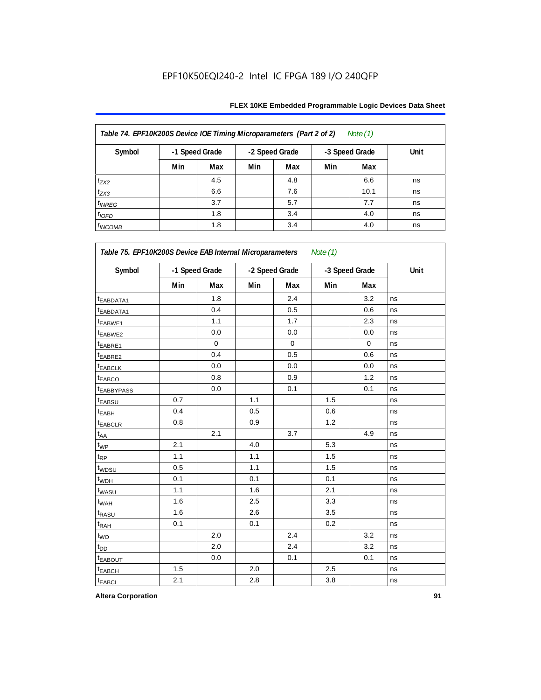### **FLEX 10KE Embedded Programmable Logic Devices Data Sheet**

| Table 74. EPF10K200S Device IOE Timing Microparameters (Part 2 of 2)<br>Note $(1)$ |     |                |                |     |                |      |      |  |  |  |  |
|------------------------------------------------------------------------------------|-----|----------------|----------------|-----|----------------|------|------|--|--|--|--|
| Symbol                                                                             |     | -1 Speed Grade | -2 Speed Grade |     | -3 Speed Grade |      | Unit |  |  |  |  |
|                                                                                    | Min | Max            | Min            | Max | Min            | Max  |      |  |  |  |  |
| $t_{ZX2}$                                                                          |     | 4.5            |                | 4.8 |                | 6.6  | ns   |  |  |  |  |
| $t_{ZX3}$                                                                          |     | 6.6            |                | 7.6 |                | 10.1 | ns   |  |  |  |  |
| $t_{INREG}$                                                                        |     | 3.7            |                | 5.7 |                | 7.7  | ns   |  |  |  |  |
| $t_{IOFD}$                                                                         |     | 1.8            |                | 3.4 |                | 4.0  | ns   |  |  |  |  |
| $t_{INCOMB}$                                                                       |     | 1.8            |                | 3.4 |                | 4.0  | ns   |  |  |  |  |

| Symbol                  |     | -1 Speed Grade | -2 Speed Grade |             | -3 Speed Grade |             | Unit |
|-------------------------|-----|----------------|----------------|-------------|----------------|-------------|------|
|                         | Min | Max            | Min            | Max         | Min            | Max         |      |
| t <sub>EABDATA1</sub>   |     | 1.8            |                | 2.4         |                | 3.2         | ns   |
| <sup>t</sup> EABDATA1   |     | 0.4            |                | 0.5         |                | 0.6         | ns   |
| t <sub>EABWE1</sub>     |     | 1.1            |                | 1.7         |                | 2.3         | ns   |
| <sup>t</sup> EABWE2     |     | 0.0            |                | 0.0         |                | 0.0         | ns   |
| EABRE1                  |     | $\mathbf 0$    |                | $\mathbf 0$ |                | $\mathbf 0$ | ns   |
| t <sub>EABRE2</sub>     |     | 0.4            |                | 0.5         |                | 0.6         | ns   |
| <b><i>EABCLK</i></b>    |     | 0.0            |                | 0.0         |                | 0.0         | ns   |
| <b><i>EABCO</i></b>     |     | 0.8            |                | 0.9         |                | 1.2         | ns   |
| <b><i>EABBYPASS</i></b> |     | 0.0            |                | 0.1         |                | 0.1         | ns   |
| t <sub>EABSU</sub>      | 0.7 |                | 1.1            |             | 1.5            |             | ns   |
| <sup>t</sup> EABH       | 0.4 |                | 0.5            |             | 0.6            |             | ns   |
| t <sub>EABCLR</sub>     | 0.8 |                | 0.9            |             | 1.2            |             | ns   |
| t <sub>AA</sub>         |     | 2.1            |                | 3.7         |                | 4.9         | ns   |
| $t_{WP}$                | 2.1 |                | 4.0            |             | 5.3            |             | ns   |
| $t_{\mathsf{RP}}$       | 1.1 |                | 1.1            |             | 1.5            |             | ns   |
| t <sub>WDSU</sub>       | 0.5 |                | 1.1            |             | 1.5            |             | ns   |
| t <sub>WDH</sub>        | 0.1 |                | 0.1            |             | 0.1            |             | ns   |
| t <sub>WASU</sub>       | 1.1 |                | 1.6            |             | 2.1            |             | ns   |
| t <sub>WAH</sub>        | 1.6 |                | 2.5            |             | 3.3            |             | ns   |
| t <sub>RASU</sub>       | 1.6 |                | 2.6            |             | 3.5            |             | ns   |
| t <sub>RAH</sub>        | 0.1 |                | 0.1            |             | 0.2            |             | ns   |
| $t_{WO}$                |     | 2.0            |                | 2.4         |                | 3.2         | ns   |
| t <sub>DD</sub>         |     | 2.0            |                | 2.4         |                | 3.2         | ns   |
| <b><i>EABOUT</i></b>    |     | 0.0            |                | 0.1         |                | 0.1         | ns   |
| t <sub>EABCH</sub>      | 1.5 |                | 2.0            |             | 2.5            |             | ns   |
| t <sub>EABCL</sub>      | 2.1 |                | 2.8            |             | 3.8            |             | ns   |

**Altera Corporation 91**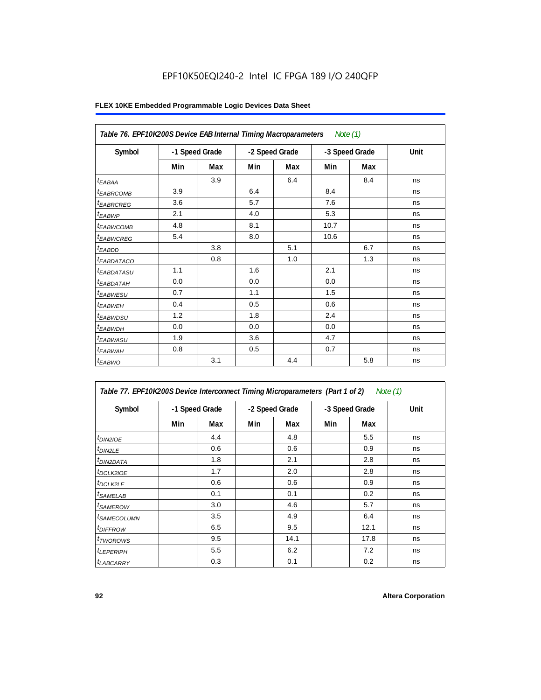|                        | Table 76. EPF10K200S Device EAB Internal Timing Macroparameters Note (1) |     |                |     |                |     |      |  |  |  |  |
|------------------------|--------------------------------------------------------------------------|-----|----------------|-----|----------------|-----|------|--|--|--|--|
| Symbol                 | -1 Speed Grade                                                           |     | -2 Speed Grade |     | -3 Speed Grade |     | Unit |  |  |  |  |
|                        | Min                                                                      | Max | Min            | Max | Min            | Max |      |  |  |  |  |
| $t_{EABA}$             |                                                                          | 3.9 |                | 6.4 |                | 8.4 | ns   |  |  |  |  |
| <sup>I</sup> EABRCOMB  | 3.9                                                                      |     | 6.4            |     | 8.4            |     | ns   |  |  |  |  |
| <sup>t</sup> EABRCREG  | 3.6                                                                      |     | 5.7            |     | 7.6            |     | ns   |  |  |  |  |
| t <sub>EABWP</sub>     | 2.1                                                                      |     | 4.0            |     | 5.3            |     | ns   |  |  |  |  |
| <sup>t</sup> EABWCOMB  | 4.8                                                                      |     | 8.1            |     | 10.7           |     | ns   |  |  |  |  |
| <sup>t</sup> EABWCREG  | 5.4                                                                      |     | 8.0            |     | 10.6           |     | ns   |  |  |  |  |
| <sup>t</sup> EABDD     |                                                                          | 3.8 |                | 5.1 |                | 6.7 | ns   |  |  |  |  |
| <sup>t</sup> EABDATACO |                                                                          | 0.8 |                | 1.0 |                | 1.3 | ns   |  |  |  |  |
| <sup>t</sup> EABDATASU | 1.1                                                                      |     | 1.6            |     | 2.1            |     | ns   |  |  |  |  |
| <sup>t</sup> EABDATAH  | 0.0                                                                      |     | 0.0            |     | 0.0            |     | ns   |  |  |  |  |
| <sup>t</sup> EABWESU   | 0.7                                                                      |     | 1.1            |     | 1.5            |     | ns   |  |  |  |  |
| <sup>t</sup> EABWEH    | 0.4                                                                      |     | 0.5            |     | 0.6            |     | ns   |  |  |  |  |
| t <sub>ЕАВWDSU</sub>   | 1.2                                                                      |     | 1.8            |     | 2.4            |     | ns   |  |  |  |  |
| <sup>t</sup> EABWDH    | 0.0                                                                      |     | 0.0            |     | 0.0            |     | ns   |  |  |  |  |
| <sup>t</sup> EABWASU   | 1.9                                                                      |     | 3.6            |     | 4.7            |     | ns   |  |  |  |  |
| <sup>t</sup> EABWAH    | 0.8                                                                      |     | 0.5            |     | 0.7            |     | ns   |  |  |  |  |
| $t_{EABWO}$            |                                                                          | 3.1 |                | 4.4 |                | 5.8 | ns   |  |  |  |  |

| Table 77. EPF10K200S Device Interconnect Timing Microparameters (Part 1 of 2) |     |                |     |                |     |                | Note (1) |
|-------------------------------------------------------------------------------|-----|----------------|-----|----------------|-----|----------------|----------|
| Symbol                                                                        |     | -1 Speed Grade |     | -2 Speed Grade |     | -3 Speed Grade | Unit     |
|                                                                               | Min | Max            | Min | Max            | Min | Max            |          |
| $t_{DIN2IOE}$                                                                 |     | 4.4            |     | 4.8            |     | 5.5            | ns       |
| $t_{DIN2LE}$                                                                  |     | 0.6            |     | 0.6            |     | 0.9            | ns       |
| <sup>t</sup> DIN2DATA                                                         |     | 1.8            |     | 2.1            |     | 2.8            | ns       |
| <sup>t</sup> DCLK2IOE                                                         |     | 1.7            |     | 2.0            |     | 2.8            | ns       |
| $t$ DCLK2LE                                                                   |     | 0.6            |     | 0.6            |     | 0.9            | ns       |
| <sup>t</sup> SAMELAB                                                          |     | 0.1            |     | 0.1            |     | 0.2            | ns       |
| <sup>t</sup> SAMEROW                                                          |     | 3.0            |     | 4.6            |     | 5.7            | ns       |
| <sup>t</sup> SAMECOLUMN                                                       |     | 3.5            |     | 4.9            |     | 6.4            | ns       |
| <sup>t</sup> DIFFROW                                                          |     | 6.5            |     | 9.5            |     | 12.1           | ns       |
| <sup>t</sup> TWOROWS                                                          |     | 9.5            |     | 14.1           |     | 17.8           | ns       |
| <sup>t</sup> LEPERIPH                                                         |     | 5.5            |     | 6.2            |     | 7.2            | ns       |
| <b><i>LABCARRY</i></b>                                                        |     | 0.3            |     | 0.1            |     | 0.2            | ns       |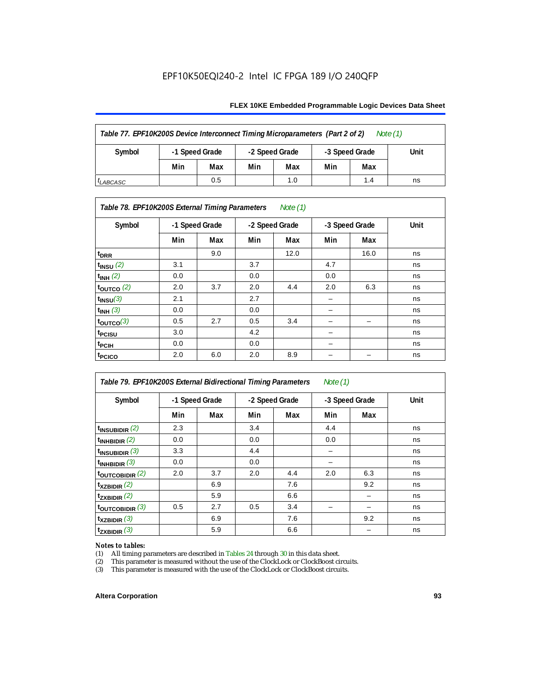#### **FLEX 10KE Embedded Programmable Logic Devices Data Sheet**

| Table 77. EPF10K200S Device Interconnect Timing Microparameters (Part 2 of 2)<br>Note $(1)$ |                |     |                |     |                |      |  |  |  |  |
|---------------------------------------------------------------------------------------------|----------------|-----|----------------|-----|----------------|------|--|--|--|--|
| Symbol                                                                                      | -1 Speed Grade |     | -2 Speed Grade |     | -3 Speed Grade | Unit |  |  |  |  |
|                                                                                             | Min            | Max | Min            | Max | Min            | Max  |  |  |  |  |
| 0.5<br>1.0<br>1.4<br>ns<br><sup>I</sup> LABCASC                                             |                |     |                |     |                |      |  |  |  |  |

### *Table 78. EPF10K200S External Timing Parameters Note (1)*

| Symbol                |     | -1 Speed Grade |     | -2 Speed Grade |     | -3 Speed Grade | Unit |
|-----------------------|-----|----------------|-----|----------------|-----|----------------|------|
|                       | Min | Max            | Min | Max            | Min | Max            |      |
| $t_{\text{DRR}}$      |     | 9.0            |     | 12.0           |     | 16.0           | ns   |
| $t_{INSU}$ (2)        | 3.1 |                | 3.7 |                | 4.7 |                | ns   |
| $t_{INH}$ (2)         | 0.0 |                | 0.0 |                | 0.0 |                | ns   |
| $t_{\text{OUTCO}}(2)$ | 2.0 | 3.7            | 2.0 | 4.4            | 2.0 | 6.3            | ns   |
| $t_{INSU}(3)$         | 2.1 |                | 2.7 |                |     |                | ns   |
| $t_{INH}$ (3)         | 0.0 |                | 0.0 |                | -   |                | ns   |
| $t_{OUTCO}(3)$        | 0.5 | 2.7            | 0.5 | 3.4            | -   | -              | ns   |
| <sup>t</sup> PCISU    | 3.0 |                | 4.2 |                | -   |                | ns   |
| t <sub>PCIH</sub>     | 0.0 |                | 0.0 |                | -   |                | ns   |
| t <sub>PCICO</sub>    | 2.0 | 6.0            | 2.0 | 8.9            |     |                | ns   |

| Table 79. EPF10K200S External Bidirectional Timing Parameters<br>Note $(1)$ |                |     |                |     |                |     |      |  |  |
|-----------------------------------------------------------------------------|----------------|-----|----------------|-----|----------------|-----|------|--|--|
| Symbol                                                                      | -1 Speed Grade |     | -2 Speed Grade |     | -3 Speed Grade |     | Unit |  |  |
|                                                                             | Min            | Max | Min            | Max | Min            | Max |      |  |  |
| $t_{\text{INSUBIDIR}}(2)$                                                   | 2.3            |     | 3.4            |     | 4.4            |     | ns   |  |  |
| $t_{INHBIDIR}$ (2)                                                          | 0.0            |     | 0.0            |     | 0.0            |     | ns   |  |  |
| $t_{INSUBIDIR}$ (3)                                                         | 3.3            |     | 4.4            |     |                |     | ns   |  |  |
| $t_{INHBIDIR}$ (3)                                                          | 0.0            |     | 0.0            |     |                |     | ns   |  |  |
| toutcobidir $(2)$                                                           | 2.0            | 3.7 | 2.0            | 4.4 | 2.0            | 6.3 | ns   |  |  |
| $t_{XZBIDIR}$ (2)                                                           |                | 6.9 |                | 7.6 |                | 9.2 | ns   |  |  |
| $t_{ZXBIDIR}$ (2)                                                           |                | 5.9 |                | 6.6 |                |     | ns   |  |  |
| $t_{\text{OUTC}OBIDIR}$ (3)                                                 | 0.5            | 2.7 | 0.5            | 3.4 |                |     | ns   |  |  |
| $t_{XZBIDIR}$ (3)                                                           |                | 6.9 |                | 7.6 |                | 9.2 | ns   |  |  |
| $t_{ZXBIDIR}$ (3)                                                           |                | 5.9 |                | 6.6 |                |     | ns   |  |  |

# *Notes to tables:*<br>(1) All timing p

(1) All timing parameters are described in Tables  $24$  through  $30$  in this data sheet.<br>
(2) This parameter is measured without the use of the ClockLock or ClockBoost ci

(2) This parameter is measured without the use of the ClockLock or ClockBoost circuits.<br>(3) This parameter is measured with the use of the ClockLock or ClockBoost circuits.

This parameter is measured with the use of the ClockLock or ClockBoost circuits.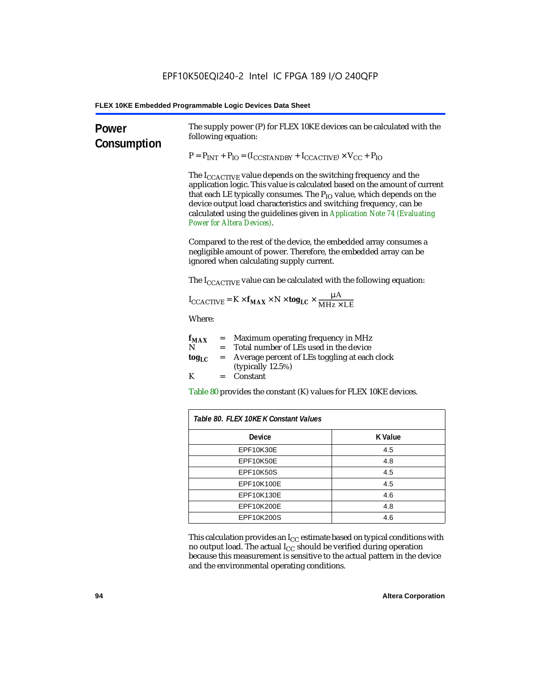| Power<br>Consumption | The supply power (P) for FLEX 10KE devices can be calculated with the<br>following equation:                                                                                                                                                                                                                                                                                                                                 |                |  |
|----------------------|------------------------------------------------------------------------------------------------------------------------------------------------------------------------------------------------------------------------------------------------------------------------------------------------------------------------------------------------------------------------------------------------------------------------------|----------------|--|
|                      | $P = P_{INT} + P_{IO} = (I_{COSTANDBY} + I_{CCACTIVE}) \times V_{CC} + P_{IO}$                                                                                                                                                                                                                                                                                                                                               |                |  |
|                      | The $I_{\text{CCACTIVE}}$ value depends on the switching frequency and the<br>application logic. This value is calculated based on the amount of current<br>that each LE typically consumes. The $P_{IO}$ value, which depends on the<br>device output load characteristics and switching frequency, can be<br>calculated using the guidelines given in Application Note 74 (Evaluating<br><b>Power for Altera Devices).</b> |                |  |
|                      | Compared to the rest of the device, the embedded array consumes a<br>negligible amount of power. Therefore, the embedded array can be<br>ignored when calculating supply current.                                                                                                                                                                                                                                            |                |  |
|                      | The $I_{\text{CCACTIVE}}$ value can be calculated with the following equation:                                                                                                                                                                                                                                                                                                                                               |                |  |
|                      | $I_{\text{CCACTIVE}} = K \times f_{\text{MAX}} \times N \times \text{tog}_{\text{LC}} \times \frac{\mu A}{\text{MHz} \times \text{LE}}$                                                                                                                                                                                                                                                                                      |                |  |
|                      | Where:                                                                                                                                                                                                                                                                                                                                                                                                                       |                |  |
|                      | = Maximum operating frequency in MHz<br>$f_{MAX}$<br>Total number of LEs used in the device<br>N<br>$=$                                                                                                                                                                                                                                                                                                                      |                |  |
|                      | Average percent of LEs toggling at each clock<br>tog <sub>LC</sub><br>$=$<br>(typically 12.5%)                                                                                                                                                                                                                                                                                                                               |                |  |
|                      | K<br>Constant<br>$=$                                                                                                                                                                                                                                                                                                                                                                                                         |                |  |
|                      | Table 80 provides the constant (K) values for FLEX 10KE devices.                                                                                                                                                                                                                                                                                                                                                             |                |  |
|                      | Table 80. FLEX 10KE K Constant Values                                                                                                                                                                                                                                                                                                                                                                                        |                |  |
|                      | Device                                                                                                                                                                                                                                                                                                                                                                                                                       | <b>K</b> Value |  |
|                      | EPF10K30E                                                                                                                                                                                                                                                                                                                                                                                                                    | 4.5            |  |
|                      | EPF10K50E                                                                                                                                                                                                                                                                                                                                                                                                                    | 4.8            |  |
|                      | <b>EPF10K50S</b>                                                                                                                                                                                                                                                                                                                                                                                                             | 4.5            |  |
|                      | EPF10K100E                                                                                                                                                                                                                                                                                                                                                                                                                   | 4.5            |  |
|                      | EPF10K130E                                                                                                                                                                                                                                                                                                                                                                                                                   | 4.6            |  |
|                      | EPF10K200E                                                                                                                                                                                                                                                                                                                                                                                                                   | 4.8            |  |
|                      | EPF10K200S                                                                                                                                                                                                                                                                                                                                                                                                                   | 4.6            |  |

This calculation provides an  $\rm I_{CC}$  estimate based on typical conditions with no output load. The actual I $_{\rm CC}$  should be verified during operation because this measurement is sensitive to the actual pattern in the device and the environmental operating conditions.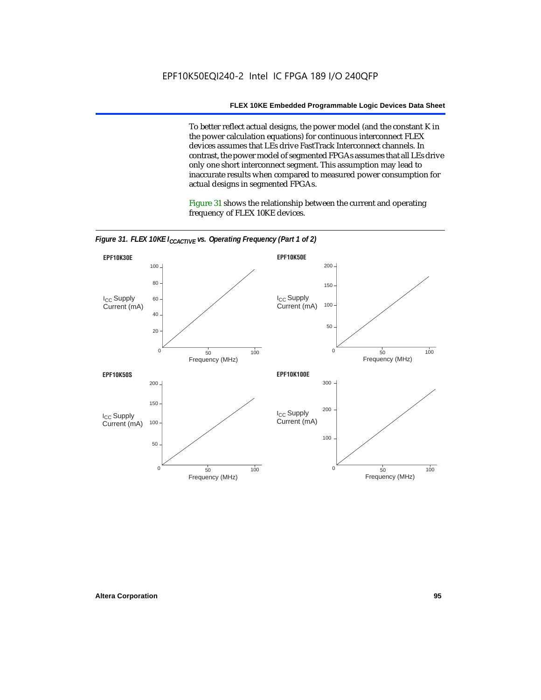To better reflect actual designs, the power model (and the constant K in the power calculation equations) for continuous interconnect FLEX devices assumes that LEs drive FastTrack Interconnect channels. In contrast, the power model of segmented FPGAs assumes that all LEs drive only one short interconnect segment. This assumption may lead to inaccurate results when compared to measured power consumption for actual designs in segmented FPGAs.

Figure 31 shows the relationship between the current and operating frequency of FLEX 10KE devices.



*Figure 31. FLEX 10KE I<sub>CCACTIVE</sub> vs. Operating Frequency (Part 1 of 2)*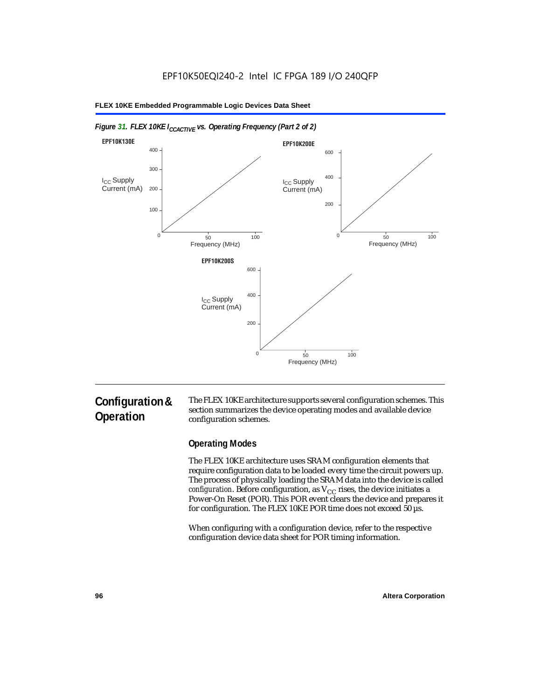

#### *Figure 31. FLEX 10KE I<sub>CCACTIVE</sub> vs. Operating Frequency (Part 2 of 2)*

# **Configuration & Operation**

The FLEX 10KE architecture supports several configuration schemes. This section summarizes the device operating modes and available device configuration schemes.

### **Operating Modes**

The FLEX 10KE architecture uses SRAM configuration elements that require configuration data to be loaded every time the circuit powers up. The process of physically loading the SRAM data into the device is called *configuration.* Before configuration, as  $V_{CC}$  rises, the device initiates a Power-On Reset (POR). This POR event clears the device and prepares it for configuration. The FLEX 10KE POR time does not exceed 50 µs.

When configuring with a configuration device, refer to the respective configuration device data sheet for POR timing information.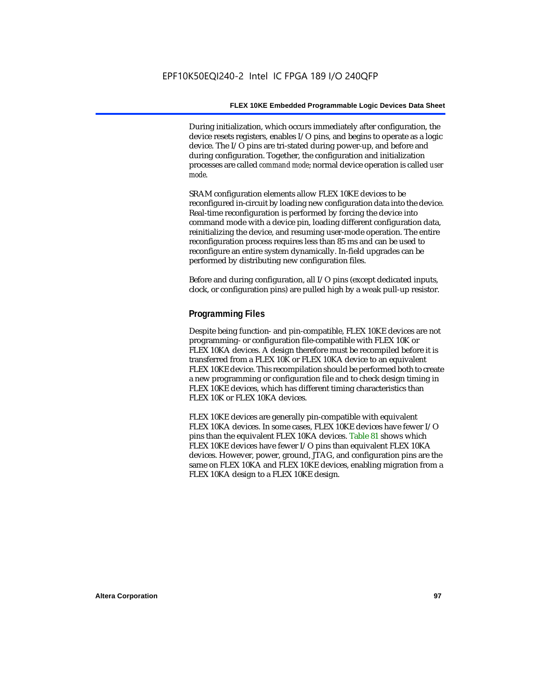During initialization, which occurs immediately after configuration, the device resets registers, enables I/O pins, and begins to operate as a logic device. The I/O pins are tri-stated during power-up, and before and during configuration. Together, the configuration and initialization processes are called *command mode*; normal device operation is called *user mode*.

SRAM configuration elements allow FLEX 10KE devices to be reconfigured in-circuit by loading new configuration data into the device. Real-time reconfiguration is performed by forcing the device into command mode with a device pin, loading different configuration data, reinitializing the device, and resuming user-mode operation. The entire reconfiguration process requires less than 85 ms and can be used to reconfigure an entire system dynamically. In-field upgrades can be performed by distributing new configuration files.

Before and during configuration, all I/O pins (except dedicated inputs, clock, or configuration pins) are pulled high by a weak pull-up resistor.

### **Programming Files**

Despite being function- and pin-compatible, FLEX 10KE devices are not programming- or configuration file-compatible with FLEX 10K or FLEX 10KA devices. A design therefore must be recompiled before it is transferred from a FLEX 10K or FLEX 10KA device to an equivalent FLEX 10KE device. This recompilation should be performed both to create a new programming or configuration file and to check design timing in FLEX 10KE devices, which has different timing characteristics than FLEX 10K or FLEX 10KA devices.

FLEX 10KE devices are generally pin-compatible with equivalent FLEX 10KA devices. In some cases, FLEX 10KE devices have fewer I/O pins than the equivalent FLEX 10KA devices. Table 81 shows which FLEX 10KE devices have fewer I/O pins than equivalent FLEX 10KA devices. However, power, ground, JTAG, and configuration pins are the same on FLEX 10KA and FLEX 10KE devices, enabling migration from a FLEX 10KA design to a FLEX 10KE design.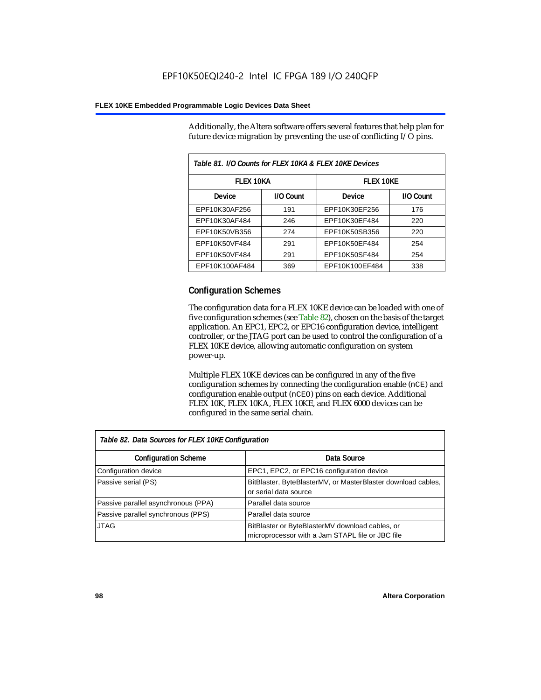Additionally, the Altera software offers several features that help plan for future device migration by preventing the use of conflicting I/O pins.

| Table 81. I/O Counts for FLEX 10KA & FLEX 10KE Devices |           |                  |           |  |
|--------------------------------------------------------|-----------|------------------|-----------|--|
| <b>FLEX 10KA</b>                                       |           | <b>FLEX 10KE</b> |           |  |
| <b>Device</b>                                          | I/O Count | Device           | I/O Count |  |
| EPF10K30AF256                                          | 191       | EPF10K30EF256    | 176       |  |
| EPF10K30AF484                                          | 246       | EPF10K30EF484    | 220       |  |
| EPF10K50VB356                                          | 274       | EPF10K50SB356    | 220       |  |
| EPF10K50VF484                                          | 291       | EPF10K50EF484    | 254       |  |
| EPF10K50VF484                                          | 291       | EPF10K50SF484    | 254       |  |
| EPF10K100AF484                                         | 369       | EPF10K100EF484   | 338       |  |

### **Configuration Schemes**

The configuration data for a FLEX 10KE device can be loaded with one of five configuration schemes (see Table 82), chosen on the basis of the target application. An EPC1, EPC2, or EPC16 configuration device, intelligent controller, or the JTAG port can be used to control the configuration of a FLEX 10KE device, allowing automatic configuration on system power-up.

Multiple FLEX 10KE devices can be configured in any of the five configuration schemes by connecting the configuration enable (nCE) and configuration enable output (nCEO) pins on each device. Additional FLEX 10K, FLEX 10KA, FLEX 10KE, and FLEX 6000 devices can be configured in the same serial chain.

| Table 82. Data Sources for FLEX 10KE Configuration |                                                                                                     |  |  |
|----------------------------------------------------|-----------------------------------------------------------------------------------------------------|--|--|
| <b>Configuration Scheme</b>                        | Data Source                                                                                         |  |  |
| Configuration device                               | EPC1, EPC2, or EPC16 configuration device                                                           |  |  |
| Passive serial (PS)                                | BitBlaster, ByteBlasterMV, or MasterBlaster download cables,<br>or serial data source               |  |  |
| Passive parallel asynchronous (PPA)                | Parallel data source                                                                                |  |  |
| Passive parallel synchronous (PPS)                 | Parallel data source                                                                                |  |  |
| <b>JTAG</b>                                        | BitBlaster or ByteBlasterMV download cables, or<br>microprocessor with a Jam STAPL file or JBC file |  |  |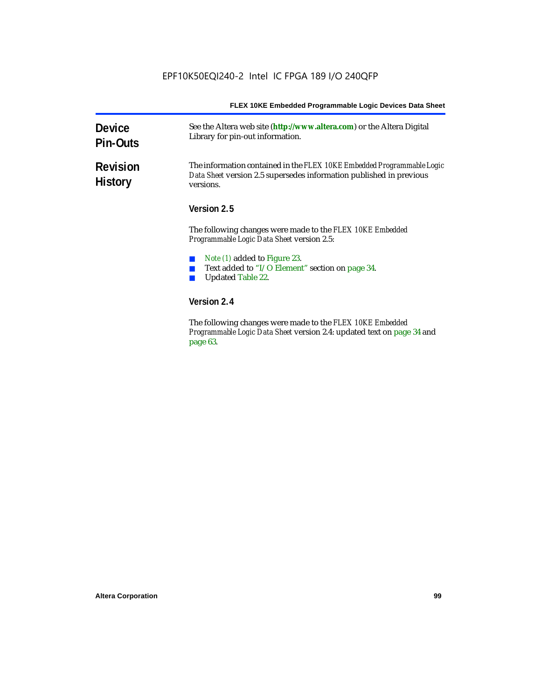| <b>Device</b><br><b>Pin-Outs</b>  | See the Altera web site (http://www.altera.com) or the Altera Digital<br>Library for pin-out information.                                                  |  |
|-----------------------------------|------------------------------------------------------------------------------------------------------------------------------------------------------------|--|
| <b>Revision</b><br><b>History</b> | The information contained in the FLEX 10KE Embedded Programmable Logic<br>Data Sheet version 2.5 supersedes information published in previous<br>versions. |  |
|                                   | Version 2.5                                                                                                                                                |  |
|                                   | The following changes were made to the FLEX 10KE Embedded<br>Programmable Logic Data Sheet version 2.5:                                                    |  |
|                                   | <i>Note (1)</i> added to Figure 23.<br>Text added to "I/O Element" section on page 34.<br>Updated Table 22.                                                |  |
|                                   | Version 2.4                                                                                                                                                |  |
|                                   | The following changes were made to the FLEX 10KE Embedded                                                                                                  |  |

The following changes were made to the *FLEX 10KE Embedded Programmable Logic Data Sheet* version 2.4: updated text on page 34 and page 63.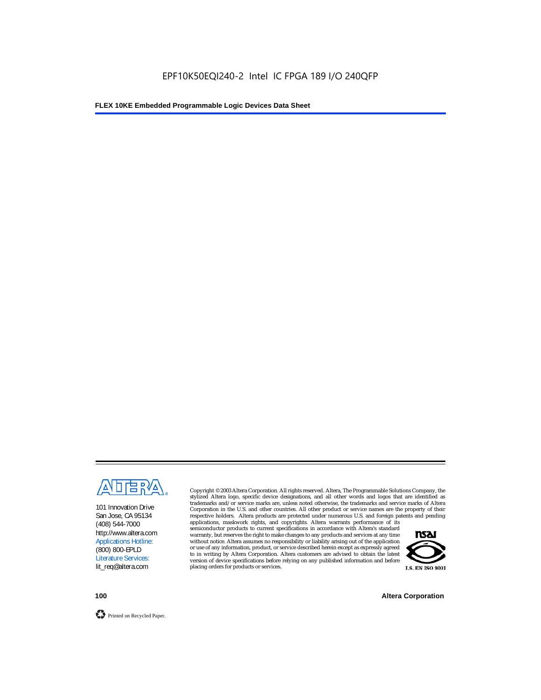

101 Innovation Drive San Jose, CA 95134 (408) 544-7000 http://www.altera.com Applications Hotline: (800) 800-EPLD Literature Services: lit\_req@altera.com

Copyright © 2003 Altera Corporation. All rights reserved. Altera, The Programmable Solutions Company, the stylized Altera logo, specific device designations, and all other words and logos that are identified as trademarks and/or service marks are, unless noted otherwise, the trademarks and service marks of Altera Corporation in the U.S. and other countries. All other product or service names are the property of their respective holders. Altera products are protected under numerous U.S. and foreign patents and pending

applications, maskwork rights, and copyrights. Altera warrants performance of its semiconductor products to current specifications in accordance with Altera's standard warranty, but reserves the right to make changes to any products and services at any time without notice. Altera assumes no responsibility or liability arising out of the application or use of any information, product, or service described herein except as expressly agreed to in writing by Altera Corporation. Altera customers are advised to obtain the latest version of device specifications before relying on any published information and before placing orders for products or services.



**100 Altera Corporation**